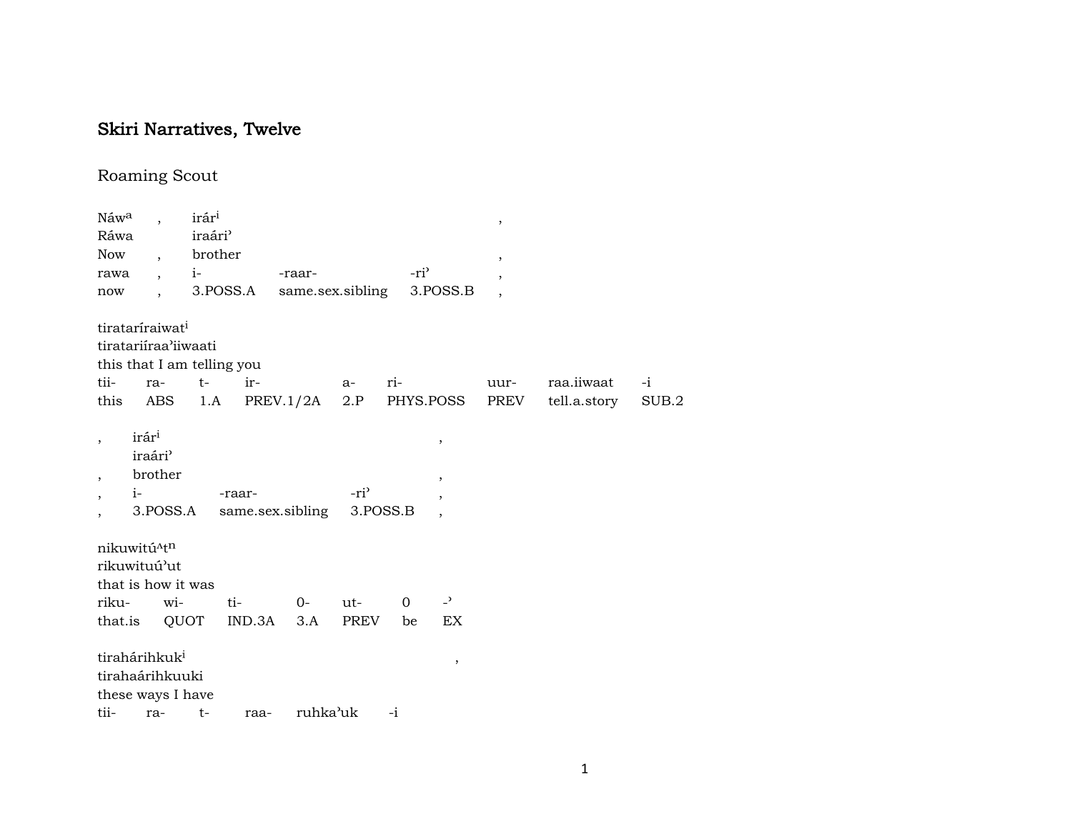# Skiri Narratives, Twelve

## Roaming Scout

| Náwa<br>Ráwa<br>Now<br>rawa          |                                      | $\overline{\phantom{a}}$<br>$\cdot$                               | irár <sup>i</sup><br>iraári <sup>3</sup><br>brother<br>$i$ - $i$ |                                        | -raar-           |                              |      | -ri <sup>3</sup>     |                      | $\, ,$<br>$\, ,$<br>$\overline{\phantom{a}}$ |              |       |
|--------------------------------------|--------------------------------------|-------------------------------------------------------------------|------------------------------------------------------------------|----------------------------------------|------------------|------------------------------|------|----------------------|----------------------|----------------------------------------------|--------------|-------|
| now                                  |                                      | tirataríraiwat <sup>i</sup><br>tiratariiraa'iiwaati               |                                                                  | 3.POSS.A<br>this that I am telling you | same.sex.sibling |                              |      |                      | 3.POSS.B             | $\overline{\phantom{a}}$                     |              |       |
| tii-                                 |                                      | ra-                                                               | $t-$                                                             | ir-                                    |                  | a-                           | ri-  |                      |                      | uur-                                         | raa.iiwaat   | $-i$  |
| this                                 |                                      | ABS                                                               | 1.A                                                              |                                        | PREV.1/2A        |                              |      |                      | 2.P PHYS.POSS        | PREV                                         | tell.a.story | SUB.2 |
| $\cdot$<br>$\cdot$<br>$\overline{ }$ | irári<br>iraári <sup>3</sup><br>$i-$ | brother<br>3.POSS.A                                               |                                                                  | -raar-                                 | same.sex.sibling | -ri <sup>3</sup><br>3.POSS.B |      |                      | $\,$<br>$\cdot$      |                                              |              |       |
| nikuwitú^tn<br>rikuwituú'ut          |                                      | that is how it was                                                |                                                                  |                                        |                  |                              |      |                      |                      |                                              |              |       |
| riku-                                |                                      | wi-<br>QUOT                                                       |                                                                  | ti-<br>IND.3A                          | $0-$<br>3.A      | $ut-$<br><b>PREV</b>         |      | $\overline{0}$<br>be | $\overline{a}$<br>EX |                                              |              |       |
| that.is                              |                                      |                                                                   |                                                                  |                                        |                  |                              |      |                      |                      |                                              |              |       |
|                                      |                                      | tirahárihkuk <sup>i</sup><br>tirahaárihkuuki<br>these ways I have |                                                                  |                                        |                  |                              |      |                      | ,                    |                                              |              |       |
| tii-                                 |                                      | ra-                                                               | $t-$                                                             | raa-                                   | ruhka'uk         |                              | $-i$ |                      |                      |                                              |              |       |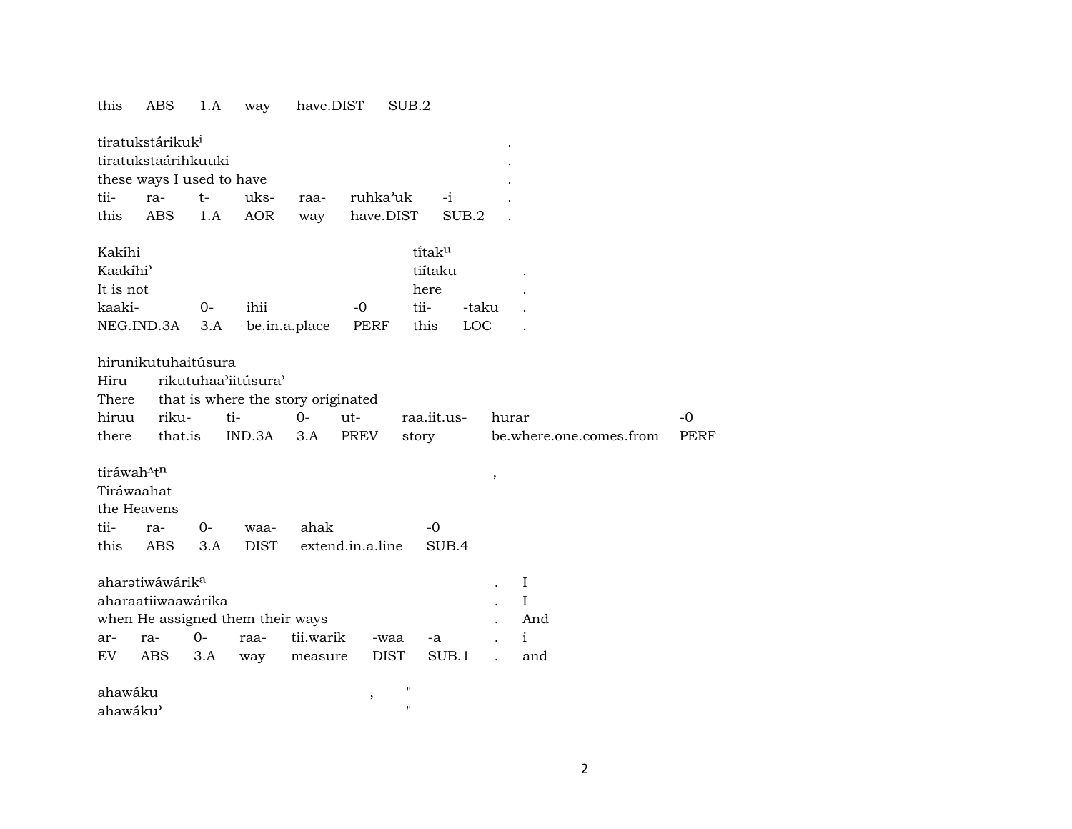#### this ABS 1.A way have.DIST SUB.2

|                           | tiratukstárikuk <sup>i</sup> |  |  |  |                                      |  |  |  |  |  |  |
|---------------------------|------------------------------|--|--|--|--------------------------------------|--|--|--|--|--|--|
|                           | tiratukstaárihkuuki          |  |  |  |                                      |  |  |  |  |  |  |
| these ways I used to have |                              |  |  |  |                                      |  |  |  |  |  |  |
|                           |                              |  |  |  | tii- ra- t- uks- raa- ruhka'uk -i    |  |  |  |  |  |  |
|                           |                              |  |  |  | this ABS 1.A AOR way have.DIST SUB.2 |  |  |  |  |  |  |
|                           |                              |  |  |  |                                      |  |  |  |  |  |  |

| Kakíhi               |    |                              |      | tîtak <sup>u</sup> |       |  |
|----------------------|----|------------------------------|------|--------------------|-------|--|
| Kaakíhi <sup>3</sup> |    |                              |      | tiítaku            |       |  |
| It is not            |    |                              |      | here               |       |  |
| kaaki-               | ∩- | ihii                         | $-0$ | tii-               | -taku |  |
|                      |    | NEG.IND.3A 3.A be.in.a.place | PERF | this               | LOC   |  |

#### hirunikutuhaitúsura

| Hiru  |           | rikutuhaa'iitúsura'                      |        |  |             |                         |       |  |  |  |  |
|-------|-----------|------------------------------------------|--------|--|-------------|-------------------------|-------|--|--|--|--|
|       |           | There that is where the story originated |        |  |             |                         |       |  |  |  |  |
| hiruu | riku- ti- |                                          | 0- ut- |  | raa.iit.us- | hurar                   | $-()$ |  |  |  |  |
| there | that.is   | IND.3A 3.A PREV                          |        |  | storv       | be.where.one.comes.from | PERF  |  |  |  |  |

### $\text{tráwah}^{\text{A}}t^n$  ,

| Tiráwaahat  |                       |                                          |                |
|-------------|-----------------------|------------------------------------------|----------------|
| the Heavens |                       |                                          |                |
|             | tii- ra- 0- waa- ahak |                                          | $\overline{a}$ |
|             |                       | this ABS 3.A DIST extend.in.a.line SUB.4 |                |

|                                  | aharətiwáwárik <sup>a</sup> |  |  |                                     |  |  |  |          |  |  |  |  |
|----------------------------------|-----------------------------|--|--|-------------------------------------|--|--|--|----------|--|--|--|--|
|                                  | aharaatiiwaawárika          |  |  |                                     |  |  |  |          |  |  |  |  |
| when He assigned them their ways |                             |  |  |                                     |  |  |  |          |  |  |  |  |
|                                  |                             |  |  |                                     |  |  |  | $\sim$ 1 |  |  |  |  |
|                                  |                             |  |  | EV ABS 3.A way measure DIST SUB.1 . |  |  |  | and      |  |  |  |  |

| ahawáku              |  |
|----------------------|--|
| ahawáku <sup>3</sup> |  |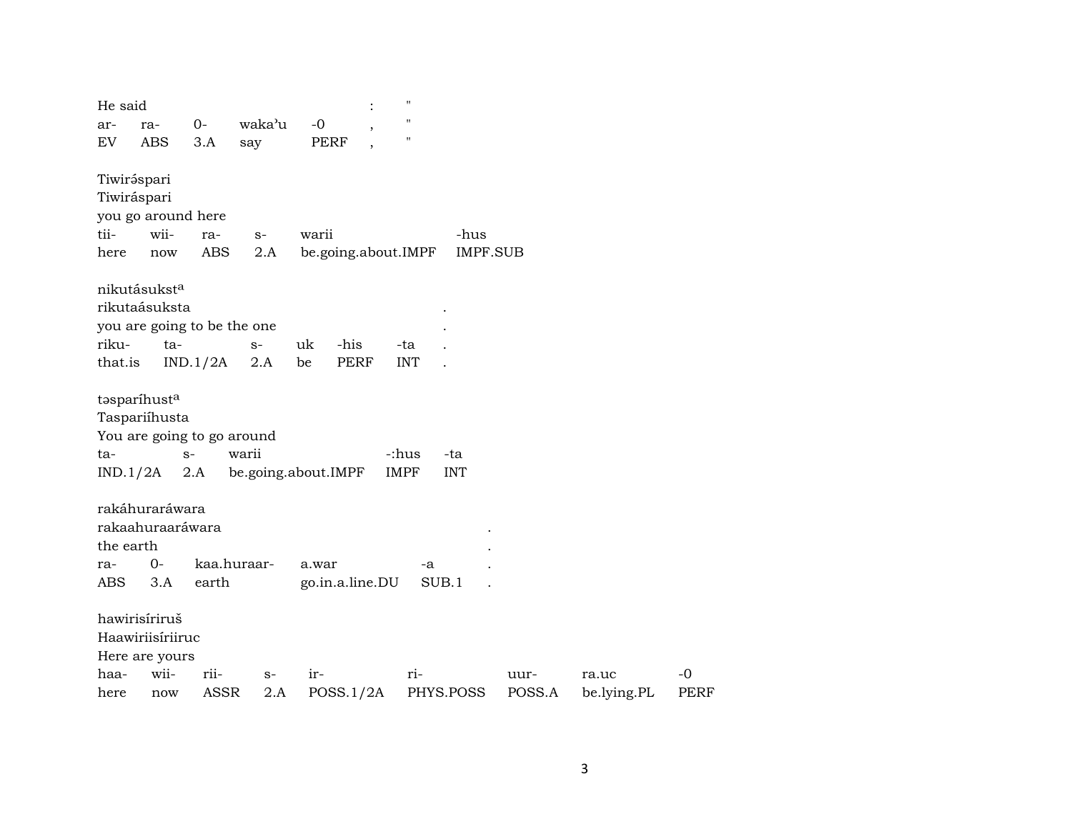| He said     |                          |                                    |        |                     |      | $\pmb{\mathsf{H}}$ |                 |        |             |
|-------------|--------------------------|------------------------------------|--------|---------------------|------|--------------------|-----------------|--------|-------------|
| ar-         | ra-                      | $0-$                               | waka'u | $-0$                |      | $\pmb{\mathsf{H}}$ |                 |        |             |
| EV          | <b>ABS</b>               | 3.A                                | say    | PERF                |      | $\pmb{\mathsf{H}}$ |                 |        |             |
| Tiwiráspari |                          |                                    |        |                     |      |                    |                 |        |             |
| Tiwiráspari |                          |                                    |        |                     |      |                    |                 |        |             |
|             | you go around here       |                                    |        |                     |      |                    |                 |        |             |
| tii-        | wii-                     | ra-                                | $S-$   | warii               |      |                    | -hus            |        |             |
| here        | now                      | ABS                                | 2.A    | be.going.about.IMPF |      |                    | <b>IMPF.SUB</b> |        |             |
|             | nikutásukst <sup>a</sup> |                                    |        |                     |      |                    |                 |        |             |
|             | rikutaásuksta            |                                    |        |                     |      |                    |                 |        |             |
|             |                          | you are going to be the one        |        |                     |      |                    |                 |        |             |
| riku-       | $ta-$                    |                                    | $S-$   | uk<br>-his          |      | -ta                |                 |        |             |
| that.is     |                          | IND.1/2A                           | 2.A    | be                  | PERF | <b>INT</b>         |                 |        |             |
| ta-         | Taspariíhusta            | You are going to go around<br>$S-$ | warii  |                     |      | -:hus              | -ta             |        |             |
|             | $IND.1/2A$ 2.A           |                                    |        | be.going.about.IMPF |      | IMPF               | <b>INT</b>      |        |             |
|             | rakáhuraráwara           |                                    |        |                     |      |                    |                 |        |             |
|             | rakaahuraaráwara         |                                    |        |                     |      |                    |                 |        |             |
| the earth   |                          |                                    |        |                     |      |                    |                 |        |             |
| ra-         | 0-                       | kaa.huraar-                        |        | a.war               |      | -a                 |                 |        |             |
| ABS.        | 3.A                      | earth                              |        | go.in.a.line.DU     |      | SUB.1              |                 |        |             |
|             | hawirisíriruš            |                                    |        |                     |      |                    |                 |        |             |
|             | Haawiriisíriiruc         |                                    |        |                     |      |                    |                 |        |             |
|             | Here are yours           |                                    |        |                     |      |                    |                 |        |             |
| haa-        | wii-                     | rii-                               | $S-$   | ir-                 |      | ri-                |                 | uur-   | ra.uc       |
| here        | now                      | <b>ASSR</b>                        | 2.A    | POSS.1/2A           |      |                    | PHYS.POSS       | POSS.A | be.lying.PL |

 $\mbox{-}0$ PERF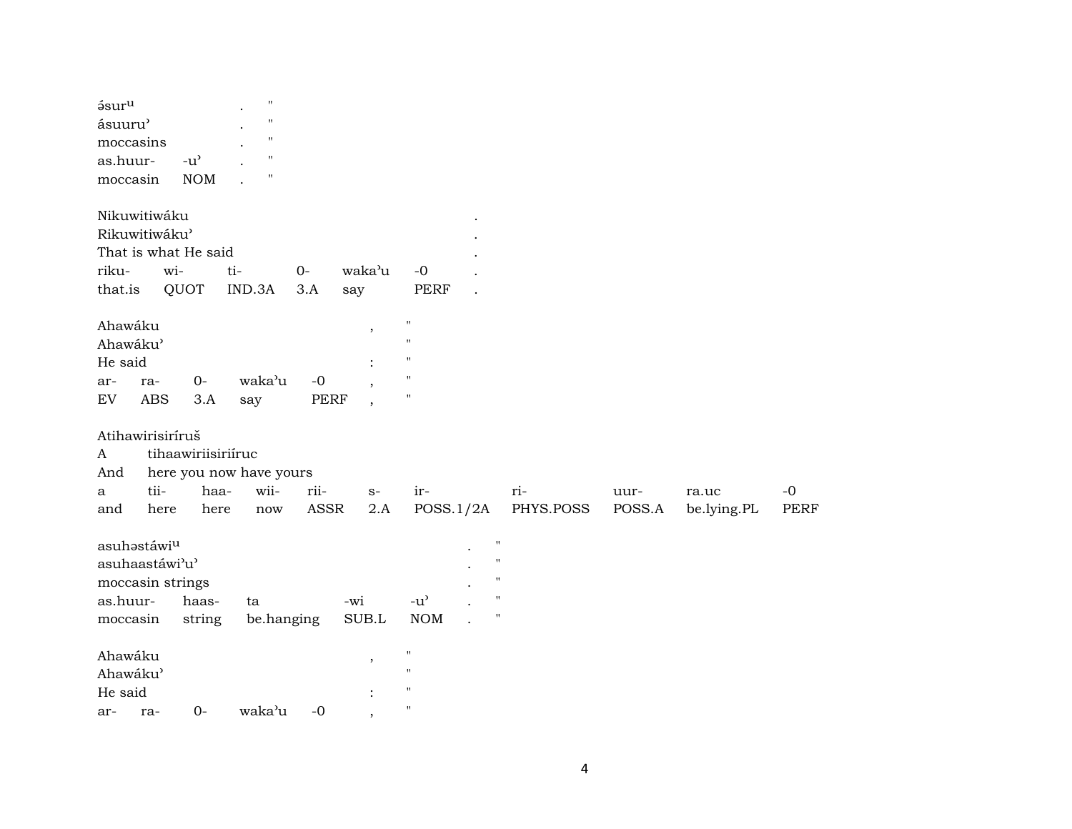| 58ur <sup>u</sup><br>ásuuru'<br>moccasins<br>as.huur-<br>moccasin                     |                   | $-u^{\prime}$<br><b>NOM</b>        | $\pmb{\mathsf{H}}$<br>$\pmb{\mathsf{H}}$<br>$\pmb{\mathsf{H}}$<br>$\pmb{\mathsf{H}}$<br>$\blacksquare$ |                     |              |                                                                                                |                                                                                            |                  |                |                      |                     |
|---------------------------------------------------------------------------------------|-------------------|------------------------------------|--------------------------------------------------------------------------------------------------------|---------------------|--------------|------------------------------------------------------------------------------------------------|--------------------------------------------------------------------------------------------|------------------|----------------|----------------------|---------------------|
| Nikuwitiwáku<br>Rikuwitiwáku'<br>riku-<br>that.is                                     | wi-               | That is what He said<br>QUOT       | ti-<br>IND.3A                                                                                          | $0-$<br>3.A         | waka'u       | $-0$<br><b>PERF</b>                                                                            |                                                                                            |                  |                |                      |                     |
| Ahawáku<br>Ahawáku'<br>He said<br>ar-<br>EV                                           | ra-<br><b>ABS</b> | $O -$<br>3.A                       | waka'u<br>say                                                                                          | $-0$<br>PERF        | say<br>,     | $\mathbf{H}$<br>$\mathbf{H}$<br>$\pmb{\mathsf{H}}$<br>$\pmb{\mathsf{H}}$<br>$\pmb{\mathsf{H}}$ |                                                                                            |                  |                |                      |                     |
| Atihawirisiríruš<br>A<br>And<br>a<br>and                                              | tii-<br>here      | tihaawiriisiriíruc<br>haa-<br>here | here you now have yours<br>wii-<br>now                                                                 | rii-<br><b>ASSR</b> | $S-$<br>2.A  | ir-<br>POSS.1/2A                                                                               |                                                                                            | ri-<br>PHYS.POSS | uur-<br>POSS.A | ra.uc<br>be.lying.PL | $-0$<br><b>PERF</b> |
| asuhastáwi <sup>u</sup><br>asuhaastáwi'u'<br>moccasin strings<br>as.huur-<br>moccasin |                   | haas-<br>string                    | ta<br>be.hanging                                                                                       |                     | -wi<br>SUB.L | $-u$ <sup><math>\prime</math></sup><br><b>NOM</b>                                              | $\pmb{\mathsf{H}}$<br>$\pmb{\mathsf{H}}$<br>$\blacksquare$<br>$\mathbf{H}$<br>$\mathbf{H}$ |                  |                |                      |                     |
| Ahawáku<br>Ahawáku'<br>He said<br>ar-                                                 | ra-               | $0-$                               | waka'u                                                                                                 | $-0$                | ,            | $\mathbf{H}$<br>$\mathbf{H}$<br>$\pmb{\mathsf{H}}$<br>$\mathbf{H}$                             |                                                                                            |                  |                |                      |                     |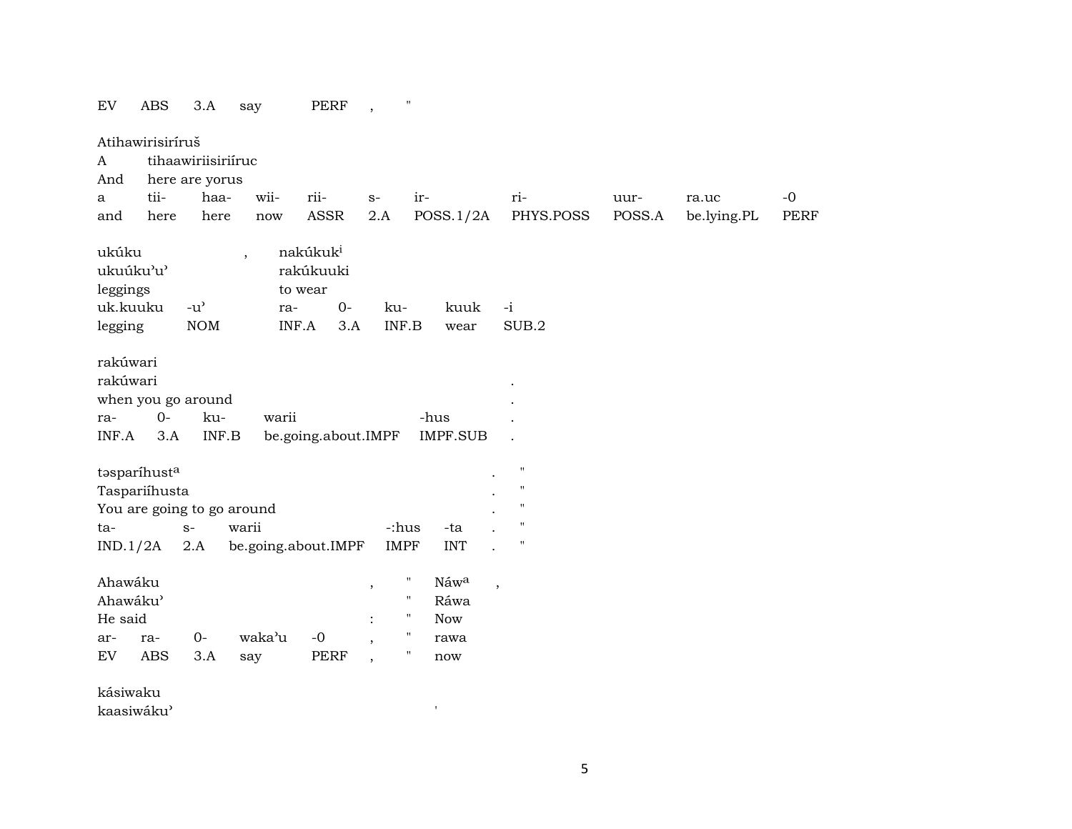EV ABS 3.A say PERF,

Atihawirisiríruš A tihaawiriisiriíruc And here are yorus a tii- haa- wii- rii- s- ir- ri- uur- ra.uc -0 and here here now ASSR 2.A POSS.1/2A PHYS.POSS POSS.A be.lying.PL PERF ukúku , nakúkuk<sup>i</sup> ukuúku"u" rakúkuuki leggings to wear uk.kuuku -u" ra- 0- ku- kuuk -i legging NOM INF.A 3.A INF.B wear SUB.2 rakúwari rakúwari . when you go around ra- 0- ku- warii -hus . INF.A 3.A INF.B be.going.about.IMPF IMPF.SUB .  $t$ əsparí $h$ ust<sup>a</sup> . " Taspariíhusta . " You are going to go around  $\blacksquare$ ta- s- warii -:hus -ta . " IND.1/2A 2.A be.going.about.IMPF IMPF INT . " Ahawáku , " Náw<sup>a</sup> , Ahawáku" " Ráwa He said  $\qquad \qquad : \qquad " Now$ ar- ra- 0- waka"u -0 , " rawa EV ABS 3.A say PERF , " now kásiwaku

kaasiwáku'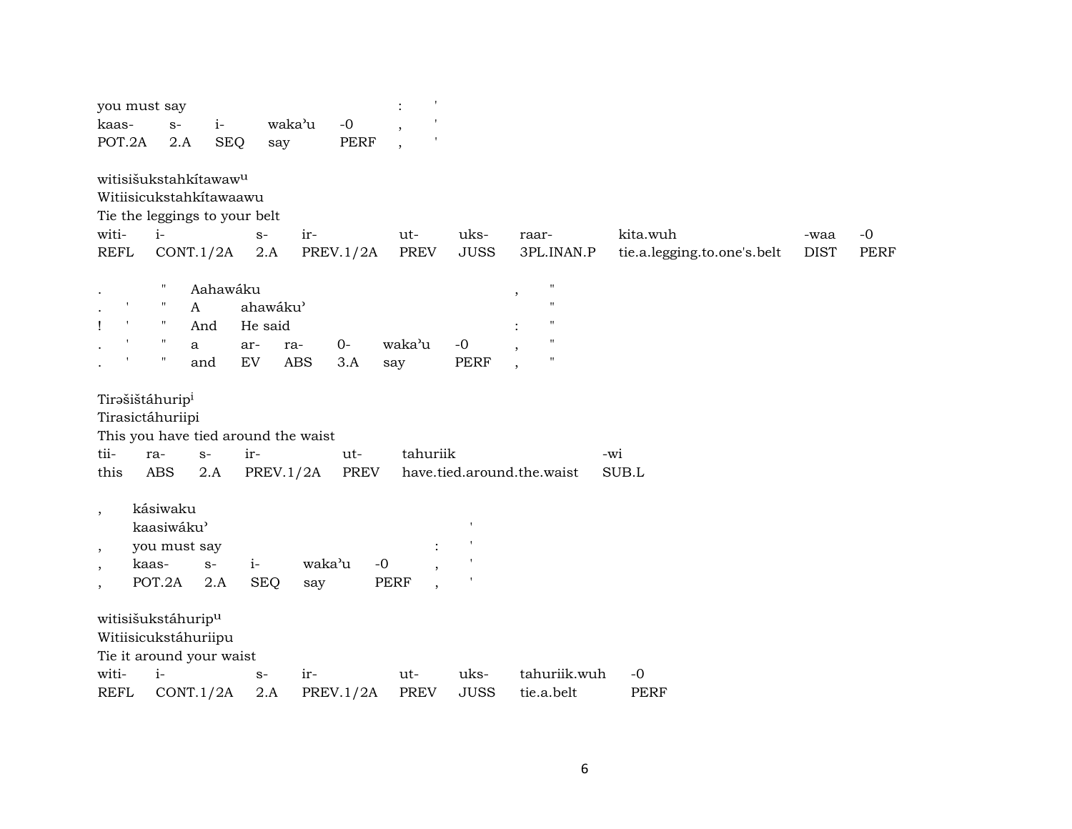|                                | you must say                      |            |                                     |            |                  | $\mathbf{I}$<br>$\ddot{\cdot}$ |                            |                         |                    |             |                             |             |      |
|--------------------------------|-----------------------------------|------------|-------------------------------------|------------|------------------|--------------------------------|----------------------------|-------------------------|--------------------|-------------|-----------------------------|-------------|------|
| kaas-                          | $S-$                              | $i-$       |                                     | waka'u     | $-0$             | $\overline{\phantom{a}}$       |                            |                         |                    |             |                             |             |      |
| POT.2A                         | 2.A                               | <b>SEQ</b> | say                                 |            | <b>PERF</b>      | $\overline{\phantom{a}}$       |                            |                         |                    |             |                             |             |      |
|                                | witisišukstahkítawaw <sup>u</sup> |            |                                     |            |                  |                                |                            |                         |                    |             |                             |             |      |
|                                | Witiisicukstahkítawaawu           |            |                                     |            |                  |                                |                            |                         |                    |             |                             |             |      |
|                                | Tie the leggings to your belt     |            |                                     |            |                  |                                |                            |                         |                    |             |                             |             |      |
| witi-                          | $i-$                              |            | $S-$                                | ir-        |                  | ut-                            | uks-                       | raar-                   |                    | kita.wuh    |                             | -waa        | $-0$ |
| <b>REFL</b>                    |                                   | CONT.1/2A  | 2.A                                 |            | <b>PREV.1/2A</b> | <b>PREV</b>                    | <b>JUSS</b>                |                         | 3PL.INAN.P         |             | tie.a.legging.to.one's.belt | <b>DIST</b> | PERF |
|                                | $\pmb{\mathsf{H}}$                | Aahawáku   |                                     |            |                  |                                |                            | $^\mathrm{^\mathrm{o}}$ | $\pmb{\mathsf{H}}$ |             |                             |             |      |
|                                | $\pmb{\mathsf{H}}$                | A          | ahawáku'                            |            |                  |                                |                            |                         | $^{\prime}$        |             |                             |             |      |
| $\blacksquare$<br>$\mathbf{I}$ | $\pmb{\mathsf{H}}$                | And        | He said                             |            |                  |                                |                            |                         |                    |             |                             |             |      |
|                                | $\pmb{\mathsf{H}}$                | a          | ar-                                 | ra-        | $0-$             | waka'u                         | $-0$                       |                         | $^{\prime\prime}$  |             |                             |             |      |
|                                | $\boldsymbol{\mathsf{H}}$         | and        | EV                                  | <b>ABS</b> | 3.A              | say                            | <b>PERF</b>                |                         | $^{\prime\prime}$  |             |                             |             |      |
|                                | Tirašištáhurip <sup>i</sup>       |            |                                     |            |                  |                                |                            |                         |                    |             |                             |             |      |
|                                | Tirasictáhuriipi                  |            |                                     |            |                  |                                |                            |                         |                    |             |                             |             |      |
|                                |                                   |            | This you have tied around the waist |            |                  |                                |                            |                         |                    |             |                             |             |      |
| tii-                           | ra-                               | $S-$       | ir-                                 |            | ut-              | tahuriik                       |                            |                         |                    | -wi         |                             |             |      |
| this                           | <b>ABS</b>                        | 2.A        | <b>PREV.1/2A</b>                    |            | <b>PREV</b>      |                                | have.tied.around.the.waist |                         |                    | SUB.L       |                             |             |      |
|                                | kásiwaku                          |            |                                     |            |                  |                                |                            |                         |                    |             |                             |             |      |
| $\cdot$                        | kaasiwáku'                        |            |                                     |            |                  |                                |                            |                         |                    |             |                             |             |      |
|                                | you must say                      |            |                                     |            |                  |                                |                            |                         |                    |             |                             |             |      |
| $\cdot$                        | kaas-                             | $S-$       | $i-$                                | waka'u     | $-0$             |                                |                            |                         |                    |             |                             |             |      |
| $\,$<br>$\cdot$                | POT.2A                            | 2.A        | <b>SEQ</b>                          | say        |                  | <b>PERF</b>                    |                            |                         |                    |             |                             |             |      |
|                                |                                   |            |                                     |            |                  |                                |                            |                         |                    |             |                             |             |      |
|                                | witisišukstáhurip <sup>u</sup>    |            |                                     |            |                  |                                |                            |                         |                    |             |                             |             |      |
|                                | Witiisicukstáhuriipu              |            |                                     |            |                  |                                |                            |                         |                    |             |                             |             |      |
|                                | Tie it around your waist          |            |                                     |            |                  |                                |                            |                         |                    |             |                             |             |      |
| witi-                          | $i-$                              |            | $S-$                                | ir-        |                  | ut-                            | uks-<br><b>JUSS</b>        |                         | tahuriik.wuh       | $-0$        |                             |             |      |
| <b>REFL</b>                    |                                   | CONT.1/2A  | 2.A                                 |            | PREV.1/2A        | <b>PREV</b>                    |                            |                         | tie.a.belt         | <b>PERF</b> |                             |             |      |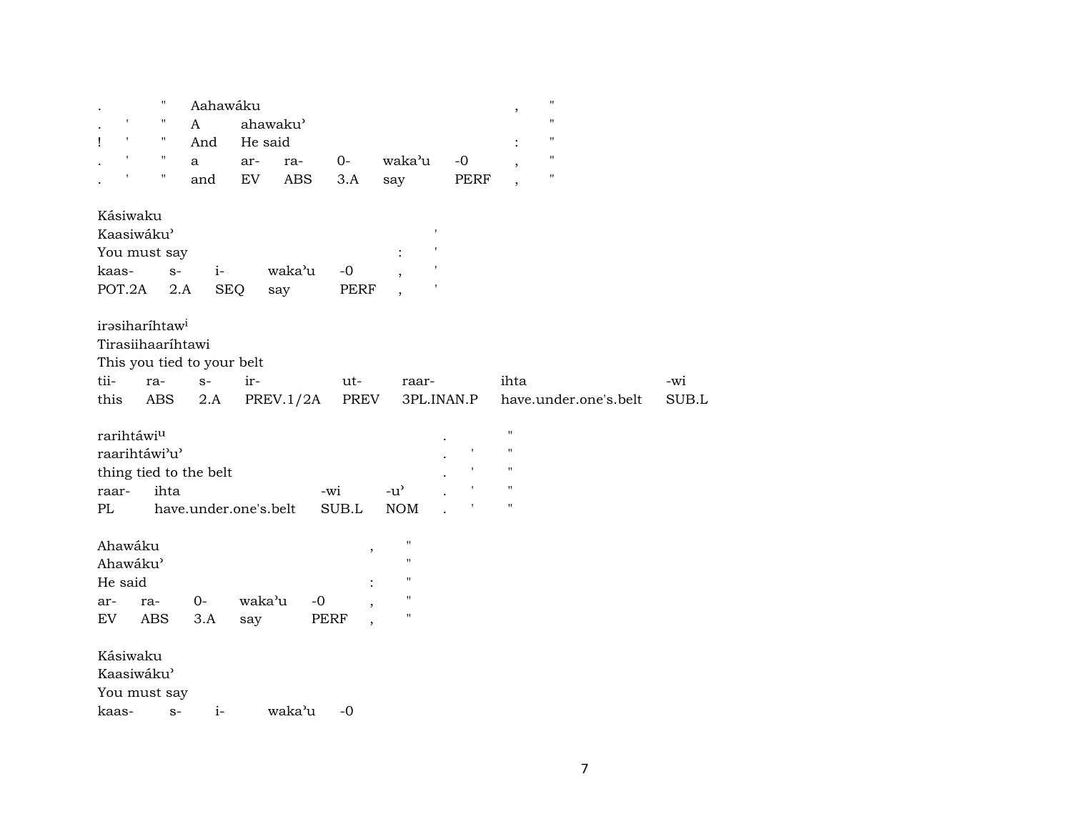|                                                                  | н                                                              | Aahawáku          |            |                     |                                                                                                |                               | $^\mathrm{,}$                                                                      | $\pmb{\mathsf{H}}$    |              |
|------------------------------------------------------------------|----------------------------------------------------------------|-------------------|------------|---------------------|------------------------------------------------------------------------------------------------|-------------------------------|------------------------------------------------------------------------------------|-----------------------|--------------|
| $\pmb{\mathsf{I}}$                                               | 11<br>A                                                        | ahawaku'          |            |                     |                                                                                                |                               |                                                                                    | $\pmb{\mathsf{H}}$    |              |
| $\pmb{\mathsf{r}}$<br>Ţ                                          | π<br>And                                                       | He said           |            |                     |                                                                                                |                               |                                                                                    | $\pmb{\mathsf{H}}$    |              |
| $\pmb{\mathsf{I}}$                                               | $\pmb{\mathsf{H}}$<br>a                                        | ar-               | ra-        | $0-$                | waka'u                                                                                         | $-0$                          | $\overline{\phantom{a}}$                                                           | $\pmb{\mathsf{H}}$    |              |
|                                                                  | Ħ<br>and                                                       | EV                | <b>ABS</b> | 3.A                 | say                                                                                            | PERF                          | $\cdot$                                                                            | $\pmb{\mathsf{H}}$    |              |
| Kásiwaku<br>Kaasiwáku'<br>You must say<br>kaas-<br>POT.2A        | $i-$<br>$S-$<br>2.A                                            | <b>SEQ</b><br>say | waka'u     | $-0$<br><b>PERF</b> | $\ddot{\cdot}$                                                                                 |                               |                                                                                    |                       |              |
| irəsiharihtaw <sup>i</sup><br>Tirasiihaaríhtawi<br>tii-<br>this  | This you tied to your belt<br>$S-$<br>ra-<br><b>ABS</b><br>2.A | ir-               | PREV.1/2A  | ut-<br>PREV         | raar-                                                                                          | 3PL.INAN.P                    | ihta                                                                               | have.under.one's.belt | -wi<br>SUB.L |
| rarihtáwiu<br>raarihtáwi'u'<br>raar-<br>PL                       | thing tied to the belt<br>ihta<br>have.under.one's.belt        |                   |            | -wi<br>SUB.L        | $-u$ <sup><math>\prime</math></sup><br><b>NOM</b>                                              | $\pmb{\cdot}$<br>$\mathbf{I}$ | $\mathbf{H}$<br>$\mathbf{H}$<br>$\mathbf{H}$<br>$\mathbf{H}$<br>$\bar{\mathbf{H}}$ |                       |              |
| Ahawáku<br>Ahawáku'<br>He said<br>ar-<br>ra-<br>EV<br><b>ABS</b> | $0-$<br>3.A                                                    | waka'u<br>say     | $-0$       | ,<br>PERF           | $\mathbf{H}$<br>$\mathbf{H}$<br>$\pmb{\mathsf{H}}$<br>$\pmb{\mathsf{H}}$<br>$\pmb{\mathsf{H}}$ |                               |                                                                                    |                       |              |
| Kásiwaku<br>Kaasiwáku'<br>You must say<br>kaas-                  | $i-$<br>$S-$                                                   |                   | waka'u     | $-0$                |                                                                                                |                               |                                                                                    |                       |              |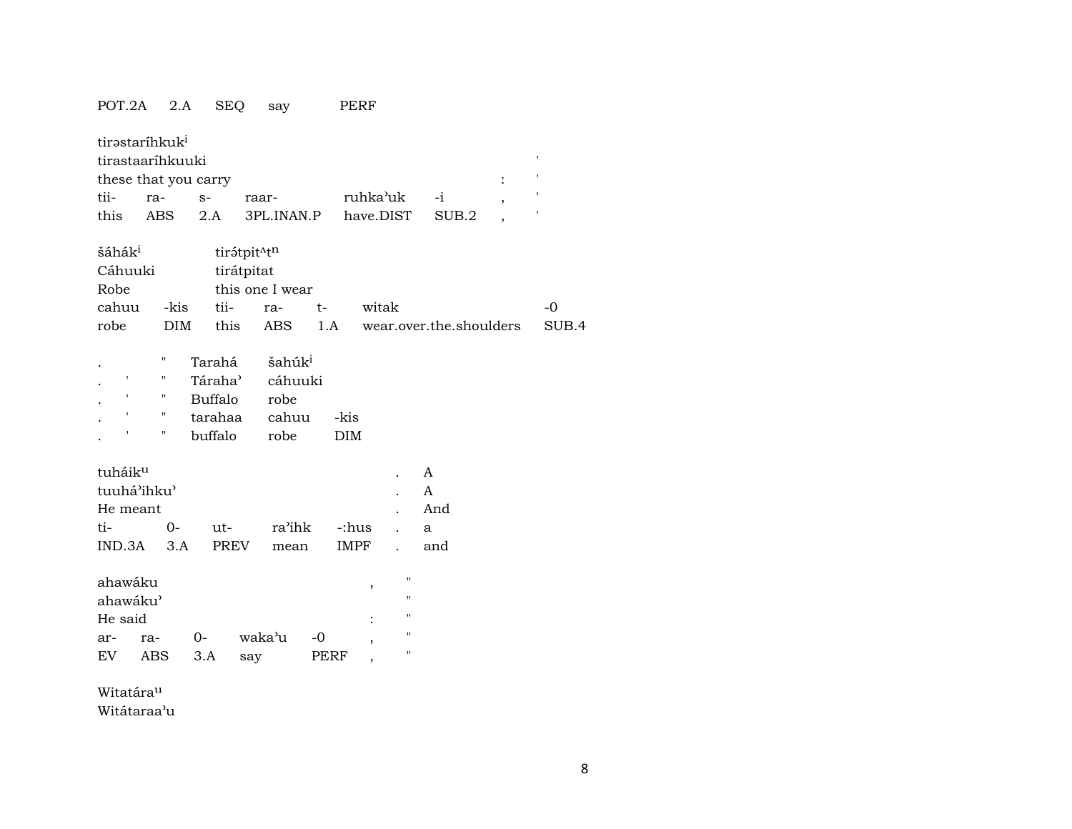### POT.2A 2.A SEQ say PERF

| tii-<br>this                                                    | tirastaríhkuk <sup>i</sup><br>tirastaaríhkuuki<br>these that you carry<br>ra-<br><b>ABS</b>                | $S-$<br>2.A                                                           | raar-<br>3PL.INAN.P                                                     |              | ruhka'uk<br>have.DIST              |                       | $-i$<br>SUB.2             | , | ı<br>,<br>,   |
|-----------------------------------------------------------------|------------------------------------------------------------------------------------------------------------|-----------------------------------------------------------------------|-------------------------------------------------------------------------|--------------|------------------------------------|-----------------------|---------------------------|---|---------------|
| šáhák <sup>i</sup><br>Cáhuuki<br>Robe<br>cahuu<br>robe          | -kis<br><b>DIM</b>                                                                                         | tii-<br>this                                                          | tirátpit <sup>Atn</sup><br>tirátpitat<br>this one I wear<br>ra-<br>ABS. | $t-$<br>1.A  | witak                              |                       | wear.over.the.shoulders   |   | $-0$<br>SUB.4 |
| ,                                                               | $\pmb{\mathsf{H}}$<br>$\pmb{\mathsf{H}}$<br>$\pmb{\mathsf{H}}$<br>$\pmb{\mathsf{H}}$<br>$\pmb{\mathsf{H}}$ | Tarahá<br>Táraha <sup>3</sup><br><b>Buffalo</b><br>tarahaa<br>buffalo | šahúk <sup>i</sup><br>cáhuuki<br>robe<br>cahuu<br>robe                  |              | -kis<br><b>DIM</b>                 |                       |                           |   |               |
| tuháik <sup>u</sup><br>tuuhá'ihku'<br>He meant<br>ti-<br>IND.3A | $0-$<br>3.A                                                                                                | $ut-$<br>PREV                                                         | ra'ihk<br>mean                                                          |              | -:hus<br><b>IMPF</b>               |                       | A<br>A<br>And<br>a<br>and |   |               |
| ahawáku<br>ahawáku'<br>He said<br>ar-<br>EV                     | ra-<br>ABS                                                                                                 | $0-$<br>3.A                                                           | waka'u<br>say                                                           | $-0$<br>PERF | ,<br>,<br>$\overline{\phantom{a}}$ | п<br>п<br>п<br>п<br>п |                           |   |               |

Witatáraµ

Witátaraa"u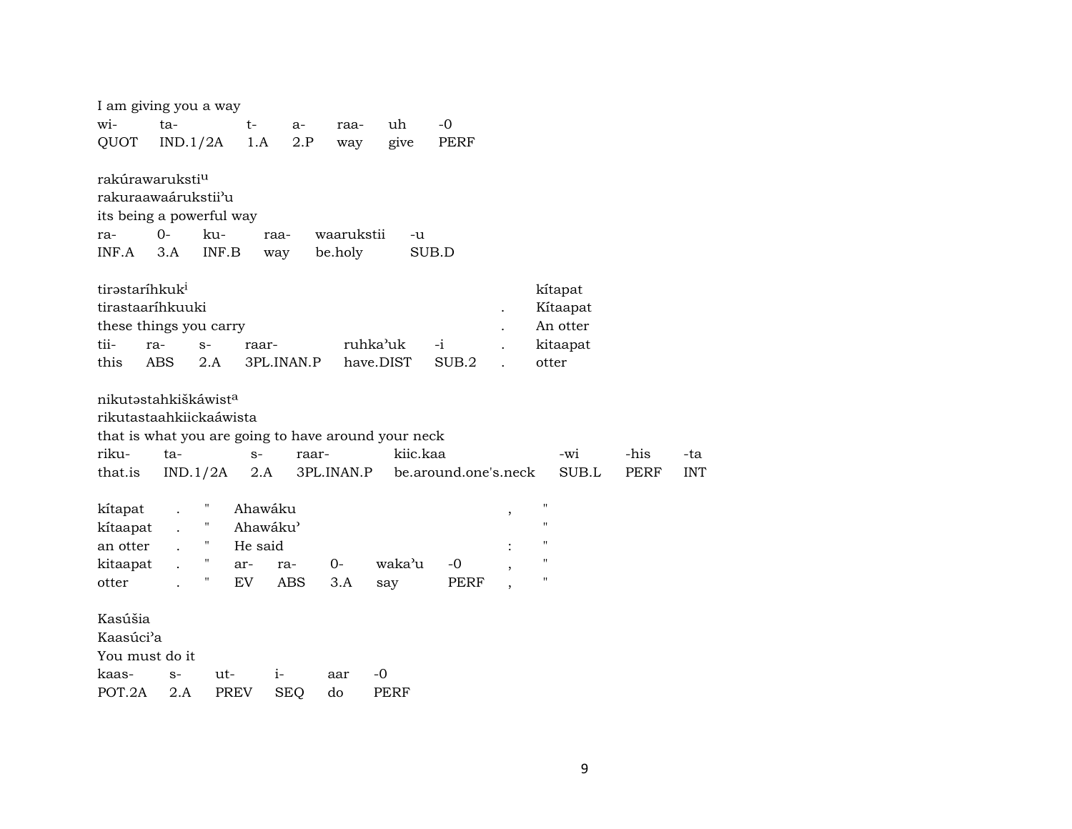| I am giving you a way                                                          |            |                           |                                |                                                     |             |                      |   |                           |             |            |
|--------------------------------------------------------------------------------|------------|---------------------------|--------------------------------|-----------------------------------------------------|-------------|----------------------|---|---------------------------|-------------|------------|
| wi-                                                                            | ta-        |                           | t-<br>a-                       | raa-                                                | uh          | $-0$                 |   |                           |             |            |
| QUOT                                                                           | IND.1/2A   |                           | 2.P<br>1.A                     | way                                                 | give        | PERF                 |   |                           |             |            |
| rakúrawaruksti <sup>u</sup><br>rakuraawaárukstii'u<br>its being a powerful way |            |                           |                                |                                                     |             |                      |   |                           |             |            |
| ra-                                                                            | $O -$      | ku-                       |                                | waarukstii                                          | -u          |                      |   |                           |             |            |
| INF.A                                                                          | 3.A        | INF.B                     | raa-                           | be.holy                                             |             | SUB.D                |   |                           |             |            |
|                                                                                |            |                           | way                            |                                                     |             |                      |   |                           |             |            |
| tirastaríhkuk <sup>i</sup>                                                     |            |                           |                                |                                                     |             |                      |   | kítapat                   |             |            |
| tirastaaríhkuuki                                                               |            |                           |                                |                                                     |             |                      |   | Kítaapat                  |             |            |
| these things you carry                                                         |            |                           |                                |                                                     |             |                      |   | An otter                  |             |            |
| tii-                                                                           | ra-        | $S-$                      | raar-                          |                                                     | ruhka'uk    | -i                   |   | kitaapat                  |             |            |
| this                                                                           | <b>ABS</b> | 2.A                       | 3PL.INAN.P                     |                                                     | have.DIST   | SUB.2                |   | otter                     |             |            |
| nikutastahkiškáwista<br>rikutastaahkiickaáwista                                |            |                           |                                | that is what you are going to have around your neck |             |                      |   |                           |             |            |
| riku-                                                                          | ta-        |                           | $S-$                           | raar-                                               | kiic.kaa    |                      |   | -wi                       | -his        | -ta        |
| that.is                                                                        | IND.1/2A   |                           | 2.A                            | 3PL.INAN.P                                          |             | be.around.one's.neck |   | SUB.L                     | <b>PERF</b> | <b>INT</b> |
| kítapat<br>kítaapat<br>an otter                                                |            | $\pmb{\mathsf{H}}$        | Ahawáku<br>Ahawáku'<br>He said |                                                     |             |                      | , | $\blacksquare$<br>"<br>11 |             |            |
| kitaapat                                                                       |            | $\pmb{\mathsf{H}}$<br>ar- | ra-                            | 0-                                                  | waka'u      | -0                   |   | "                         |             |            |
| otter                                                                          |            | 11<br>EV                  | <b>ABS</b>                     | 3.A                                                 | say         | PERF                 |   | "                         |             |            |
| Kasúšia<br>Kaasúci'a<br>You must do it                                         |            |                           |                                |                                                     |             |                      |   |                           |             |            |
| kaas-                                                                          | $S-$       | ut-                       | $i-$                           | aar                                                 | $-0$        |                      |   |                           |             |            |
| POT.2A                                                                         | 2.A        | <b>PREV</b>               | <b>SEQ</b>                     | do                                                  | <b>PERF</b> |                      |   |                           |             |            |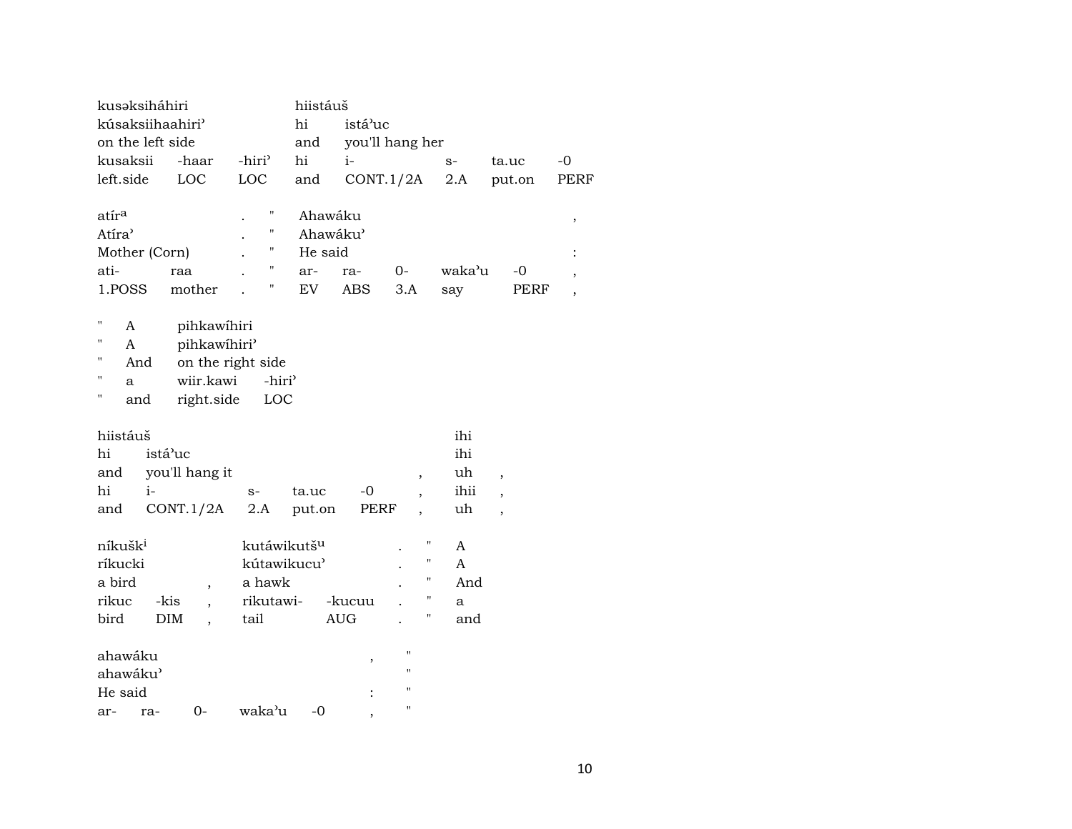| kusaksiháhiri                      |                         | hiistáuš |                                  |                          |        |                          |             |
|------------------------------------|-------------------------|----------|----------------------------------|--------------------------|--------|--------------------------|-------------|
| kúsaksiihaahiri'                   |                         | hi       | istá'uc                          |                          |        |                          |             |
| on the left side                   |                         | and      |                                  | you'll hang her          |        |                          |             |
| kusaksii<br>-haar                  | -hiri <sup>3</sup>      | hi       | $i-$                             |                          | $S-$   | ta.uc                    | $-0$        |
| LOC<br>left.side                   | LOC                     | and      | CONT.1/2A                        |                          | 2.A    | put.on                   | <b>PERF</b> |
|                                    |                         |          |                                  |                          |        |                          |             |
| atír <sup>a</sup>                  | Ħ                       | Ahawáku  |                                  |                          |        |                          | ,           |
| Atíra <sup></sup>                  | н                       | Ahawáku' |                                  |                          |        |                          |             |
| Mother (Corn)                      | Η                       | He said  |                                  |                          |        |                          |             |
| ati-<br>raa                        | "                       | ar-      | ra-                              | $0-$                     | waka'u | $-0$                     |             |
| 1.POSS<br>mother                   | "                       | EV       | ABS                              | 3.A                      | say    | PERF                     |             |
|                                    |                         |          |                                  |                          |        |                          |             |
| н<br>pihkawihiri<br>A              |                         |          |                                  |                          |        |                          |             |
| pihkawihiri'<br>н<br>A             |                         |          |                                  |                          |        |                          |             |
| п<br>And                           | on the right side       |          |                                  |                          |        |                          |             |
| п<br>wiir.kawi<br>a                | -hiri <sup>3</sup>      |          |                                  |                          |        |                          |             |
| н<br>right.side<br>and             | LOC                     |          |                                  |                          |        |                          |             |
|                                    |                         |          |                                  |                          |        |                          |             |
| hiistáuš                           |                         |          |                                  |                          | ihi    |                          |             |
| hi<br>istá'uc                      |                         |          |                                  |                          | ihi    |                          |             |
| you'll hang it<br>and              |                         |          |                                  | $\overline{\phantom{a}}$ | uh     | $\overline{\phantom{a}}$ |             |
| hi<br>i-                           | $S-$                    | ta.uc    | $-0$                             | $\overline{\phantom{a}}$ | ihii   | $\overline{\phantom{a}}$ |             |
| CONT.1/2A<br>and                   | 2.A                     | put.on   | PERF                             | $\overline{\phantom{a}}$ | uh     | ,                        |             |
| níkušk <sup>i</sup>                | kutáwikutš <sup>u</sup> |          |                                  | п                        | A      |                          |             |
| ríkucki                            | kútawikucu'             |          |                                  | п                        |        |                          |             |
|                                    |                         |          |                                  | $\pmb{\mathsf{H}}$       | A      |                          |             |
| a bird<br>$\overline{\phantom{a}}$ | a hawk                  |          |                                  | п                        | And    |                          |             |
| rikuc<br>-kis                      | rikutawi-               |          | -kucuu                           |                          | a      |                          |             |
| bird<br><b>DIM</b>                 | tail                    |          | $\mathbf{A}\mathbf{U}\mathbf{G}$ | Ħ                        | and    |                          |             |
| ahawáku                            |                         |          |                                  | п                        |        |                          |             |
| ahawáku'                           |                         |          | ,                                | $\blacksquare$           |        |                          |             |
| He said                            |                         |          |                                  | $\pmb{\mathsf{H}}$       |        |                          |             |
| $0-$                               | waka'u                  | -0       |                                  | $\pmb{\mathsf{H}}$       |        |                          |             |
| ra-<br>ar-                         |                         |          |                                  |                          |        |                          |             |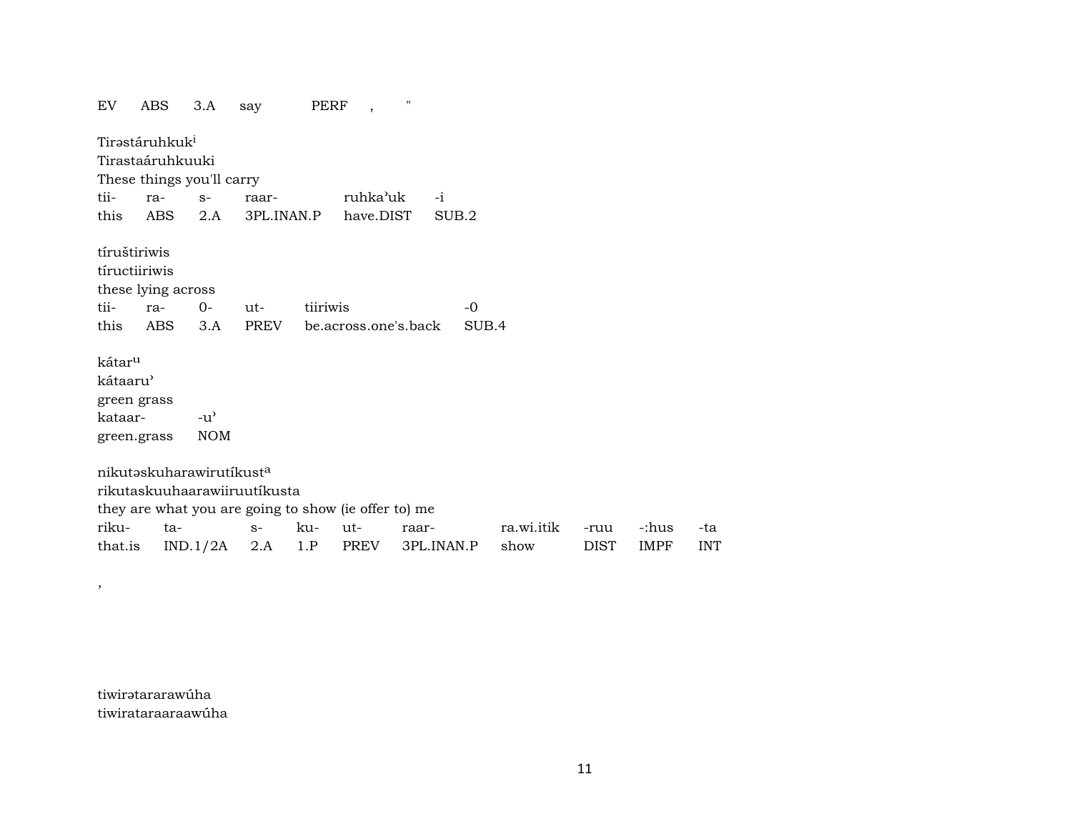PERF, ABS  $3.A$  $\mathbf{u}$ EV say Tirəstáruhkuk<sup>i</sup> Tirastaáruhkuuki These things you'll carry  $S -i$ tiiraraarruhka'uk  $2.A$ 3PL.INAN.P this **ABS** have.DIST  $SUB.2$ tíruštiriwis tíructiiriwis these lying across tiiratiiriwis  $-0$  $O$  $ut$ this ABS  $3.A$ **PREV** be.across.one's.back SUB.4 kátar<sup>u</sup> kátaaru<sup>)</sup> green grass  $-u^{\prime}$ kataar-**NOM** green.grass nikutaskuharawirutikust<sup>a</sup> rikutaskuuhaarawiiruutíkusta they are what you are going to show (ie offer to) me rikuta- $S$ ku $ut$ raarra.wi.itik -ruu -:hus that.is  $IND.1/2A$  2.A  $1.P$ **PREV** 3PL.INAN.P show **DIST IMPF** 

tiwirətararawúha tiwirataraaraawúha

 $\overline{\phantom{a}}$ 

-ta

**INT**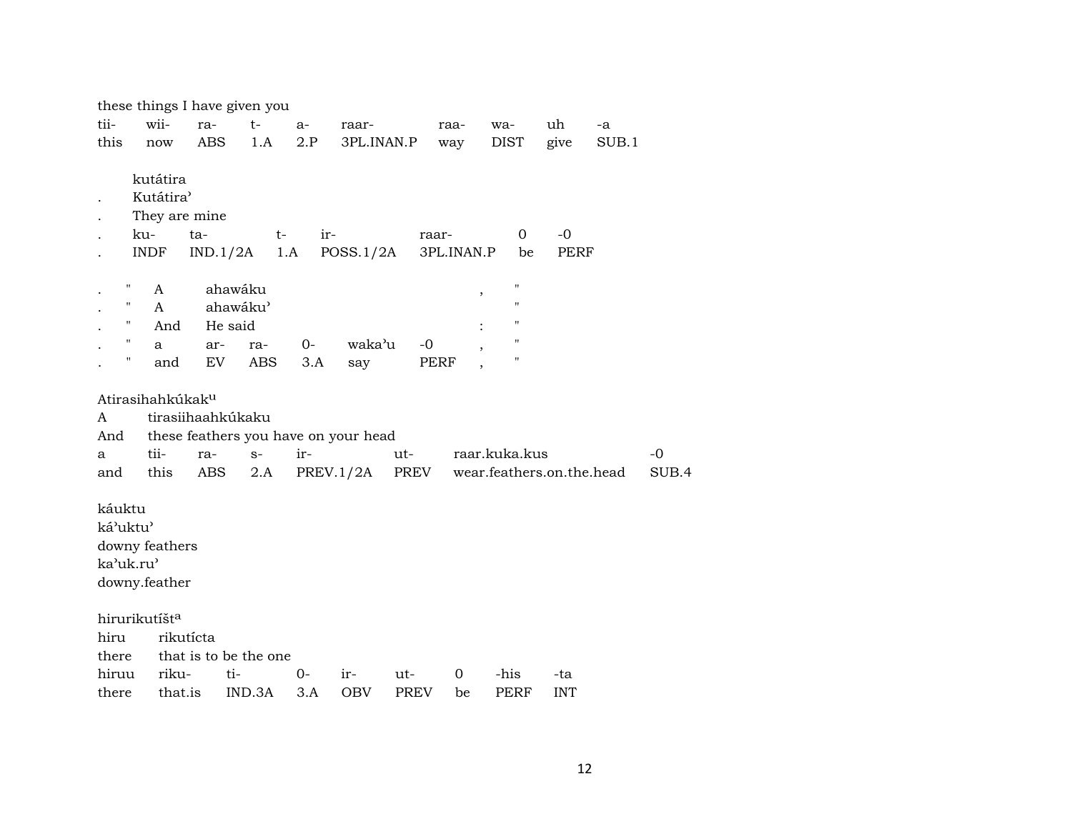|                                          |                                                                         | these things I have given you |        |      |                                      |             |             |                           |                     |       |       |
|------------------------------------------|-------------------------------------------------------------------------|-------------------------------|--------|------|--------------------------------------|-------------|-------------|---------------------------|---------------------|-------|-------|
| tii-                                     | wii-                                                                    | ra-                           | $t-$   | a-   | raar-                                |             | raa-        | wa-                       | uh                  | -a    |       |
| this                                     | $\operatorname{now}$                                                    | ABS                           | 1.A    | 2.P  | 3PL.INAN.P                           |             | way         | DIST                      | give                | SUB.1 |       |
|                                          | kutátira<br>Kutátira <sup></sup><br>They are mine<br>ku-<br><b>INDF</b> | ta-<br>$IND.1/2A$ 1.A         | $t-$   | ir-  | POSS.1/2A                            | raar-       | 3PL.INAN.P  | $\mathbf 0$<br>be         | $-0$<br><b>PERF</b> |       |       |
| Η                                        | A                                                                       | ahawáku                       |        |      |                                      |             | ,           | $\blacksquare$            |                     |       |       |
| 11                                       | A                                                                       | ahawáku'                      |        |      |                                      |             |             | $\pmb{\mathsf{H}}$        |                     |       |       |
| $\pmb{\mathsf{H}}$                       | And                                                                     | He said                       |        |      |                                      |             |             | П                         |                     |       |       |
| $\pmb{\mathsf{H}}$                       | a                                                                       | ar-                           | ra-    | $0-$ | waka'u                               | $-0$        |             | "                         |                     |       |       |
| Ħ                                        | and                                                                     | EV                            | ABS    | 3.A  | say                                  | PERF        |             | П                         |                     |       |       |
| Atirasihahkúkak <sup>u</sup><br>A<br>And |                                                                         | tirasiihaahkúkaku             |        |      | these feathers you have on your head |             |             |                           |                     |       |       |
| a                                        | tii-                                                                    | ra-                           | $S-$   | ir-  |                                      | ut-         |             | raar.kuka.kus             |                     |       | $-0$  |
| and                                      | this                                                                    | ABS                           | 2.A    |      | PREV.1/2A                            | PREV        |             | wear.feathers.on.the.head |                     |       | SUB.4 |
| káuktu<br>ká'uktu'<br>ka'uk.ru'          | downy feathers<br>downy.feather                                         |                               |        |      |                                      |             |             |                           |                     |       |       |
| hirurikutíšt <sup>a</sup>                |                                                                         |                               |        |      |                                      |             |             |                           |                     |       |       |
| hiru                                     | rikutícta                                                               |                               |        |      |                                      |             |             |                           |                     |       |       |
| there                                    |                                                                         | that is to be the one         |        |      |                                      |             |             |                           |                     |       |       |
| hiruu                                    | riku-                                                                   | ti-                           |        | 0-   | ir-                                  | ut-         | $\mathbf 0$ | -his                      | -ta                 |       |       |
| there                                    | that.is                                                                 |                               | IND.3A | 3.A  | <b>OBV</b>                           | <b>PREV</b> | be          | PERF                      | <b>INT</b>          |       |       |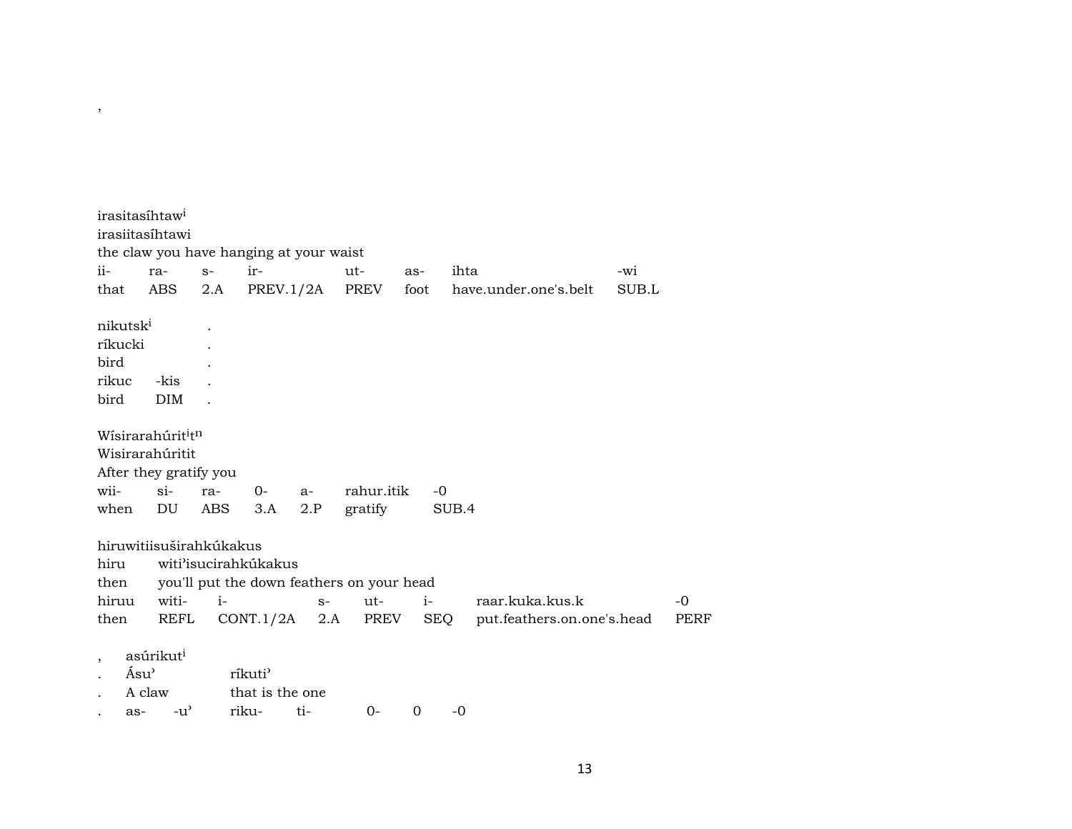| the claw you have hanging at your waist<br>$ii-$<br>$S-$<br>ir-<br>$ut -$<br>ihta<br>-wi<br>ra-<br>as-<br>PREV.1/2A<br>PREV<br>SUB.L<br>ABS<br>2.A<br>foot<br>have.under.one's.belt<br>that<br>nikutsk <sup>i</sup><br>ríkucki<br>bird<br>rikuc<br>-kis<br><b>DIM</b><br>bird |             |
|-------------------------------------------------------------------------------------------------------------------------------------------------------------------------------------------------------------------------------------------------------------------------------|-------------|
|                                                                                                                                                                                                                                                                               |             |
|                                                                                                                                                                                                                                                                               |             |
|                                                                                                                                                                                                                                                                               |             |
| Wísirarahúrit <sup>i</sup> tn<br>Wisirarahúritit<br>After they gratify you<br>$si$ -<br>wii-<br>rahur.itik<br>$-0$<br>ra-<br>$O -$<br>$a-$<br>DU<br>when<br>ABS<br>3.A<br>2.P<br>gratify<br>SUB.4                                                                             |             |
| hiruwitiisuširahkúkakus                                                                                                                                                                                                                                                       |             |
| witi'isucirahkúkakus<br>hiru                                                                                                                                                                                                                                                  |             |
| you'll put the down feathers on your head<br>then                                                                                                                                                                                                                             |             |
| witi-<br>$i-$<br>ut-<br>$i-$<br>raar.kuka.kus.k<br>hiruu<br>$S-$                                                                                                                                                                                                              | $-0$        |
| PREV<br><b>REFL</b><br>CONT.1/2A<br>SEQ<br>put.feathers.on.one's.head<br>then<br>2.A                                                                                                                                                                                          | <b>PERF</b> |
| asúrikut <sup>i</sup><br>$\cdot$<br>Ásu <sup>3</sup><br>ríkuti <sup>3</sup><br>that is the one<br>A claw<br>$-u^{\prime}$<br>riku-<br>ti-<br>$0-$<br>0<br>$-0$<br>as-                                                                                                         |             |

 $\overline{\phantom{a}}$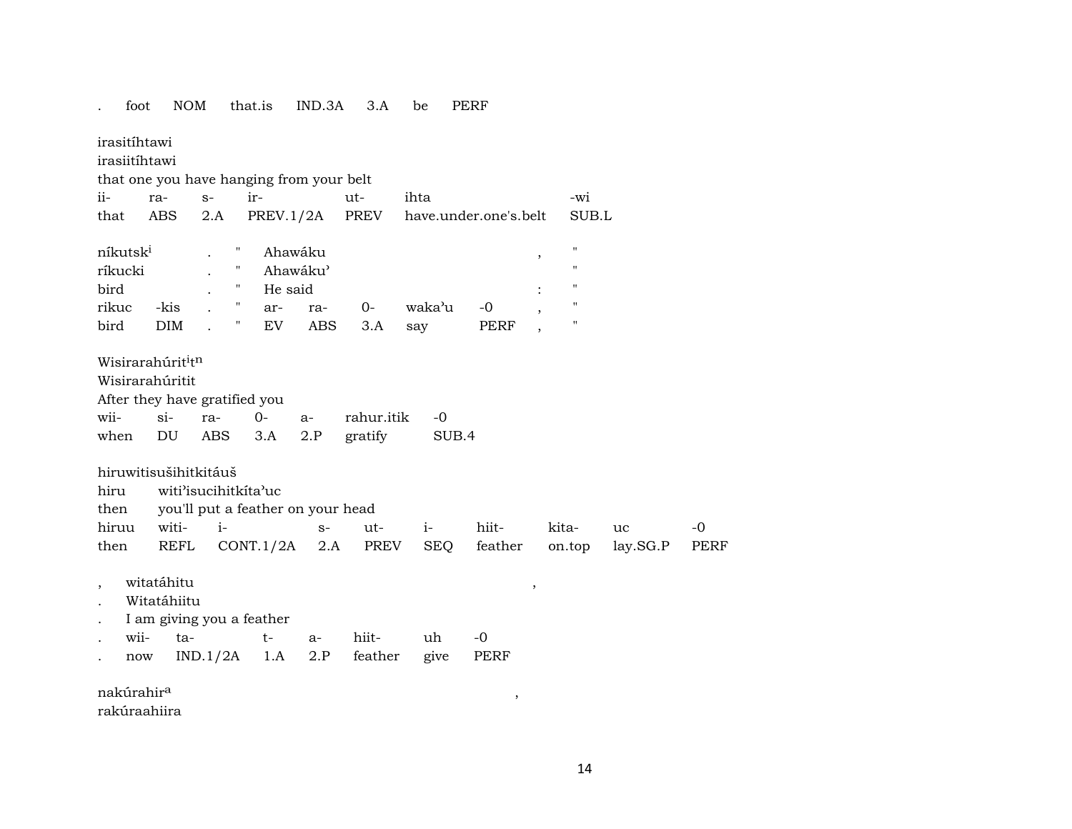#### irasitíhtawi irasiitíhtawi that one you have hanging from your belt  $ii$ ra- $S$ ir $ut$ ihta -wi  $2.A$ **PREV** have.under.one's.belt that ABS  $PREV.1/2A$ SUB.L  $\boldsymbol{\mathsf{u}}$ Ahawáku níkutsk<sup>i</sup>  $\mathbf{H}$  $\mathbf{r}$ ríkucki  $\mathbf{u}$ Ahawáku'  $\ddot{\phantom{a}}$ bird  $\mathbf{u}$ He said  $\ddot{\phantom{a}}$  $\bullet$  $\mathbf{u}$  $-0$ rikuc -kis arra- $0$ waka'u  $\ddot{\phantom{a}}$ **PERF** bird  $DIM$  $\mathbf{u}$ **ABS** EV  $3.A$ say  $\ddot{\phantom{a}}$ Wisirarahúrit<sup>i</sup>tn Wisirarahúritit After they have gratified you wii $si$ ra- $O$ rahur.itik  $-0$  $a 2.P$ gratify SUB.4 when DU **ABS**  $3.A$ hiruwitisušihitkitáuš witi'isucihitkita'uc hiru you'll put a feather on your head then hiruu witi $i S$ ut $i$ hiitkitauc lay.SG.P then REFL  $CONT.1/2A$  2.A **PREV SEO** feather on.top witatáhitu  $\overline{\phantom{a}}$  $\cdot$ Witatáhiitu I am giving you a feather wiita $t$ hiit- $-0$  $a$ uh  $IND.1/2A$  1.A give  $2.P$ feather PERF now

 $IND.3A$   $3.A$ 

be

**PERF** 

nakúrahir<sup>a</sup>

foot

**NOM** 

that.is

rakúraahiira

 $\,$ 

 $-0$ 

**PERF**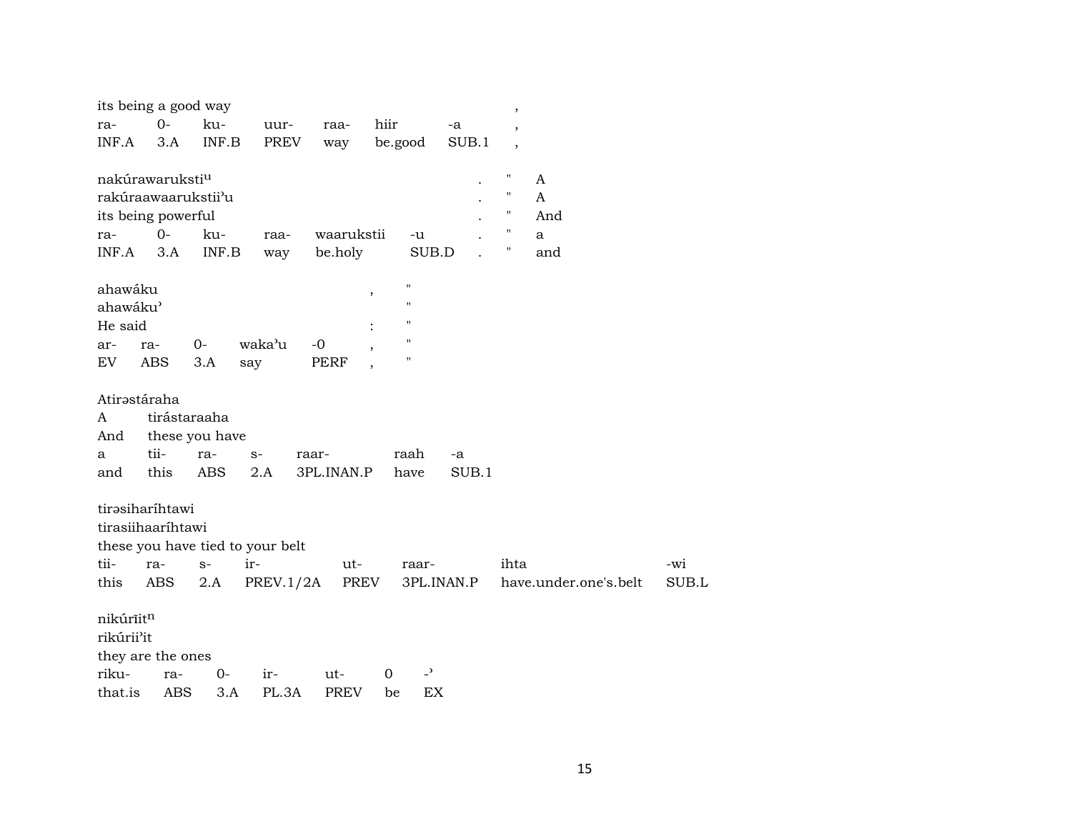| its being a good way        |              |                           |                                  |             |             |                    |            | $\, ,$                   |                       |       |
|-----------------------------|--------------|---------------------------|----------------------------------|-------------|-------------|--------------------|------------|--------------------------|-----------------------|-------|
| ra-                         | $0-$         | ku-                       | uur-                             | raa-        | hiir        |                    | -a         | $\overline{\phantom{a}}$ |                       |       |
| INF.A                       | 3.A          | $\textsf{INF}.\textsf{B}$ | PREV                             | way         | be.good     |                    | SUB.1      | $\overline{\phantom{a}}$ |                       |       |
|                             |              |                           |                                  |             |             |                    |            |                          |                       |       |
| nakúrawaruksti <sup>u</sup> |              |                           |                                  |             |             |                    |            | $\pmb{\mathsf{H}}$       | A                     |       |
| rakúraawaarukstii'u         |              |                           |                                  |             |             |                    |            | "                        | A                     |       |
| its being powerful          |              |                           |                                  |             |             |                    |            | $\pmb{\mathsf{H}}$       | And                   |       |
| ra-                         | $0-$         | ku-                       | raa-                             | waarukstii  |             | -u                 |            | $\pmb{\shortparallel}$   | a                     |       |
| INF.A                       | 3.A          | INF.B                     | way                              | be.holy     |             | SUB.D              |            | н                        | and                   |       |
|                             |              |                           |                                  |             |             |                    |            |                          |                       |       |
| ahawáku                     |              |                           |                                  |             | ,           | $\pmb{\mathsf{H}}$ |            |                          |                       |       |
| ahawáku'                    |              |                           |                                  |             |             | $\pmb{\mathsf{H}}$ |            |                          |                       |       |
| He said                     |              |                           |                                  |             |             | $\mathbf{H}$       |            |                          |                       |       |
| ar-                         | ra-          | $O -$                     | waka'u                           | -0          |             | $\pmb{\mathsf{H}}$ |            |                          |                       |       |
| EV                          | ABS          | 3.A                       | say                              | PERF        |             | $\blacksquare$     |            |                          |                       |       |
|                             |              |                           |                                  |             |             |                    |            |                          |                       |       |
| Atirastáraha                |              |                           |                                  |             |             |                    |            |                          |                       |       |
| A                           | tirástaraaha |                           |                                  |             |             |                    |            |                          |                       |       |
| And                         |              | these you have            |                                  |             |             |                    |            |                          |                       |       |
| a                           | tii-         | ra-                       | $S-$                             | raar-       |             | raah               | -a         |                          |                       |       |
| and                         | this         | <b>ABS</b>                | 2.A                              | 3PL.INAN.P  |             | have               | SUB.1      |                          |                       |       |
|                             |              |                           |                                  |             |             |                    |            |                          |                       |       |
| tirasiharíhtawi             |              |                           |                                  |             |             |                    |            |                          |                       |       |
| tirasiihaaríhtawi           |              |                           |                                  |             |             |                    |            |                          |                       |       |
|                             |              |                           | these you have tied to your belt |             |             |                    |            |                          |                       |       |
| tii-                        | ra-          | $S-$                      | ir-                              | ut-         |             | raar-              |            | ihta                     |                       | -wi   |
| this                        | ABS          | 2.A                       | PREV.1/2A                        | PREV        |             |                    | 3PL.INAN.P |                          | have.under.one's.belt | SUB.L |
|                             |              |                           |                                  |             |             |                    |            |                          |                       |       |
| nikúriitn                   |              |                           |                                  |             |             |                    |            |                          |                       |       |
| rikúrii'it                  |              |                           |                                  |             |             |                    |            |                          |                       |       |
| they are the ones           |              |                           |                                  |             |             |                    |            |                          |                       |       |
| riku-                       | ra-          | $0-$                      | ir-                              | ut-         | $\mathbf 0$ | $\overline{a}$     |            |                          |                       |       |
| that.is                     | <b>ABS</b>   | 3.A                       | PL.3A                            | <b>PREV</b> | be          | EX                 |            |                          |                       |       |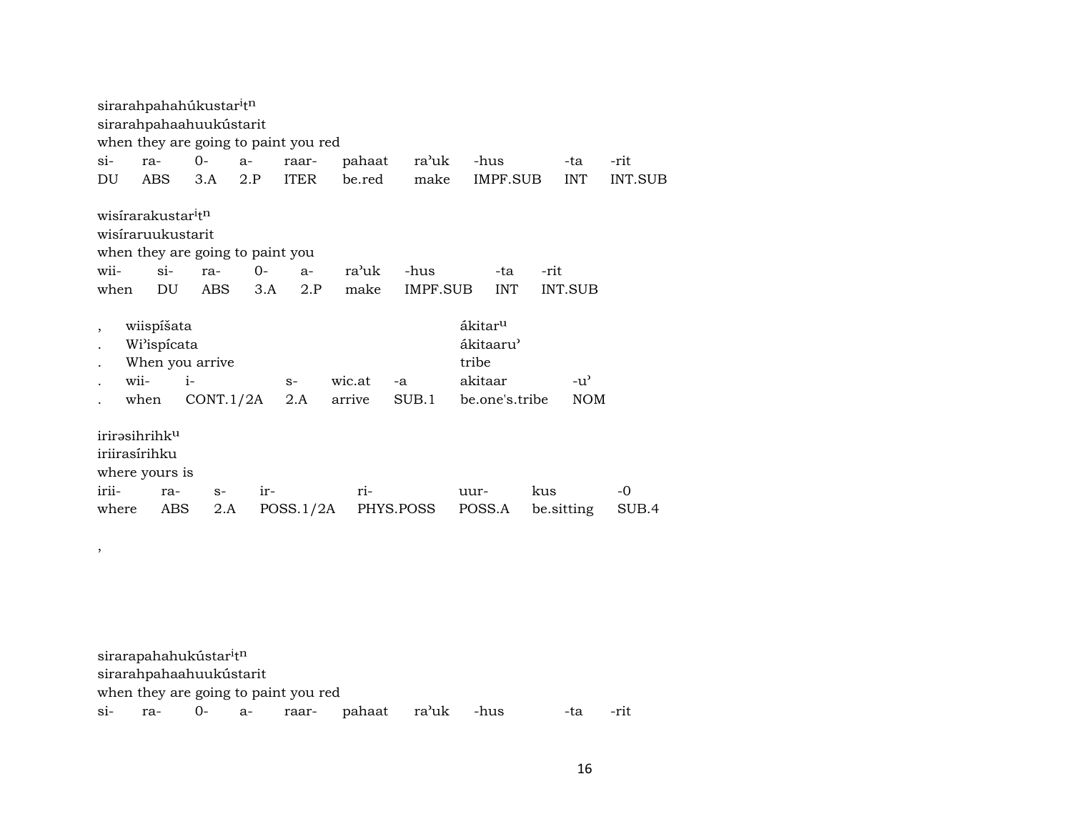|                          | sirarahpahahúkustar <sup>i</sup> t <sup>n</sup> |      |      |                                  |                                      |        |           |                       |      |               |         |
|--------------------------|-------------------------------------------------|------|------|----------------------------------|--------------------------------------|--------|-----------|-----------------------|------|---------------|---------|
|                          | sirarahpahaahuukústarit                         |      |      |                                  |                                      |        |           |                       |      |               |         |
|                          |                                                 |      |      |                                  | when they are going to paint you red |        |           |                       |      |               |         |
| $\sin$                   | ra-                                             | $0-$ |      | $a-$                             | raar-                                | pahaat | ra'uk     | -hus                  |      | -ta           | -rit    |
| DU                       | ABS                                             |      | 3.A  | 2.P                              | <b>ITER</b>                          | be.red | make      | IMPF.SUB              |      | <b>INT</b>    | INT.SUB |
|                          |                                                 |      |      |                                  |                                      |        |           |                       |      |               |         |
|                          | wisirarakustar <sup>i</sup> t <sup>n</sup>      |      |      |                                  |                                      |        |           |                       |      |               |         |
|                          | wisiraruukustarit                               |      |      |                                  |                                      |        |           |                       |      |               |         |
|                          |                                                 |      |      | when they are going to paint you |                                      |        |           |                       |      |               |         |
| wii-                     | $\sin$                                          |      | ra-  | $O -$                            | $a-$                                 | ra'uk  | -hus      | -ta                   | -rit |               |         |
| when                     | DU                                              |      | ABS  | 3.A                              | 2.P                                  | make   | IMPF.SUB  | <b>INT</b>            |      | INT.SUB       |         |
|                          |                                                 |      |      |                                  |                                      |        |           |                       |      |               |         |
| $\overline{\phantom{a}}$ | wiispíšata                                      |      |      |                                  |                                      |        |           | ákitar <sup>u</sup>   |      |               |         |
|                          | Wi'ispícata                                     |      |      |                                  |                                      |        |           | ákitaaru <sup>)</sup> |      |               |         |
|                          | When you arrive                                 |      |      |                                  |                                      |        |           | tribe                 |      |               |         |
|                          | wii-                                            | $i-$ |      |                                  | $S-$                                 | wic.at | -a        | akitaar               |      | $-u^{\prime}$ |         |
|                          | when                                            |      |      | CONT.1/2A                        | 2.A                                  | arrive | SUB.1     | be.one's.tribe        |      | <b>NOM</b>    |         |
|                          |                                                 |      |      |                                  |                                      |        |           |                       |      |               |         |
|                          | irirəsihrihk <sup>u</sup>                       |      |      |                                  |                                      |        |           |                       |      |               |         |
|                          | iriirasírihku                                   |      |      |                                  |                                      |        |           |                       |      |               |         |
|                          | where yours is                                  |      |      |                                  |                                      |        |           |                       |      |               |         |
| irii-                    | ra-                                             |      | $S-$ | $ir-$                            |                                      | ri-    |           | uur-                  | kus  |               | -0      |
| where                    |                                                 | ABS  | 2.A  |                                  | POSS.1/2A                            |        | PHYS.POSS | POSS.A                |      | be sitting    | SUB.4   |

sirarapahahukústar $^{\rm i}$ t $^{\rm n}$ sirarahpahaahuukústarit when they are going to paint you red si- ra- 0- a- raar- pahaat ra'uk -hus -ta -rit

,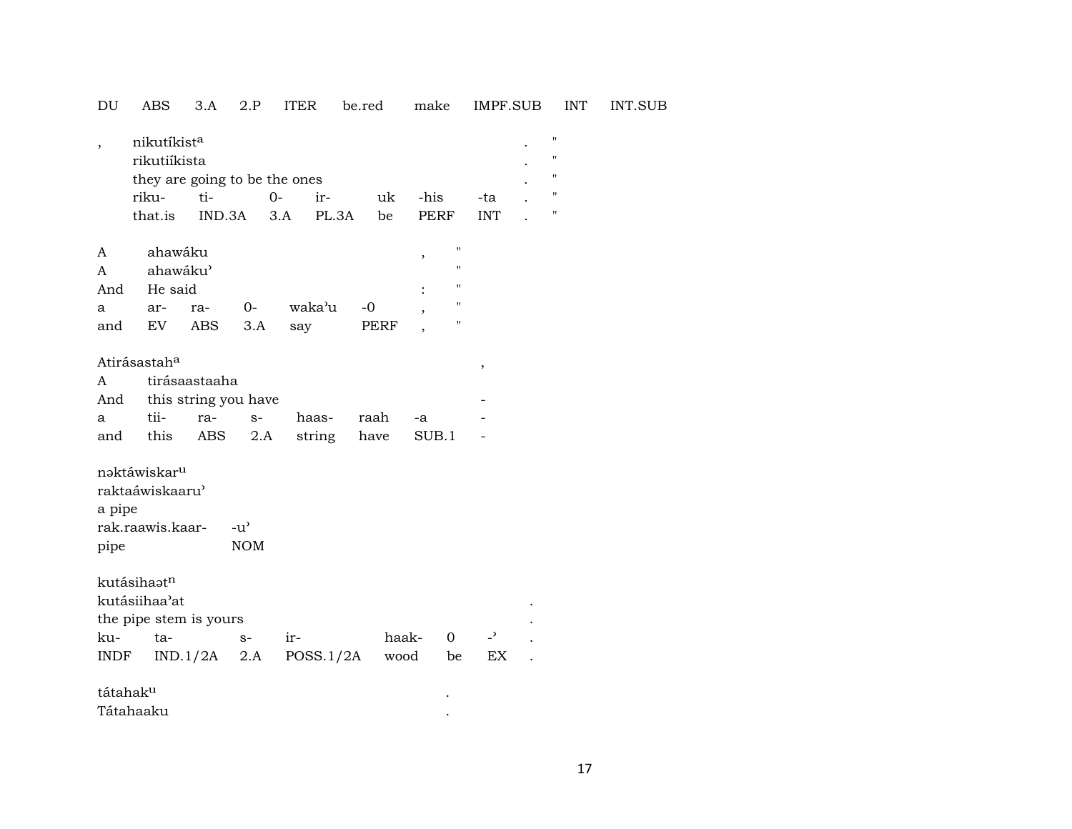| DU                        | ABS                                                                   | 3.A                         | 2.P                                 | <b>ITER</b>     | be.red       | make           | IMPF.SUB                                                                                                   | <b>INT</b>          | INT.SUB |
|---------------------------|-----------------------------------------------------------------------|-----------------------------|-------------------------------------|-----------------|--------------|----------------|------------------------------------------------------------------------------------------------------------|---------------------|---------|
| $\overline{\phantom{a}}$  | nikutíkista<br>rikutiíkista<br>they are going to be the ones<br>riku- | ti-                         | $0-$                                | ir-             | uk           | -his           | -ta                                                                                                        | п<br>H.<br>11<br>11 |         |
|                           | that.is                                                               |                             | IND.3A                              | 3.A             | PL.3A<br>be  | <b>PERF</b>    | <b>INT</b>                                                                                                 | п                   |         |
| A<br>A<br>And<br>a<br>and | ahawáku<br>ahawáku'<br>He said<br>ar-<br>EV                           | ra-<br>ABS                  | 0-<br>3.A                           | waka'u<br>say   | $-0$<br>PERF | $\, ,$         | $\pmb{\mathsf{H}}$<br>$\pmb{\mathsf{H}}$<br>$\pmb{\mathsf{H}}$<br>$\pmb{\mathsf{H}}$<br>$\pmb{\mathsf{H}}$ |                     |         |
| A<br>And<br>a<br>and      | Atirásastah <sup>a</sup><br>tii-<br>this                              | tirásaastaaha<br>ra-<br>ABS | this string you have<br>$S-$<br>2.A | haas-<br>string | raah<br>have | -a<br>SUB.1    | $\pmb{\cdot}$                                                                                              |                     |         |
| a pipe<br>pipe            | naktáwiskar <sup>u</sup><br>raktaáwiskaaru'<br>rak.raawis.kaar-       |                             | $-u^{\prime}$<br><b>NOM</b>         |                 |              |                |                                                                                                            |                     |         |
| ku-                       | kutásihaatn<br>kutásiihaa'at<br>the pipe stem is yours<br>ta-         |                             | $S-$                                | $ir-$           | haak-        | $\overline{0}$ | $\overline{\phantom{0}}$                                                                                   |                     |         |
| INDF<br>tátahaku          |                                                                       | IND.1/2A                    | 2.A                                 | POSS.1/2A       | wood         | be             | EX                                                                                                         |                     |         |

Tátahaaku .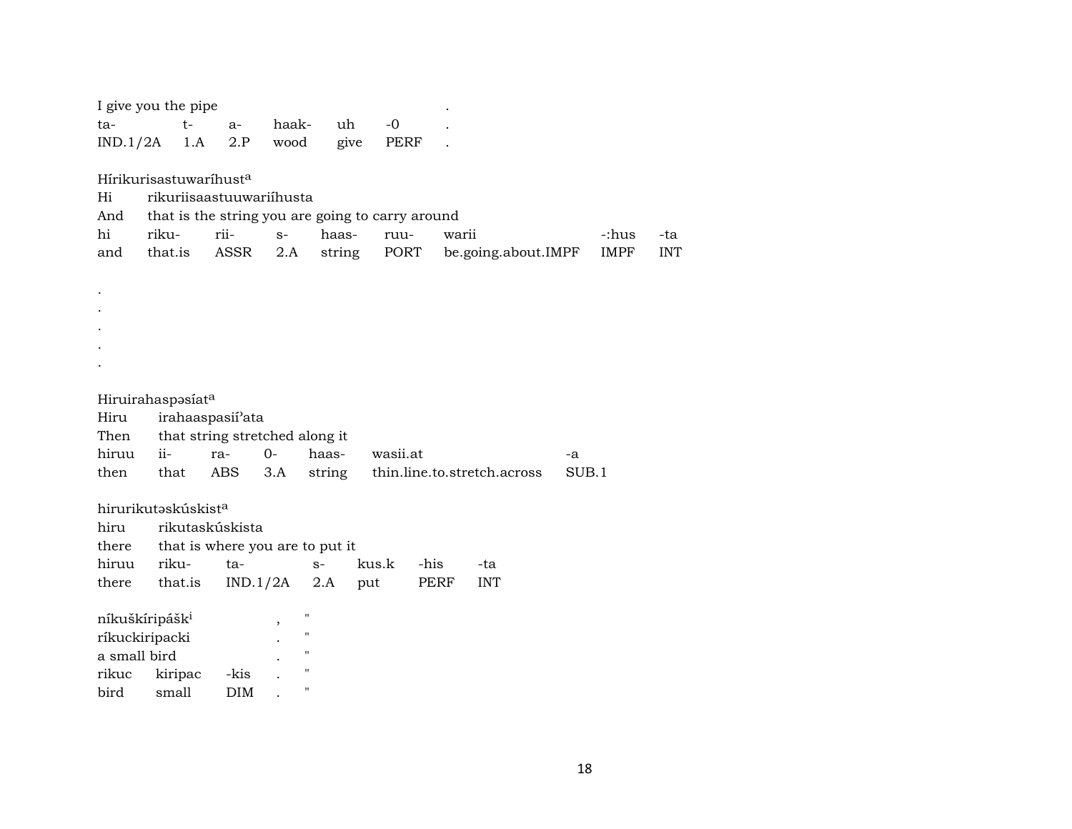| I give you the pipe                |         |      |                               |                                 |        |                                                  |      |                             |       |             |            |
|------------------------------------|---------|------|-------------------------------|---------------------------------|--------|--------------------------------------------------|------|-----------------------------|-------|-------------|------------|
| ta-                                |         | $t-$ | $a-$                          | haak-                           | uh     | $-0$                                             |      |                             |       |             |            |
| IND.1/2A                           |         | 1.A  | 2.P                           | wood                            | give   | PERF                                             |      |                             |       |             |            |
|                                    |         |      |                               |                                 |        |                                                  |      |                             |       |             |            |
| Hírikurisastuwaríhust <sup>a</sup> |         |      |                               |                                 |        |                                                  |      |                             |       |             |            |
| Hi                                 |         |      |                               | rikuriisaastuuwariihusta        |        |                                                  |      |                             |       |             |            |
| And                                |         |      |                               |                                 |        | that is the string you are going to carry around |      |                             |       |             |            |
| hi                                 | riku-   |      | rii-                          | $S-$                            | haas-  | ruu-                                             |      | warii                       |       | -:hus       | -ta        |
| and                                | that.is |      | ASSR                          | 2.A                             | string | PORT                                             |      | be.going.about.IMPF         |       | <b>IMPF</b> | <b>INT</b> |
|                                    |         |      |                               |                                 |        |                                                  |      |                             |       |             |            |
|                                    |         |      |                               |                                 |        |                                                  |      |                             |       |             |            |
|                                    |         |      |                               |                                 |        |                                                  |      |                             |       |             |            |
|                                    |         |      |                               |                                 |        |                                                  |      |                             |       |             |            |
|                                    |         |      |                               |                                 |        |                                                  |      |                             |       |             |            |
|                                    |         |      |                               |                                 |        |                                                  |      |                             |       |             |            |
| Hiruirahaspasíat <sup>a</sup>      |         |      |                               |                                 |        |                                                  |      |                             |       |             |            |
| Hiru                               |         |      | irahaaspasii <sup>3</sup> ata |                                 |        |                                                  |      |                             |       |             |            |
| Then                               |         |      |                               | that string stretched along it  |        |                                                  |      |                             |       |             |            |
| hiruu                              | ii-     |      | ra-                           | $0-$                            | haas-  | wasii.at                                         |      |                             | -a    |             |            |
| then                               | that    |      | ABS                           | 3.A                             | string |                                                  |      | thin.line.to.stretch.across | SUB.1 |             |            |
|                                    |         |      |                               |                                 |        |                                                  |      |                             |       |             |            |
| hirurikutaskúskist <sup>a</sup>    |         |      |                               |                                 |        |                                                  |      |                             |       |             |            |
| hiru                               |         |      | rikutaskúskista               |                                 |        |                                                  |      |                             |       |             |            |
| there                              |         |      |                               | that is where you are to put it |        |                                                  |      |                             |       |             |            |
| hiruu                              | riku-   |      | ta-                           |                                 | $S-$   | kus.k                                            | -his | -ta                         |       |             |            |
| there                              | that.is |      | IND.1/2A                      |                                 | 2.A    | put                                              | PERF | <b>INT</b>                  |       |             |            |
|                                    |         |      |                               |                                 |        |                                                  |      |                             |       |             |            |
| níkuškíripášk <sup>i</sup>         |         |      |                               | $\pmb{\mathsf{H}}$              |        |                                                  |      |                             |       |             |            |
| ríkuckiripacki                     |         |      |                               | $\pmb{\mathsf{H}}$              |        |                                                  |      |                             |       |             |            |
| a small bird                       |         |      |                               | $\mathbf{H}$                    |        |                                                  |      |                             |       |             |            |
| rikuc                              | kiripac |      | -kis                          | $\pmb{\mathsf{H}}$              |        |                                                  |      |                             |       |             |            |
| bird                               | small   |      | <b>DIM</b>                    | $\pmb{\mathsf{H}}$              |        |                                                  |      |                             |       |             |            |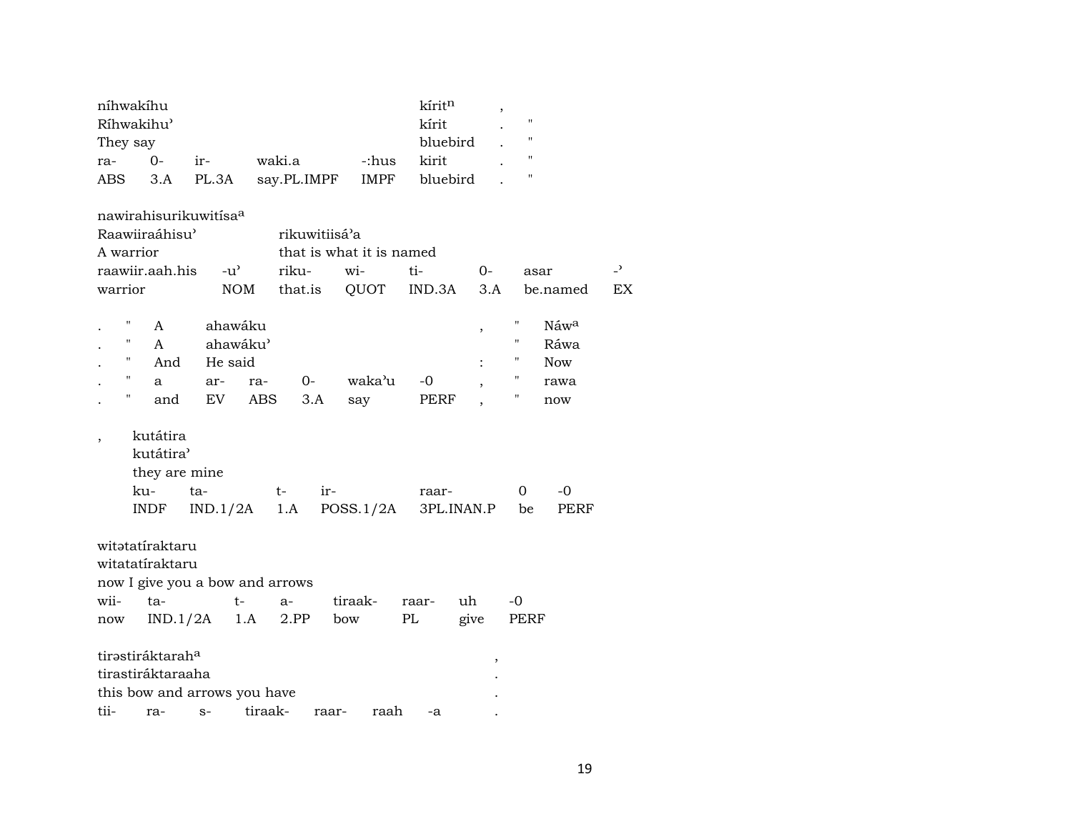|                          | níhwakíhu                    |                                 |         |               |                          | kíritn   | $\,$       |                    |            |                          |
|--------------------------|------------------------------|---------------------------------|---------|---------------|--------------------------|----------|------------|--------------------|------------|--------------------------|
|                          | Ríhwakihu'                   |                                 |         |               |                          | kírit    |            | $\pmb{\mathsf{H}}$ |            |                          |
| They say                 |                              |                                 |         |               |                          | bluebird |            | $\pmb{\mathsf{H}}$ |            |                          |
| ra-                      | $0 -$                        | ir-                             | waki.a  |               | -:hus                    | kirit    |            | $\pmb{\mathsf{H}}$ |            |                          |
| <b>ABS</b>               | 3.A                          | PL.3A                           |         | say.PL.IMPF   | IMPF                     | bluebird |            | $\pmb{\mathsf{H}}$ |            |                          |
|                          |                              |                                 |         |               |                          |          |            |                    |            |                          |
|                          |                              | nawirahisurikuwitisaa           |         |               |                          |          |            |                    |            |                          |
|                          | Raawiiraáhisu'               |                                 |         | rikuwitiisá'a |                          |          |            |                    |            |                          |
| A warrior                |                              |                                 |         |               | that is what it is named |          |            |                    |            |                          |
|                          | raawiir.aah.his              | $-u^{\prime}$                   |         | riku-         | wi-                      | ti-      | $0-$       | asar               |            | $\overline{\phantom{0}}$ |
| warrior                  |                              | <b>NOM</b>                      |         | that.is       | QUOT                     | IND.3A   | 3.A        |                    | be.named   | EX                       |
|                          |                              |                                 |         |               |                          |          |            |                    |            |                          |
|                          | A                            | ahawáku                         |         |               |                          |          | $\, ,$     | 11                 | Náwa       |                          |
| н                        | A                            | ahawáku'                        |         |               |                          |          |            | $\pmb{\mathsf{H}}$ | Ráwa       |                          |
| н                        | And                          | He said                         |         |               |                          |          |            | "                  | <b>Now</b> |                          |
| 11                       | a                            | ar-                             | ra-     | $0-$          | waka'u                   | $-0$     |            | "                  | rawa       |                          |
| Н                        | and                          | EV                              | ABS     | 3.A           | say                      | PERF     |            | "                  | now        |                          |
|                          |                              |                                 |         |               |                          |          |            |                    |            |                          |
| $\overline{\phantom{a}}$ | kutátira                     |                                 |         |               |                          |          |            |                    |            |                          |
|                          | kutátira <sup></sup>         |                                 |         |               |                          |          |            |                    |            |                          |
|                          | they are mine                |                                 |         |               |                          |          |            |                    |            |                          |
|                          | ku-                          | ta-                             | t-      | ir-           |                          | raar-    |            | 0                  | $-0$       |                          |
|                          | INDF                         | IND.1/2A                        |         | 1.A           | POSS.1/2A                |          | 3PL.INAN.P | be                 | PERF       |                          |
|                          |                              |                                 |         |               |                          |          |            |                    |            |                          |
|                          | witatatíraktaru              |                                 |         |               |                          |          |            |                    |            |                          |
|                          | witatatíraktaru              |                                 |         |               |                          |          |            |                    |            |                          |
|                          |                              | now I give you a bow and arrows |         |               |                          |          |            |                    |            |                          |
| wii-                     | ta-                          | $t-$                            |         | a-            | tiraak-                  | raar-    | uh         | $-0$               |            |                          |
| now                      | IND.1/2A                     |                                 | 1.A     | 2.PP          | bow                      | PL       | give       | PERF               |            |                          |
|                          |                              |                                 |         |               |                          |          |            |                    |            |                          |
|                          | tirəstiráktarah <sup>a</sup> |                                 |         |               |                          |          |            |                    |            |                          |
|                          | tirastiráktaraaha            |                                 |         |               |                          |          |            |                    |            |                          |
|                          |                              | this bow and arrows you have    |         |               |                          |          |            |                    |            |                          |
| tii-                     | ra-                          | $S-$                            | tiraak- | raar-         | raah                     | -a       |            |                    |            |                          |
|                          |                              |                                 |         |               |                          |          |            |                    |            |                          |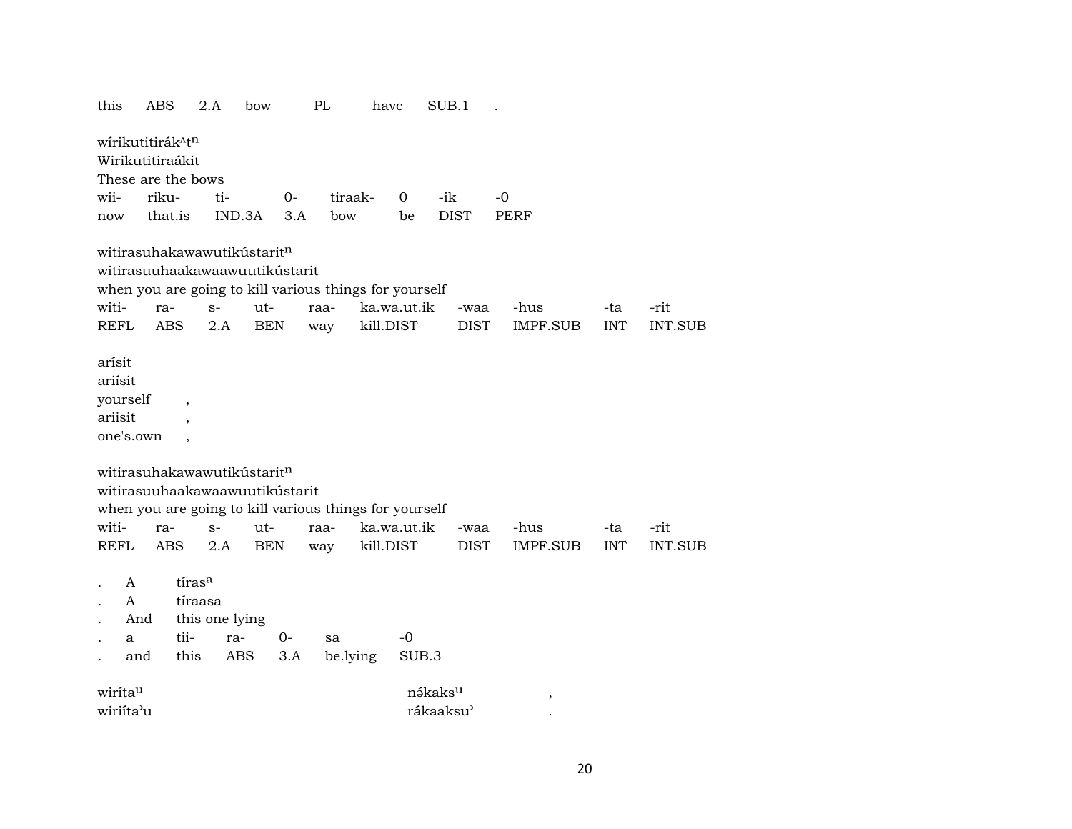| wírikutitirák <sup>^tn</sup><br>Wirikutitiraákit<br>These are the bows<br>wii-<br>riku-<br>tiraak-<br>-ik<br>$-0$<br>ti-<br>$0-$<br>$\Omega$<br>that.is<br><b>DIST</b><br>IND.3A<br>3.A<br>bow<br><b>PERF</b><br>be<br>now<br>witirasuhakawawutikústarit <sup>n</sup><br>witirasuuhaakawaawuutikústarit<br>when you are going to kill various things for yourself<br>ut-<br>ka.wa.ut.ik<br>raa-<br>-hus<br>-rit<br>ra-<br>$S-$<br>-ta<br>-waa<br><b>BEN</b><br>kill.DIST<br><b>INT</b><br><b>ABS</b><br>2.A<br><b>DIST</b><br>IMPF.SUB<br><b>INT.SUB</b><br>way<br>yourself<br>ariisit<br>one's.own<br>witirasuhakawawutikústaritn<br>witirasuuhaakawaawuutikústarit<br>when you are going to kill various things for yourself<br>witi-<br>ka.wa.ut.ik<br>ut-<br>-hus<br>-rit<br>ra-<br>$S-$<br>raa-<br>-ta<br>-waa<br><b>REFL</b><br>2.A<br><b>BEN</b><br>kill.DIST<br><b>DIST</b><br>IMPF.SUB<br><b>INT</b><br><b>INT.SUB</b><br>ABS<br>way<br>tíras <sup>a</sup><br>A<br>$\mathbf{A}$<br>tíraasa<br>this one lying<br>And<br>tii-<br>$-0$<br>ra-<br>0-<br>sa<br>a<br>this<br>ABS<br>3.A<br>be.lying<br>SUB.3<br>and<br>nəkaks <sup>u</sup><br>wirita <sup>u</sup><br>$^\mathrm{^\mathrm{o}}$ | this              | <b>ABS</b> | 2.A | bow | PL | have | SUB.1 |  |  |
|-------------------------------------------------------------------------------------------------------------------------------------------------------------------------------------------------------------------------------------------------------------------------------------------------------------------------------------------------------------------------------------------------------------------------------------------------------------------------------------------------------------------------------------------------------------------------------------------------------------------------------------------------------------------------------------------------------------------------------------------------------------------------------------------------------------------------------------------------------------------------------------------------------------------------------------------------------------------------------------------------------------------------------------------------------------------------------------------------------------------------------------------------------------------------------------------------|-------------------|------------|-----|-----|----|------|-------|--|--|
|                                                                                                                                                                                                                                                                                                                                                                                                                                                                                                                                                                                                                                                                                                                                                                                                                                                                                                                                                                                                                                                                                                                                                                                                 |                   |            |     |     |    |      |       |  |  |
|                                                                                                                                                                                                                                                                                                                                                                                                                                                                                                                                                                                                                                                                                                                                                                                                                                                                                                                                                                                                                                                                                                                                                                                                 |                   |            |     |     |    |      |       |  |  |
|                                                                                                                                                                                                                                                                                                                                                                                                                                                                                                                                                                                                                                                                                                                                                                                                                                                                                                                                                                                                                                                                                                                                                                                                 |                   |            |     |     |    |      |       |  |  |
|                                                                                                                                                                                                                                                                                                                                                                                                                                                                                                                                                                                                                                                                                                                                                                                                                                                                                                                                                                                                                                                                                                                                                                                                 |                   |            |     |     |    |      |       |  |  |
|                                                                                                                                                                                                                                                                                                                                                                                                                                                                                                                                                                                                                                                                                                                                                                                                                                                                                                                                                                                                                                                                                                                                                                                                 |                   |            |     |     |    |      |       |  |  |
|                                                                                                                                                                                                                                                                                                                                                                                                                                                                                                                                                                                                                                                                                                                                                                                                                                                                                                                                                                                                                                                                                                                                                                                                 | witi-             |            |     |     |    |      |       |  |  |
|                                                                                                                                                                                                                                                                                                                                                                                                                                                                                                                                                                                                                                                                                                                                                                                                                                                                                                                                                                                                                                                                                                                                                                                                 | <b>REFL</b>       |            |     |     |    |      |       |  |  |
|                                                                                                                                                                                                                                                                                                                                                                                                                                                                                                                                                                                                                                                                                                                                                                                                                                                                                                                                                                                                                                                                                                                                                                                                 | arísit<br>ariísit |            |     |     |    |      |       |  |  |
|                                                                                                                                                                                                                                                                                                                                                                                                                                                                                                                                                                                                                                                                                                                                                                                                                                                                                                                                                                                                                                                                                                                                                                                                 |                   |            |     |     |    |      |       |  |  |
|                                                                                                                                                                                                                                                                                                                                                                                                                                                                                                                                                                                                                                                                                                                                                                                                                                                                                                                                                                                                                                                                                                                                                                                                 |                   |            |     |     |    |      |       |  |  |
|                                                                                                                                                                                                                                                                                                                                                                                                                                                                                                                                                                                                                                                                                                                                                                                                                                                                                                                                                                                                                                                                                                                                                                                                 |                   |            |     |     |    |      |       |  |  |
|                                                                                                                                                                                                                                                                                                                                                                                                                                                                                                                                                                                                                                                                                                                                                                                                                                                                                                                                                                                                                                                                                                                                                                                                 |                   |            |     |     |    |      |       |  |  |

wiriíta"u rákaaksu" .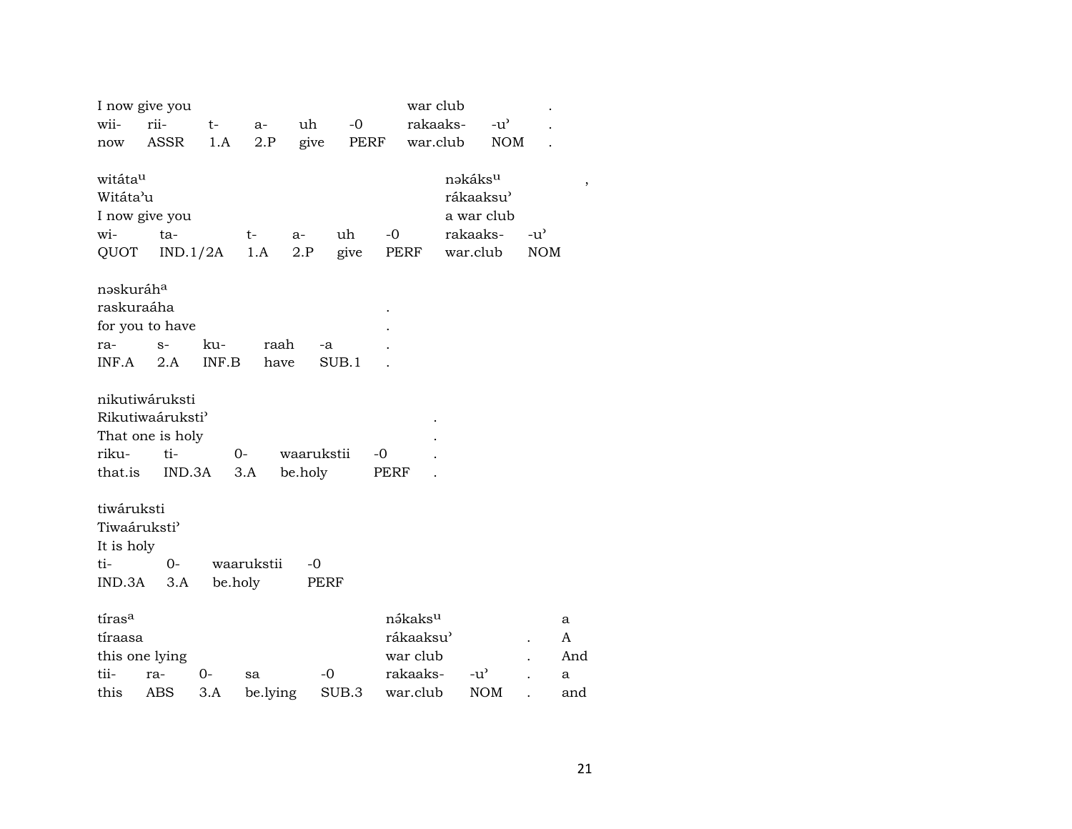|                          | I now give you              |          |            |            |       |                     | war club  |                       |               |     |
|--------------------------|-----------------------------|----------|------------|------------|-------|---------------------|-----------|-----------------------|---------------|-----|
| wii-                     | rii-                        | $t-$     | $a-$       | uh         | $-0$  |                     | rakaaks-  | $-u^{\prime}$         |               |     |
| now                      | ASSR                        | 1.A      | 2.P        | give       |       | PERF                | war.club  | <b>NOM</b>            |               |     |
|                          |                             |          |            |            |       |                     |           |                       |               |     |
| witáta <sup>u</sup>      |                             |          |            |            |       |                     |           | nəkáks <sup>u</sup>   |               |     |
| Witáta'u                 |                             |          |            |            |       |                     |           | rákaaksu <sup>)</sup> |               |     |
|                          | I now give you              |          |            |            |       |                     |           | a war club            |               |     |
| wi-                      | ta-                         |          | $t-$       | a-         | uh    | $-0$                |           | rakaaks-              | $-u^{\prime}$ |     |
| QUOT                     |                             | IND.1/2A | 1.A        | 2.P        | give  | PERF                |           | war.club              | <b>NOM</b>    |     |
| naskuráha                |                             |          |            |            |       |                     |           |                       |               |     |
| raskuraáha               |                             |          |            |            |       |                     |           |                       |               |     |
|                          | for you to have             |          |            |            |       |                     |           |                       |               |     |
| ra-                      | $S-$                        | ku-      | raah       | -a         |       |                     |           |                       |               |     |
| INF.A                    | 2.A                         | INF.B    | have       |            | SUB.1 |                     |           |                       |               |     |
|                          | nikutiwáruksti              |          |            |            |       |                     |           |                       |               |     |
|                          | Rikutiwaáruksti <sup></sup> |          |            |            |       |                     |           |                       |               |     |
|                          | That one is holy            |          |            |            |       |                     |           |                       |               |     |
| riku-                    | ti-                         |          | $O -$      | waarukstii |       | -0                  |           |                       |               |     |
| that.is                  |                             | IND.3A   | 3.A        | be.holy    |       | PERF                |           |                       |               |     |
|                          |                             |          |            |            |       |                     |           |                       |               |     |
| tiwáruksti               |                             |          |            |            |       |                     |           |                       |               |     |
| Tiwaáruksti <sup>3</sup> |                             |          |            |            |       |                     |           |                       |               |     |
| It is holy               |                             |          |            |            |       |                     |           |                       |               |     |
| ti-                      | $0-$                        |          | waarukstii | -0         |       |                     |           |                       |               |     |
| IND.3A                   | 3.A                         |          | be.holy    | PERF       |       |                     |           |                       |               |     |
| tíras <sup>a</sup>       |                             |          |            |            |       | nákaks <sup>u</sup> |           |                       |               | a   |
| tíraasa                  |                             |          |            |            |       |                     | rákaaksu' |                       |               | A   |
|                          | this one lying              |          |            |            |       | war club            |           |                       |               | And |
| tii-                     | ra-                         | $0-$     | sa         | $-0$       |       | rakaaks-            |           | $-u^{\prime}$         |               | a   |
| this                     | ABS                         | 3.A      | be.lying   |            | SUB.3 | war.club            |           | <b>NOM</b>            |               | and |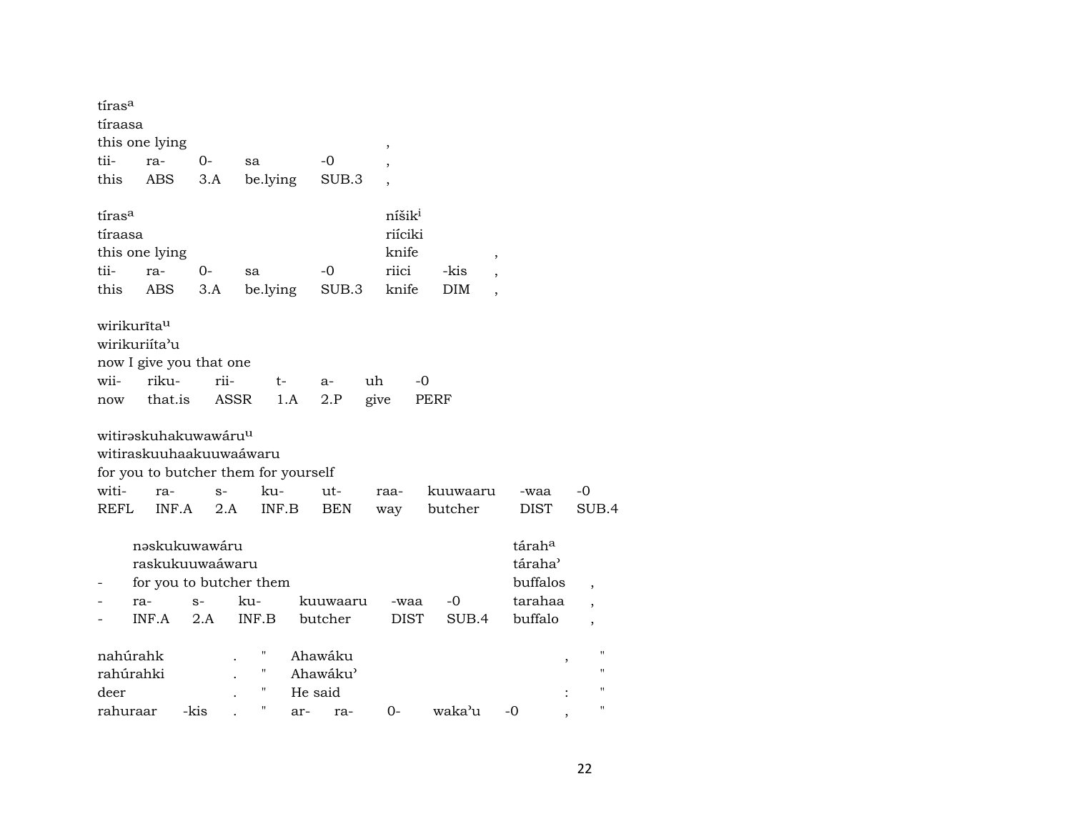| tíras <sup>a</sup>      |                |                         |                                      |         |            |                    |                       |                     |                          |
|-------------------------|----------------|-------------------------|--------------------------------------|---------|------------|--------------------|-----------------------|---------------------|--------------------------|
| tíraasa                 |                |                         |                                      |         |            |                    |                       |                     |                          |
|                         | this one lying |                         |                                      |         |            | ,                  |                       |                     |                          |
| tii-                    | ra-            | $0-$                    | sa                                   |         | $-0$       |                    |                       |                     |                          |
| this                    | ABS            | 3.A                     | be.lying                             |         | SUB.3      |                    |                       |                     |                          |
| tíras <sup>a</sup>      |                |                         |                                      |         |            | níšik <sup>i</sup> |                       |                     |                          |
| tíraasa                 |                |                         |                                      |         |            | riíciki            |                       |                     |                          |
|                         | this one lying |                         |                                      |         |            | knife              | $\,$                  |                     |                          |
| tii-                    | ra-            | 0-                      | sa                                   |         | $-0$       | riici              | -kis                  |                     |                          |
| this                    | ABS            | 3.A                     | be.lying                             |         | SUB.3      | knife              | DIM<br>$\overline{ }$ |                     |                          |
| wirikurīta <sup>u</sup> |                |                         |                                      |         |            |                    |                       |                     |                          |
|                         | wirikuriíta'u  |                         |                                      |         |            |                    |                       |                     |                          |
|                         |                | now I give you that one |                                      |         |            |                    |                       |                     |                          |
| wii-                    | riku-          |                         | rii-                                 | t-      | $a-$       | uh<br>-0           |                       |                     |                          |
| now                     | that.is        |                         | <b>ASSR</b>                          | 1.A     | 2.P        | give               | PERF                  |                     |                          |
|                         |                | witiraskuhakuwawáruu    |                                      |         |            |                    |                       |                     |                          |
|                         |                |                         | witiraskuuhaakuuwaáwaru              |         |            |                    |                       |                     |                          |
|                         |                |                         | for you to butcher them for yourself |         |            |                    |                       |                     |                          |
| witi-                   | ra-            | $S-$                    | ku-                                  |         | ut-        | raa-               | kuuwaaru              | -waa                | -0                       |
| <b>REFL</b>             | INF.A          |                         | 2.A                                  | INF.B   | <b>BEN</b> | way                | butcher               | <b>DIST</b>         | SUB.4                    |
|                         |                | nəskukuwawáru           |                                      |         |            |                    |                       | táraha              |                          |
|                         |                | raskukuuwaáwaru         |                                      |         |            |                    |                       | táraha <sup>3</sup> |                          |
|                         |                |                         | for you to butcher them              |         |            |                    |                       | buffalos            | $\overline{\phantom{a}}$ |
|                         | ra-            | $S-$                    | ku-                                  |         | kuuwaaru   | -waa               | -0                    | tarahaa             |                          |
|                         | INF.A          | 2.A                     | INF.B                                |         | butcher    | <b>DIST</b>        | SUB.4                 | buffalo             | $\overline{\phantom{a}}$ |
| nahúrahk                |                |                         | Н                                    |         | Ahawáku    |                    |                       | ,                   |                          |
| rahúrahki               |                |                         | Η                                    |         | Ahawáku'   |                    |                       |                     | $^{\prime}$              |
| deer                    |                |                         | П                                    | He said |            |                    |                       |                     | $^{\prime}$              |
| rahuraar                |                | -kis                    | 11                                   | ar-     | ra-        | $0-$               | waka'u                | -0                  | $^{\prime\prime}$        |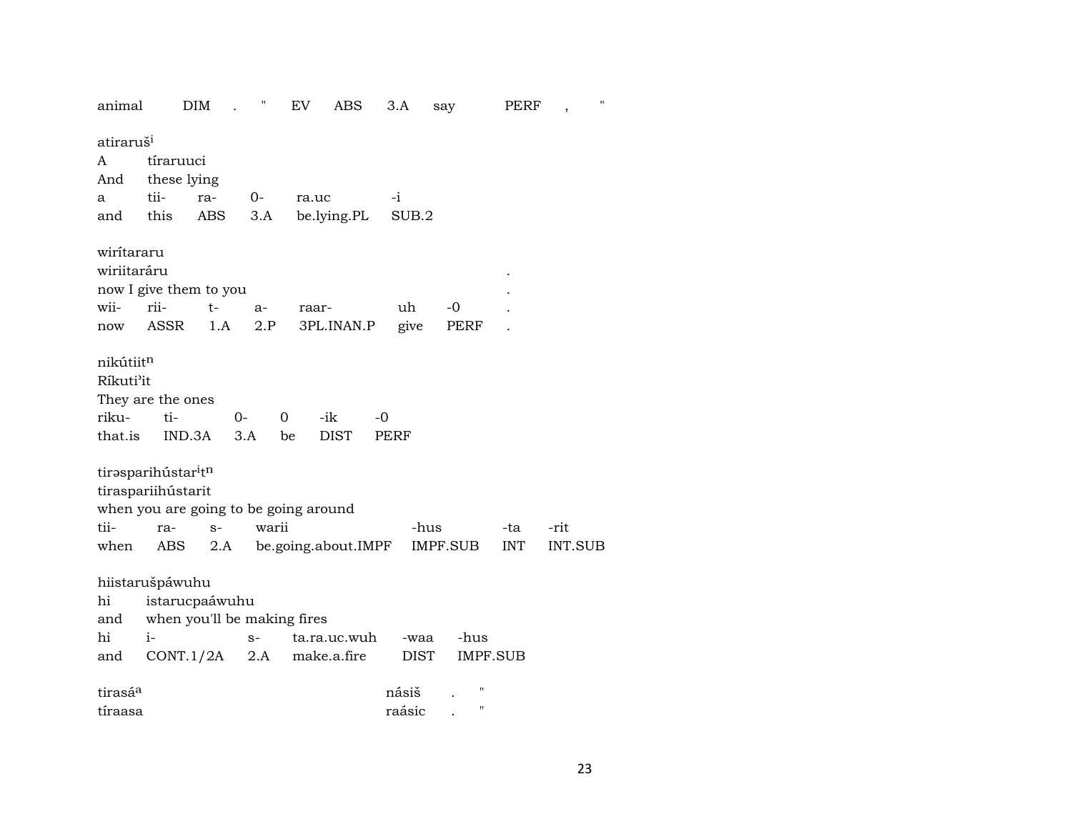| animal                    |                                                                                                | DIM  | Π     | EV    | ABS                     |      | 3.A    | say             | PERF       |                | $\pmb{\mathsf{H}}$ |
|---------------------------|------------------------------------------------------------------------------------------------|------|-------|-------|-------------------------|------|--------|-----------------|------------|----------------|--------------------|
| atiraruš <sup>i</sup>     |                                                                                                |      |       |       |                         |      |        |                 |            |                |                    |
| A                         | tíraruuci                                                                                      |      |       |       |                         |      |        |                 |            |                |                    |
| And                       | these lying                                                                                    |      |       |       |                         |      |        |                 |            |                |                    |
| a                         | tii-                                                                                           | ra-  | $0-$  | ra.uc |                         | $-i$ |        |                 |            |                |                    |
| and                       | this                                                                                           | ABS  |       |       | 3.A be.lying.PL         |      | SUB.2  |                 |            |                |                    |
| wiritararu<br>wiriitaráru |                                                                                                |      |       |       |                         |      |        |                 |            |                |                    |
|                           | now I give them to you                                                                         |      |       |       |                         |      |        |                 |            |                |                    |
| wii-                      | rii-                                                                                           | $t-$ | $a-$  | raar- |                         |      | uh     | -0              |            |                |                    |
| now                       | ASSR                                                                                           | 1.A  | 2.P   |       | 3PL.INAN.P              |      | give   | PERF            |            |                |                    |
| nikútiitn<br>Ríkuti'it    |                                                                                                |      |       |       |                         |      |        |                 |            |                |                    |
|                           | They are the ones                                                                              |      |       |       |                         |      |        |                 |            |                |                    |
| riku-                     | ti-                                                                                            |      | $O-$  | 0     | -ik                     | $-0$ |        |                 |            |                |                    |
| that.is                   | IND.3A                                                                                         |      | 3.A   | be    | <b>DIST</b>             | PERF |        |                 |            |                |                    |
|                           | tirasparihústar <sup>i</sup> tn<br>tiraspariihústarit<br>when you are going to be going around |      |       |       |                         |      |        |                 |            |                |                    |
| tii-                      | ra-                                                                                            | $S-$ | warii |       |                         |      | -hus   |                 | -ta        | -rit           |                    |
| when                      | ABS                                                                                            |      |       |       | 2.A be.going.about.IMPF |      |        | IMPF.SUB        | <b>INT</b> | <b>INT.SUB</b> |                    |
|                           | hiistarušpáwuhu                                                                                |      |       |       |                         |      |        |                 |            |                |                    |
| hi                        | istarucpaáwuhu                                                                                 |      |       |       |                         |      |        |                 |            |                |                    |
| and                       | when you'll be making fires                                                                    |      |       |       |                         |      |        |                 |            |                |                    |
| hi                        | $i-$                                                                                           |      | $S-$  |       | ta.ra.uc.wuh            |      | -waa   | -hus            |            |                |                    |
| and                       | CONT.1/2A                                                                                      |      | 2.A   |       | make.a.fire             |      | DIST   | <b>IMPF.SUB</b> |            |                |                    |
|                           |                                                                                                |      |       |       |                         |      |        | П               |            |                |                    |
| tirasá <sup>a</sup>       |                                                                                                |      |       |       |                         |      | násiš  |                 |            |                |                    |
| tíraasa                   |                                                                                                |      |       |       |                         |      | raásic |                 |            |                |                    |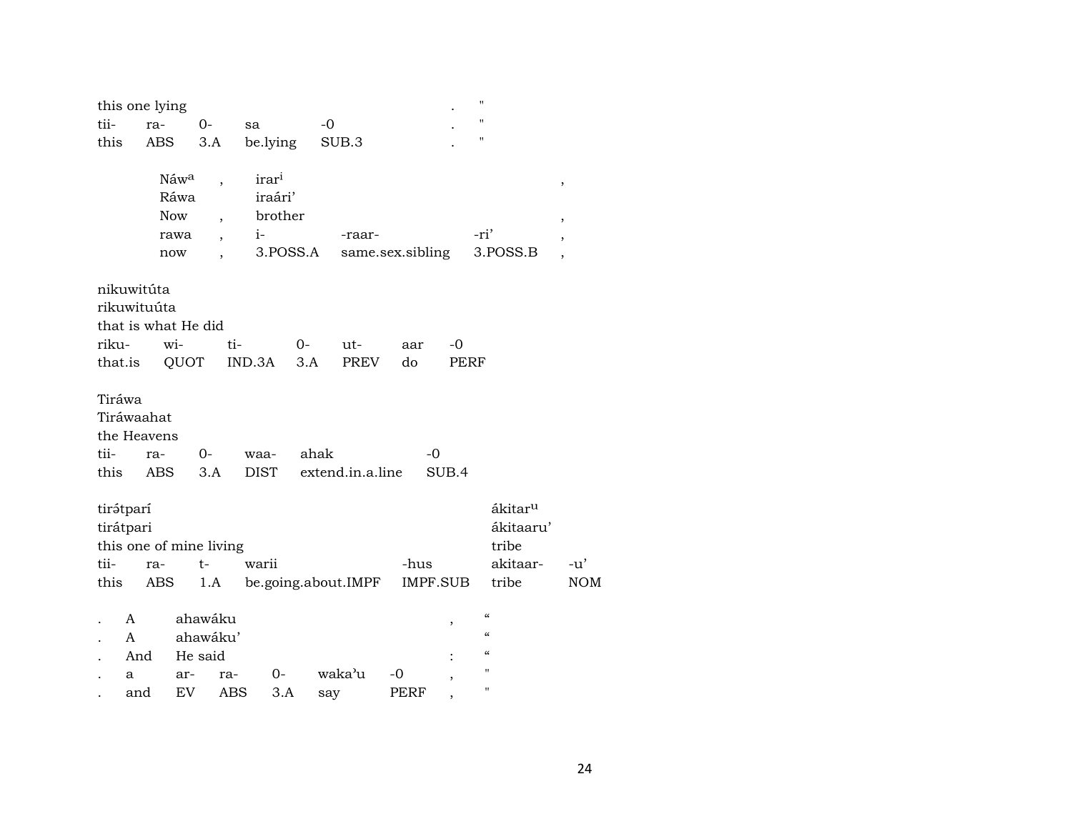|                        | this one lying                                    |                            |                                       |                     |                                         |      |                     |             |      |                          | $\pmb{\mathsf{H}}$                                                   |                                           |                               |            |
|------------------------|---------------------------------------------------|----------------------------|---------------------------------------|---------------------|-----------------------------------------|------|---------------------|-------------|------|--------------------------|----------------------------------------------------------------------|-------------------------------------------|-------------------------------|------------|
| tii-                   | ra-                                               |                            | $O -$                                 | sa                  |                                         | $-0$ |                     |             |      |                          | $\pmb{\mathsf{H}}$                                                   |                                           |                               |            |
| this                   | ABS                                               |                            | 3.A                                   |                     | be.lying                                |      | SUB.3               |             |      |                          | $\pmb{\mathsf{H}}$                                                   |                                           |                               |            |
|                        |                                                   | Náwa<br>Ráwa<br><b>Now</b> | $\overline{\phantom{a}}$              |                     | irar <sup>i</sup><br>iraári'<br>brother |      |                     |             |      |                          |                                                                      |                                           | ,                             |            |
|                        |                                                   | rawa                       |                                       | $i-$                |                                         |      | -raar-              |             |      |                          | -ri'                                                                 |                                           | ,                             |            |
|                        |                                                   | now                        |                                       |                     | 3.POSS.A                                |      | same.sex.sibling    |             |      |                          |                                                                      | 3.POSS.B                                  | ,<br>$\overline{\phantom{a}}$ |            |
|                        |                                                   |                            |                                       |                     |                                         |      |                     |             |      |                          |                                                                      |                                           |                               |            |
|                        | nikuwitúta<br>rikuwituúta<br>that is what He did  |                            |                                       |                     |                                         |      |                     |             |      |                          |                                                                      |                                           |                               |            |
| riku-                  |                                                   | wi-                        |                                       | ti-                 | $0-$                                    |      | ut-                 | aar         |      | $-0$                     |                                                                      |                                           |                               |            |
| that.is                |                                                   | QUOT                       |                                       | IND.3A              | 3.A                                     |      | <b>PREV</b>         | do          |      | PERF                     |                                                                      |                                           |                               |            |
| Tiráwa<br>tii-<br>this | Tiráwaahat<br>the Heavens<br>ra-                  | ABS                        | $0-$<br>3.A                           | waa-<br><b>DIST</b> |                                         | ahak | extend.in.a.line    |             | $-0$ | SUB.4                    |                                                                      |                                           |                               |            |
|                        | tirátparí<br>tirátpari<br>this one of mine living |                            |                                       |                     |                                         |      |                     |             |      |                          |                                                                      | ákitar <sup>u</sup><br>ákitaaru'<br>tribe |                               |            |
| tii-                   | ra-                                               |                            | t-                                    | warii               |                                         |      |                     | -hus        |      |                          |                                                                      | akitaar-                                  |                               | -u'        |
| this                   | ABS                                               |                            | 1.A                                   |                     |                                         |      | be.going.about.IMPF |             |      | IMPF.SUB                 |                                                                      | tribe                                     |                               | <b>NOM</b> |
|                        | A<br>$\mathsf{A}$<br>And<br>а                     | ar-                        | ahawáku<br>ahawáku'<br>He said<br>ra- |                     | $0-$                                    |      | waka'u              | -0          |      | $\overline{\phantom{a}}$ | $\pmb{\zeta}\pmb{\zeta}$<br>$\epsilon\epsilon$<br>$\mathcal{C}$<br>" |                                           |                               |            |
|                        | and                                               | EV                         |                                       | <b>ABS</b>          | 3.A                                     | say  |                     | <b>PERF</b> |      |                          | н                                                                    |                                           |                               |            |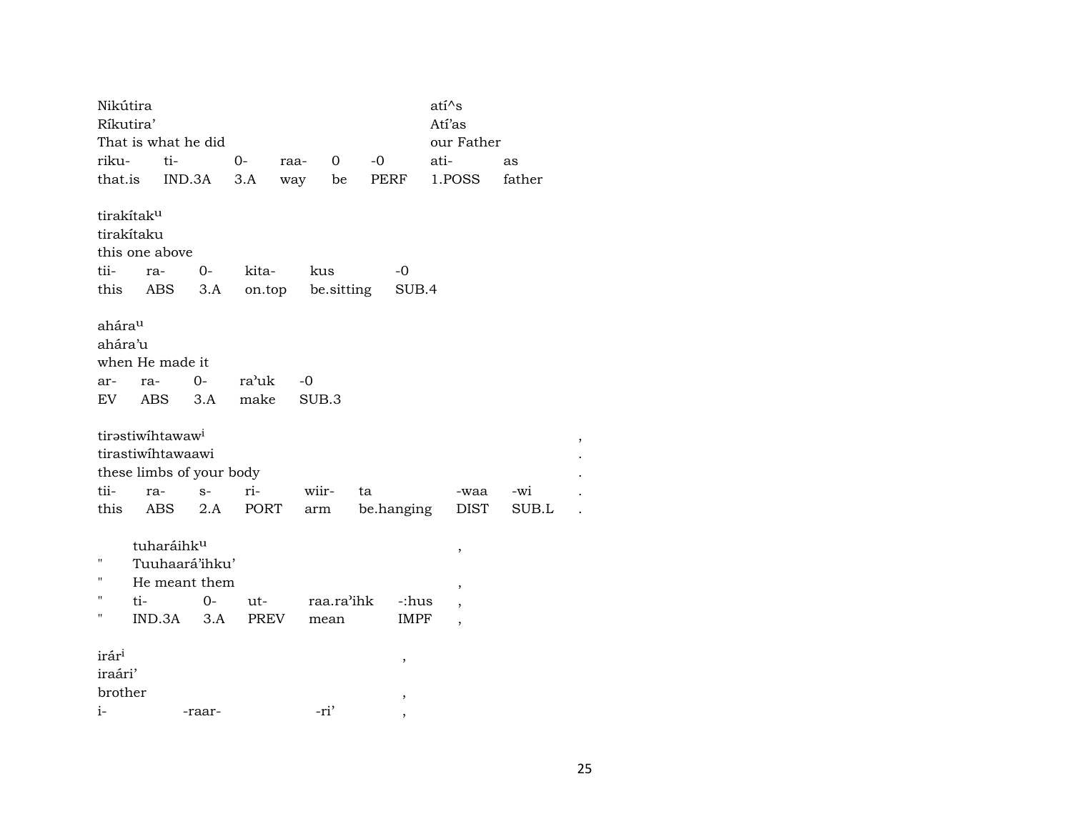| Nikútira                                |     |                                                   |                                       |       |                   |              |      |            | ati^s       |        |  |
|-----------------------------------------|-----|---------------------------------------------------|---------------------------------------|-------|-------------------|--------------|------|------------|-------------|--------|--|
| Ríkutira'                               |     |                                                   |                                       |       |                   |              |      |            | Atí'as      |        |  |
|                                         |     | That is what he did                               |                                       |       |                   |              |      |            | our Father  |        |  |
| riku-                                   |     | ti-                                               |                                       | $0-$  | raa-              | $\mathbf{0}$ | $-0$ |            | ati-        | as     |  |
| that.is                                 |     |                                                   | IND.3A                                | 3.A   | way               | be           |      | PERF       | 1.POSS      | father |  |
| tirakítak <sup>u</sup><br>tirakítaku    |     | this one above                                    |                                       |       |                   |              |      |            |             |        |  |
| tii-                                    | ra- |                                                   | $0 -$                                 | kita- |                   | kus          |      | -0         |             |        |  |
| this                                    |     | ABS                                               | 3.A                                   |       | on.top be.sitting |              |      | SUB.4      |             |        |  |
| ahára <sup>u</sup><br>ahára'u           |     | when He made it                                   |                                       |       |                   |              |      |            |             |        |  |
| ar-                                     | ra- |                                                   | $O -$                                 | ra'uk | -0                |              |      |            |             |        |  |
| EV                                      | ABS |                                                   | 3.A                                   | make  | SUB.3             |              |      |            |             |        |  |
|                                         |     | tirəstiwihtawaw <sup>i</sup><br>tirastiwihtawaawi | these limbs of your body              |       |                   |              |      |            |             |        |  |
| tii-                                    | ra- |                                                   | $S-$                                  | ri-   | wiir-             |              | ta   |            | -waa        | -wi    |  |
| this                                    |     | ABS                                               | 2.A                                   | PORT  | arm               |              |      | be.hanging | <b>DIST</b> | SUB.L  |  |
| Ħ<br>Ħ<br>п                             | ti- | tuharáihku                                        | Tuuhaará'ihku'<br>He meant them<br>0- | ut-   |                   | raa.ra'ihk   |      | -:hus      | ,<br>,<br>, |        |  |
| н                                       |     |                                                   | $IND.3A$ $3.A$                        | PREV  |                   | mean         |      | IMPF       | ,           |        |  |
| irár <sup>i</sup><br>iraári'<br>brother |     |                                                   |                                       |       |                   |              |      | ,<br>,     |             |        |  |
| $i-$                                    |     |                                                   | -raar-                                |       |                   | -ri'         |      | ,          |             |        |  |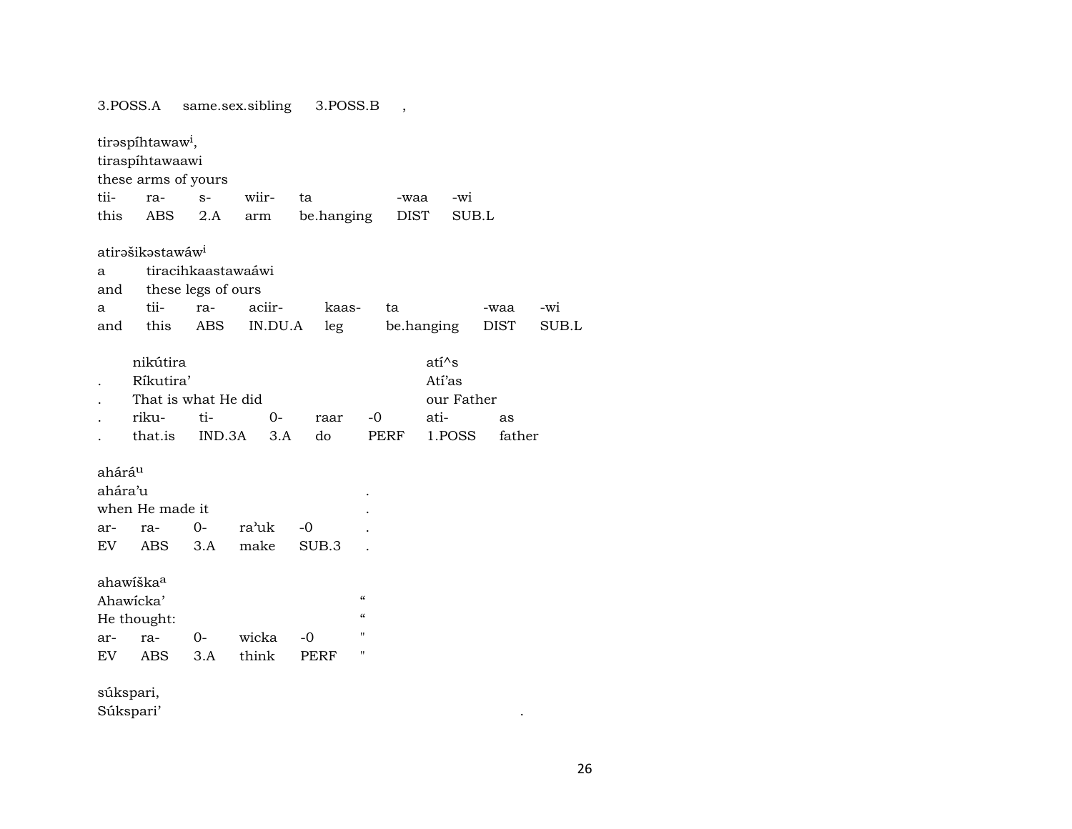3.POSS.A same.sex.sibling 3.POSS.B ,

|                    | tirəspihtawaw <sup>i</sup> ,<br>tiraspíhtawaawi |                    |         |            |                                        |             |            |             |       |
|--------------------|-------------------------------------------------|--------------------|---------|------------|----------------------------------------|-------------|------------|-------------|-------|
|                    | these arms of yours                             |                    |         |            |                                        |             |            |             |       |
| tii-               | ra-                                             | $S-$               | wiir-   | ta         |                                        | -waa        | -wi        |             |       |
| this               | ABS                                             | 2.A                | arm     | be.hanging |                                        | <b>DIST</b> | SUB.L      |             |       |
|                    | atirəšikəstawáw <sup>i</sup>                    |                    |         |            |                                        |             |            |             |       |
| a                  |                                                 | tiracihkaastawaáwi |         |            |                                        |             |            |             |       |
| and                |                                                 | these legs of ours |         |            |                                        |             |            |             |       |
| a                  | tii-                                            | ra-                | aciir-  | kaas-      |                                        | ta          |            | -waa        | -wi   |
| and                | this                                            | ABS                | IN.DU.A | leg        |                                        | be.hanging  |            | <b>DIST</b> | SUB.L |
|                    | nikútira                                        |                    |         |            |                                        |             | $ati^s$    |             |       |
|                    |                                                 |                    |         |            |                                        |             |            |             |       |
|                    | Ríkutira'                                       |                    |         |            |                                        |             | Atí'as     |             |       |
|                    | That is what He did                             |                    |         |            |                                        |             | our Father |             |       |
|                    | riku-                                           | ti-                | $0-$    | raar       | -0                                     | ati-        |            | as          |       |
|                    | that.is                                         | IND.3A             | 3.A     | do         | PERF                                   |             | 1.POSS     | father      |       |
| ahárá <sup>u</sup> |                                                 |                    |         |            |                                        |             |            |             |       |
| ahára'u            |                                                 |                    |         |            |                                        |             |            |             |       |
|                    | when He made it                                 |                    |         |            |                                        |             |            |             |       |
| ar-                | ra-                                             | $0-$               | ra'uk   | $-0$       |                                        |             |            |             |       |
| EV.                | ABS.                                            | 3.A                | make    | SUB.3      |                                        |             |            |             |       |
|                    | ahawiška <sup>a</sup>                           |                    |         |            |                                        |             |            |             |       |
|                    | Ahawicka'                                       |                    |         |            | $\boldsymbol{\zeta}\boldsymbol{\zeta}$ |             |            |             |       |
|                    | He thought:                                     |                    |         |            | $\boldsymbol{\zeta}\boldsymbol{\zeta}$ |             |            |             |       |
| ar-                | ra-                                             | $0-$               | wicka   | $-0$       | $\pmb{\mathsf{H}}$                     |             |            |             |       |
| EV                 | ABS                                             | 3.A                | think   | PERF       | "                                      |             |            |             |       |
|                    |                                                 |                    |         |            |                                        |             |            |             |       |
| súkspari,          |                                                 |                    |         |            |                                        |             |            |             |       |

Súkspari'

 $\Delta$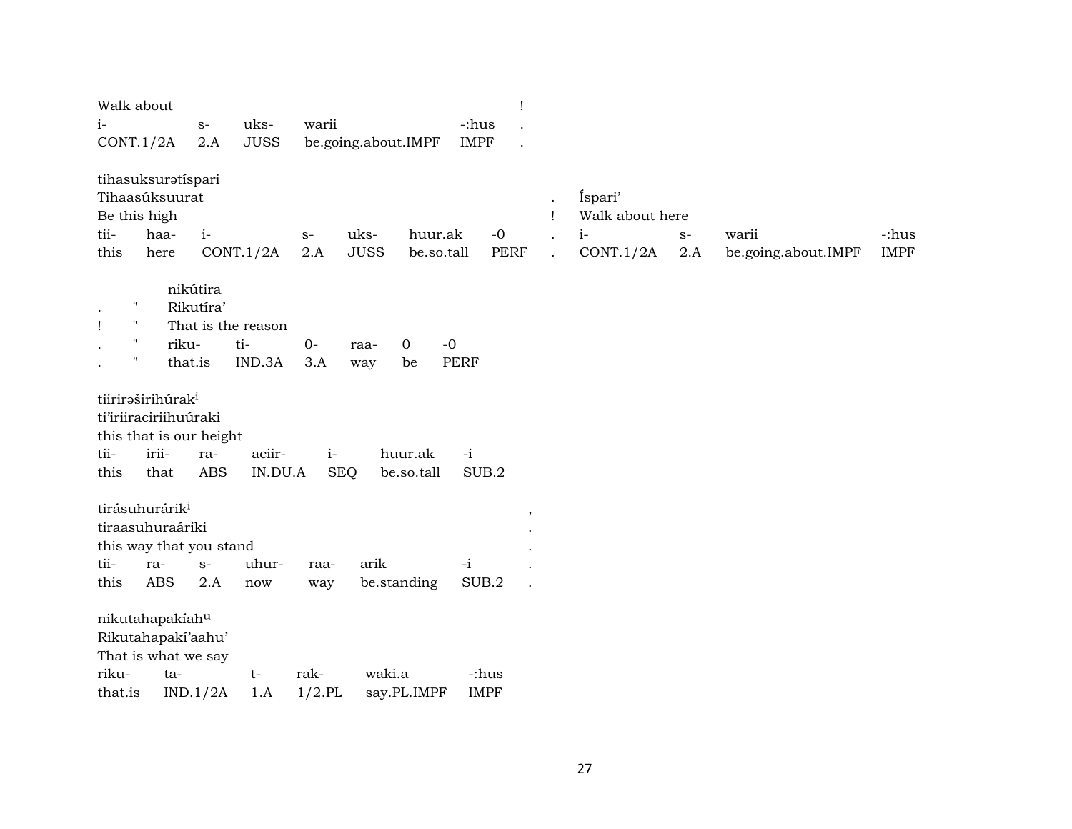| Walk about<br>$i-$<br>CONT.1/2A                                                                                    | $S-$<br>2.A                                                     | uks-<br><b>JUSS</b> | warii              | be.going.about.IMPF                          | -:hus<br><b>IMPF</b> | Ţ                    |                                                   |                                                 |             |                              |                      |
|--------------------------------------------------------------------------------------------------------------------|-----------------------------------------------------------------|---------------------|--------------------|----------------------------------------------|----------------------|----------------------|---------------------------------------------------|-------------------------------------------------|-------------|------------------------------|----------------------|
| tihasuksuratíspari<br>Tihaasúksuurat<br>Be this high<br>tii-<br>haa-<br>this<br>here                               | $i-$                                                            | CONT.1/2A           | $S-$<br>2.A        | uks-<br>huur.ak<br><b>JUSS</b><br>be.so.tall |                      | $-0$<br>PERF         | $\ddot{\phantom{0}}$<br>Ţ<br>$\ddot{\phantom{a}}$ | Íspari'<br>Walk about here<br>$i-$<br>CONT.1/2A | $S-$<br>2.A | warii<br>be.going.about.IMPF | -:hus<br><b>IMPF</b> |
| $\pmb{\mathsf{H}}$<br>$\bullet$<br>$\pmb{\mathsf{H}}$<br>$\mathbf{I}$<br>$\blacksquare$<br>"                       | nikútira<br>Rikutíra'<br>That is the reason<br>riku-<br>that.is | ti-<br>IND.3A       | $O -$<br>3.A       | $\mathbf 0$<br>raa-<br>be<br>way             | $-0$<br><b>PERF</b>  |                      |                                                   |                                                 |             |                              |                      |
| tiiriraširihúrak <sup>i</sup><br>ti'iriiraciriihuúraki<br>this that is our height<br>tii-<br>irii-<br>this<br>that | ra-<br><b>ABS</b>                                               | aciir-<br>IN.DU.A   | $i-$<br><b>SEQ</b> | huur.ak<br>be.so.tall                        | $-i$<br>SUB.2        |                      |                                                   |                                                 |             |                              |                      |
| tirásuhurárik <sup>i</sup><br>tiraasuhuraáriki<br>this way that you stand<br>tii-<br>ra-<br>ABS<br>this            | $S-$<br>2.A                                                     | uhur-<br>now        | raa-<br>way        | arik<br>be.standing                          | $-i$<br>SUB.2        | ,                    |                                                   |                                                 |             |                              |                      |
| nikutahapakiahu<br>Rikutahapakí'aahu'<br>That is what we say<br>riku-<br>ta-<br>that.is                            | IND.1/2A                                                        | $t-$<br>1.A         | rak-<br>$1/2$ .PL  | waki.a<br>say.PL.IMPF                        |                      | -:hus<br><b>IMPF</b> |                                                   |                                                 |             |                              |                      |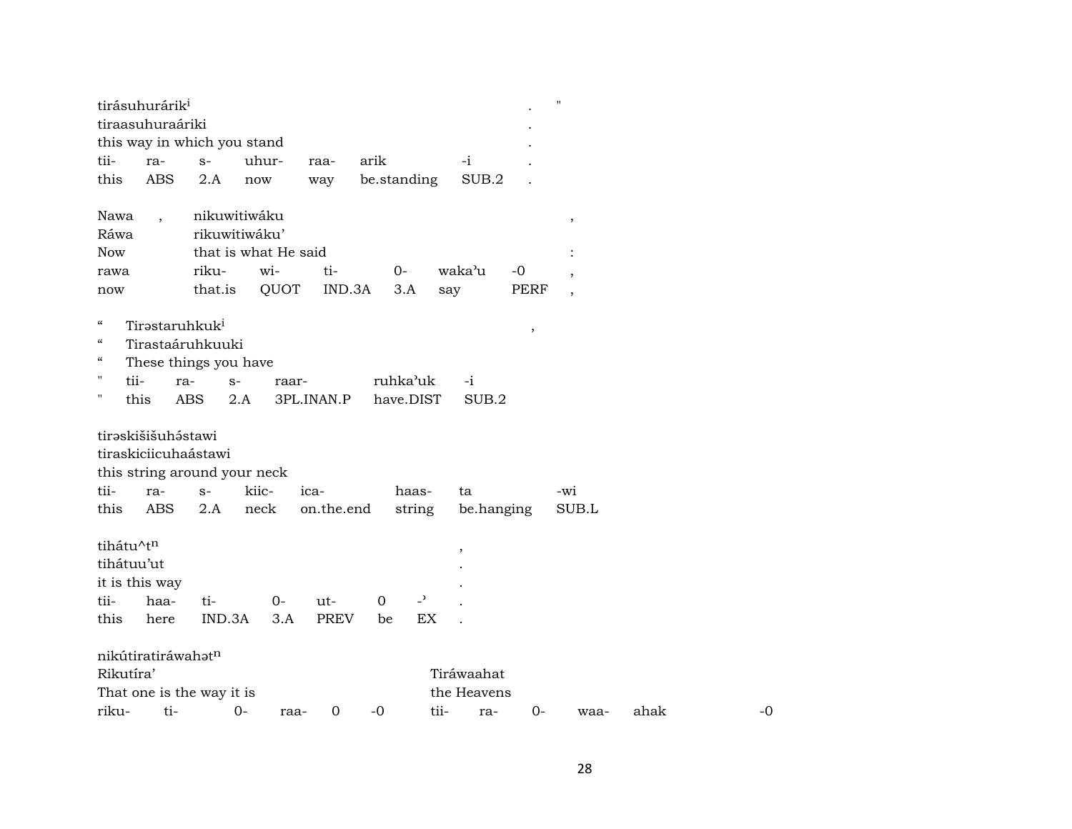|                                        | tirásuhurárik <sup>i</sup>                 |            |                              |             |                |                |             |               | $\pmb{\mathsf{H}}$       |      |    |
|----------------------------------------|--------------------------------------------|------------|------------------------------|-------------|----------------|----------------|-------------|---------------|--------------------------|------|----|
|                                        | tiraasuhuraáriki                           |            |                              |             |                |                |             |               |                          |      |    |
|                                        |                                            |            | this way in which you stand  |             |                |                |             |               |                          |      |    |
| tii-                                   | ra-                                        | $S-$       | uhur-                        | raa-        | arik           |                | $-i$        |               |                          |      |    |
| this                                   | <b>ABS</b>                                 | 2.A        | now                          | way         | be.standing    |                | SUB.2       |               |                          |      |    |
| Nawa                                   | $\ddot{\phantom{0}}$                       |            | nikuwitiwáku                 |             |                |                |             |               | $\, ,$                   |      |    |
| Ráwa                                   |                                            |            | rikuwitiwáku'                |             |                |                |             |               |                          |      |    |
| <b>Now</b>                             |                                            |            | that is what He said         |             |                |                |             |               |                          |      |    |
| rawa                                   |                                            | riku-      | wi-                          | ti-         | $0-$           |                | waka'u      | $-0$          |                          |      |    |
| now                                    |                                            | that.is    | QUOT                         | IND.3A      | 3.A            |                | say         | <b>PERF</b>   | $\overline{\phantom{a}}$ |      |    |
| $\epsilon\epsilon$                     | Tirastaruhkuk <sup>i</sup>                 |            |                              |             |                |                |             | $^\mathrm{,}$ |                          |      |    |
| $\mathcal{C}\mathcal{C}$               | Tirastaáruhkuuki                           |            |                              |             |                |                |             |               |                          |      |    |
| $\boldsymbol{\zeta}\boldsymbol{\zeta}$ | These things you have                      |            |                              |             |                |                |             |               |                          |      |    |
| $\pmb{\mathsf{H}}$<br>tii-             |                                            | ra-        | $S-$<br>raar-                |             | ruhka'uk       |                | $-i$        |               |                          |      |    |
| $\blacksquare$                         | this                                       | <b>ABS</b> | 2.A                          | 3PL.INAN.P  |                | have.DIST      | SUB.2       |               |                          |      |    |
|                                        | tirəskišišuhəstawi<br>tiraskiciicuhaástawi |            | this string around your neck |             |                |                |             |               |                          |      |    |
| tii-                                   | ra-                                        | $S-$       | kiic-                        | ica-        |                | haas-          | ta          |               | -wi                      |      |    |
| this                                   | ABS                                        | 2.A        | neck                         | on.the.end  |                | string         | be.hanging  |               | SUB.L                    |      |    |
| tihátu^tn                              |                                            |            |                              |             |                |                | $\, ,$      |               |                          |      |    |
| tihátuu'ut                             |                                            |            |                              |             |                |                |             |               |                          |      |    |
|                                        | it is this way                             |            |                              |             |                |                |             |               |                          |      |    |
| tii-                                   | haa-                                       | ti-        | $0-$                         | ut-         | $\overline{0}$ | $\overline{z}$ |             |               |                          |      |    |
| this                                   | here                                       | IND.3A     | 3.A                          | <b>PREV</b> | be             | EX             |             |               |                          |      |    |
|                                        | nikútiratiráwahatn                         |            |                              |             |                |                |             |               |                          |      |    |
| Rikutíra'                              |                                            |            |                              |             |                |                | Tiráwaahat  |               |                          |      |    |
|                                        | That one is the way it is                  |            |                              |             |                |                | the Heavens |               |                          |      |    |
| riku-                                  | ti-                                        |            | $0-$<br>raa-                 | $\mathbf 0$ | -0             | tii-           | ra-         | $0-$          | waa-                     | ahak | -0 |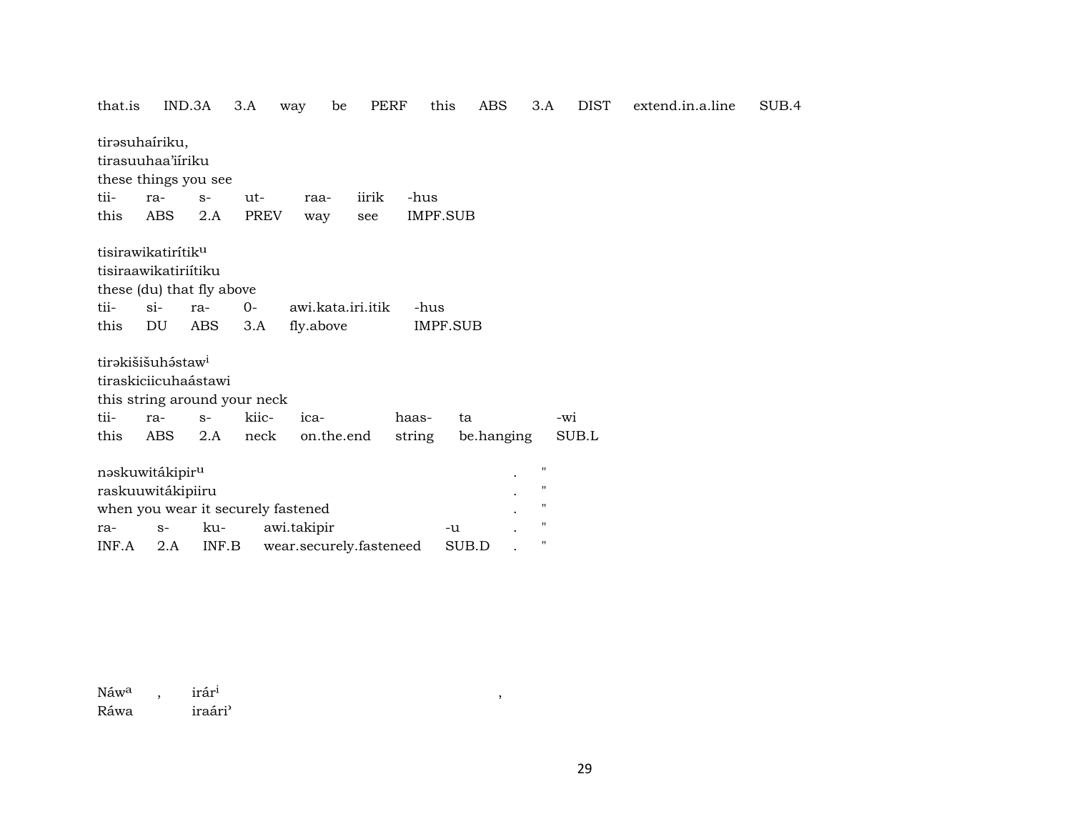| that.is |                                | IND.3A     | 3.A                                | way         | be                | <b>PERF</b>             | this     | <b>ABS</b> | 3.A                |                   | <b>DIST</b> | extend.in.a.line | SUB.4 |
|---------|--------------------------------|------------|------------------------------------|-------------|-------------------|-------------------------|----------|------------|--------------------|-------------------|-------------|------------------|-------|
|         | tirəsuhairiku,                 |            |                                    |             |                   |                         |          |            |                    |                   |             |                  |       |
|         | tirasuuhaa'iiriku              |            |                                    |             |                   |                         |          |            |                    |                   |             |                  |       |
|         | these things you see           |            |                                    |             |                   |                         |          |            |                    |                   |             |                  |       |
| tii-    | ra-                            | $S-$       | ut-                                | raa-        | iirik             |                         | -hus     |            |                    |                   |             |                  |       |
| this    | ABS                            | 2.A        | <b>PREV</b>                        | way         | see               |                         | IMPF.SUB |            |                    |                   |             |                  |       |
|         | tisirawikatirítik <sup>u</sup> |            |                                    |             |                   |                         |          |            |                    |                   |             |                  |       |
|         | tisiraawikatiriitiku           |            |                                    |             |                   |                         |          |            |                    |                   |             |                  |       |
|         | these (du) that fly above      |            |                                    |             |                   |                         |          |            |                    |                   |             |                  |       |
| tii-    | $\sin$                         | ra-        | $0-$                               |             | awi.kata.iri.itik |                         | -hus     |            |                    |                   |             |                  |       |
| this    | DU                             | <b>ABS</b> | 3.A                                | fly.above   |                   |                         | IMPF.SUB |            |                    |                   |             |                  |       |
|         | tirəkišišuh staw <sup>i</sup>  |            |                                    |             |                   |                         |          |            |                    |                   |             |                  |       |
|         | tiraskiciicuhaástawi           |            |                                    |             |                   |                         |          |            |                    |                   |             |                  |       |
|         |                                |            | this string around your neck       |             |                   |                         |          |            |                    |                   |             |                  |       |
| tii-    | ra-                            | $S-$       | kiic-                              | ica-        |                   | haas-                   |          | ta         |                    | -wi               |             |                  |       |
| this    | ABS                            | 2.A        | neck                               |             | on.the.end        | string                  |          | be.hanging |                    |                   | SUB.L       |                  |       |
|         | naskuwitákipir <sup>u</sup>    |            |                                    |             |                   |                         |          |            | $\pmb{\mathsf{H}}$ |                   |             |                  |       |
|         | raskuuwitákipiiru              |            |                                    |             |                   |                         |          |            |                    | "                 |             |                  |       |
|         |                                |            | when you wear it securely fastened |             |                   |                         |          |            |                    | "                 |             |                  |       |
| ra-     | $S-$                           | ku-        |                                    | awi.takipir |                   |                         | -u       |            |                    | $^{\prime\prime}$ |             |                  |       |
| INF.A   | 2.A                            | INF.B      |                                    |             |                   | wear.securely.fasteneed |          | SUB.D      |                    | 11                |             |                  |       |

Náw<sup>a</sup>,  $\mbox{ir\^{a}r}^{\rm i}$ iraári<sup>)</sup> Ráwa

 $\overline{\phantom{a}}$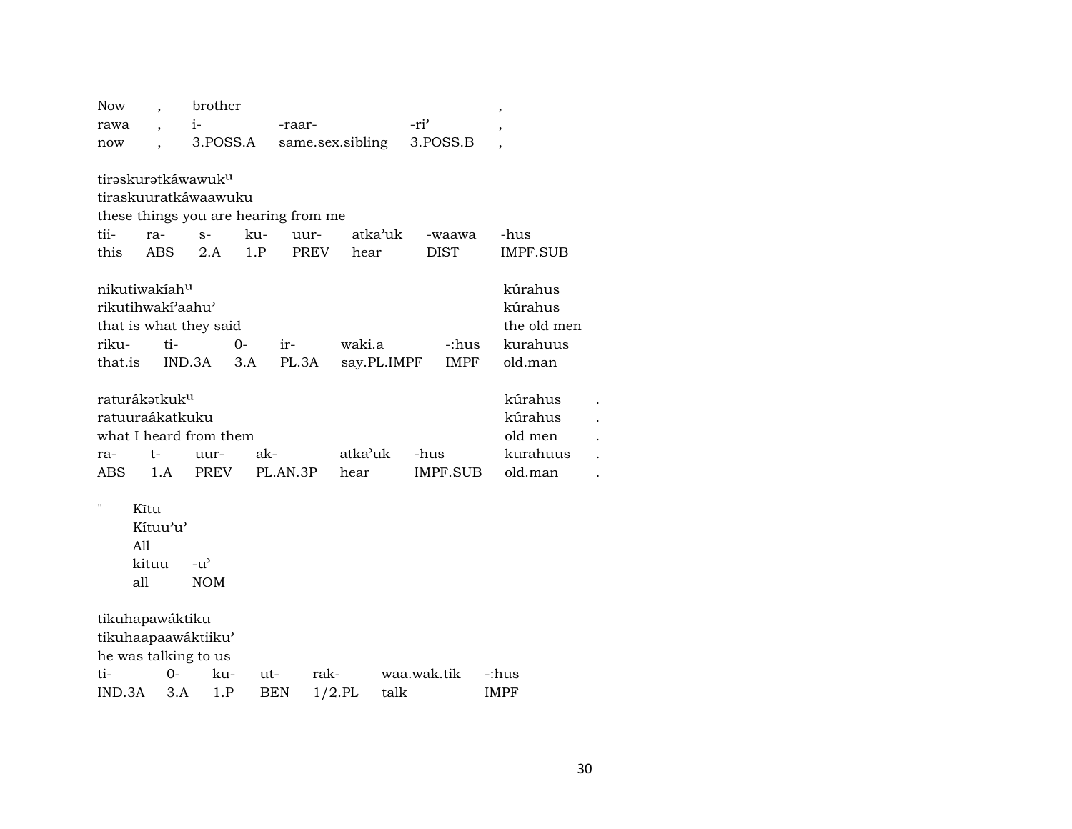| <b>Now</b>                |            | brother                        |     |                                      |                  |         |                  | $\overline{ }$  |
|---------------------------|------------|--------------------------------|-----|--------------------------------------|------------------|---------|------------------|-----------------|
| rawa                      |            | $i-$                           |     | -raar-                               |                  |         | -ri <sup>3</sup> |                 |
| now                       |            | 3.POSS.A                       |     |                                      | same.sex.sibling |         | 3.POSS.B         |                 |
|                           |            |                                |     |                                      |                  |         |                  |                 |
|                           |            | tirəskurətkáwawuk <sup>u</sup> |     |                                      |                  |         |                  |                 |
|                           |            | tiraskuuratkáwaawuku           |     |                                      |                  |         |                  |                 |
|                           |            |                                |     | these things you are hearing from me |                  |         |                  |                 |
| tii-                      | ra-        | $S-$                           | ku- | uur-                                 |                  | atka'uk | -waawa           | -hus            |
| this                      | <b>ABS</b> | 2.A                            | 1.P | PREV                                 | hear             |         | <b>DIST</b>      | <b>IMPF.SUB</b> |
| nikutiwakiah <sup>u</sup> |            |                                |     |                                      |                  |         |                  | kúrahus         |
| rikutihwakí'aahu'         |            |                                |     |                                      |                  |         |                  | kúrahus         |
|                           |            | that is what they said         |     |                                      |                  |         |                  | the old men     |
| riku-                     | ti-        |                                | 0-  | ir-                                  | waki.a           |         | -:hus            | kurahuus        |
| that.is                   |            | IND.3A                         | 3.A | PL.3A                                | say.PL.IMPF      |         | <b>IMPF</b>      | old.man         |
|                           |            |                                |     |                                      |                  |         |                  |                 |
| raturákətkuk <sup>u</sup> |            |                                |     |                                      |                  |         |                  | kúrahus         |
| ratuuraákatkuku           |            |                                |     |                                      |                  |         |                  | kúrahus         |
|                           |            | what I heard from them         |     |                                      |                  |         |                  | old men         |
| ra-                       | t-         | uur-                           | ak- |                                      | atka'uk          |         | -hus             | kurahuus        |
| <b>ABS</b>                | 1.A        | PREV                           |     | PL.AN.3P                             | hear             |         | IMPF.SUB         | old.man         |
| $\pmb{\mathsf{H}}$        |            |                                |     |                                      |                  |         |                  |                 |
|                           | Kĩtu       |                                |     |                                      |                  |         |                  |                 |
|                           | Kítuu'u'   |                                |     |                                      |                  |         |                  |                 |
| All                       |            |                                |     |                                      |                  |         |                  |                 |
|                           | kituu      | $-u^{\prime}$                  |     |                                      |                  |         |                  |                 |
| all                       |            | <b>NOM</b>                     |     |                                      |                  |         |                  |                 |
| tikuhapawáktiku           |            |                                |     |                                      |                  |         |                  |                 |
|                           |            | tikuhaapaawáktiiku'            |     |                                      |                  |         |                  |                 |
|                           |            | he was talking to us           |     |                                      |                  |         |                  |                 |
| ti-                       | 0-         | ku-                            | ut- |                                      | rak-             |         | waa.wak.tik      | -:hus           |
| IND.3A                    | 3.A        | 1.P                            |     | BEN                                  | $1/2$ .PL        | talk    |                  | <b>IMPF</b>     |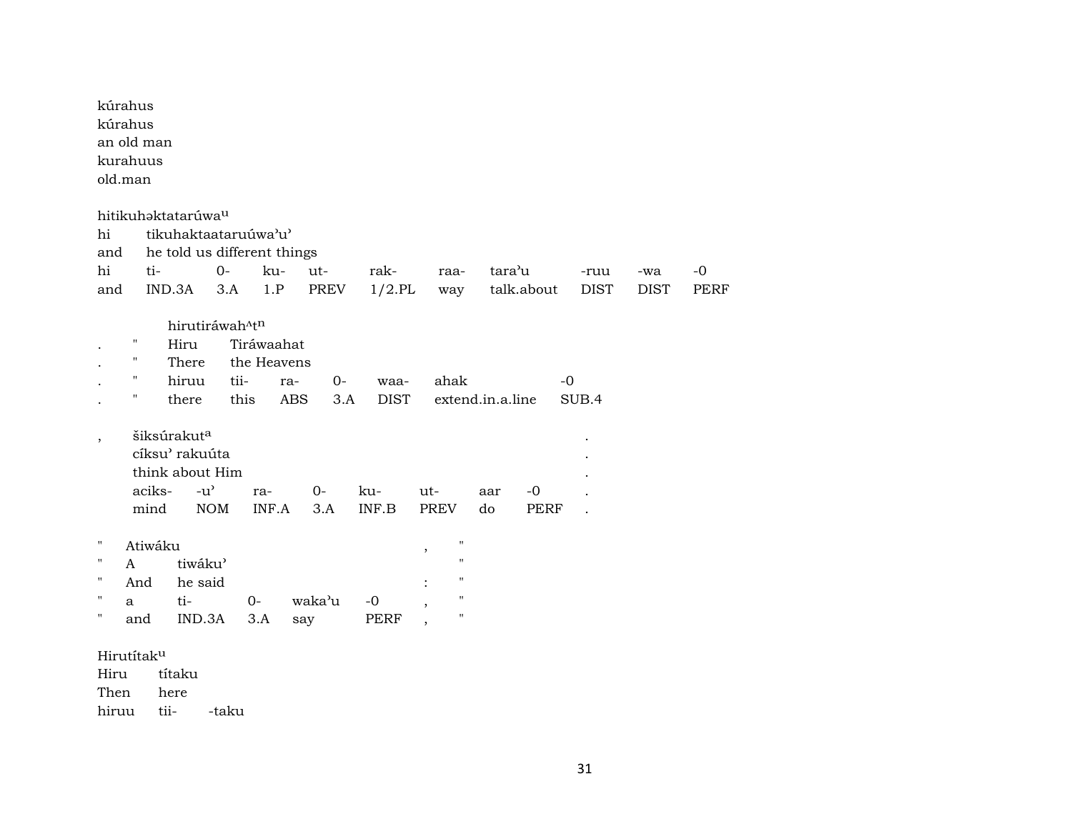|                          | kúrahus<br>kúrahus<br>an old man<br>kurahuus<br>old.man                              |                                                                                                                                                          |                                                          |                                                  |                                           |                                                                                   |                     |                               |                             |             |             |             |  |
|--------------------------|--------------------------------------------------------------------------------------|----------------------------------------------------------------------------------------------------------------------------------------------------------|----------------------------------------------------------|--------------------------------------------------|-------------------------------------------|-----------------------------------------------------------------------------------|---------------------|-------------------------------|-----------------------------|-------------|-------------|-------------|--|
| hi                       |                                                                                      | hitikuhaktatarúwa <sup>u</sup><br>tikuhaktaataruúwa'u'                                                                                                   |                                                          |                                                  |                                           |                                                                                   |                     |                               |                             |             |             |             |  |
| and                      |                                                                                      | he told us different things                                                                                                                              |                                                          |                                                  |                                           |                                                                                   |                     |                               |                             |             |             |             |  |
| hi                       |                                                                                      | ti-                                                                                                                                                      | $0-$                                                     | ku-                                              | ut-                                       | rak-                                                                              | raa-                | tara'u                        |                             | -ruu        | -wa         | $-0$        |  |
| and                      |                                                                                      | IND.3A                                                                                                                                                   | 3.A                                                      | 1.P                                              | PREV                                      | $1/2$ .PL                                                                         | way                 |                               | talk.about                  | <b>DIST</b> | <b>DIST</b> | <b>PERF</b> |  |
| $\overline{\phantom{a}}$ | $\pmb{\mathsf{H}}$<br>$\pmb{\mathsf{H}}$<br>$\pmb{\mathsf{H}}$<br>$\pmb{\mathsf{H}}$ | Hiru<br>There<br>hiruu<br>there<br>šiksúrakut <sup>a</sup><br>cíksu' rakuúta<br>think about Him<br>$-u$ <sup><math>\prime</math></sup><br>aciks-<br>mind | hirutiráwah <sup>^tn</sup><br>tii-<br>this<br>$\rm{NOM}$ | Tiráwaahat<br>the Heavens<br>ra-<br>ra-<br>INF.A | $0-$<br><b>ABS</b><br>3.A<br>$O -$<br>3.A | waa-<br><b>DIST</b><br>ku-<br>$\ensuremath{\mathsf{INF}}.\ensuremath{\mathsf{B}}$ | ahak<br>ut-<br>PREV | extend.in.a.line<br>aar<br>do | $-0$<br>$-0$<br><b>PERF</b> | SUB.4       |             |             |  |
| $\pmb{\mathsf{H}}$       |                                                                                      | Atiwáku                                                                                                                                                  |                                                          |                                                  |                                           |                                                                                   | $\mathbf{H}$<br>,   |                               |                             |             |             |             |  |
| п                        | A                                                                                    | tiwáku'                                                                                                                                                  |                                                          |                                                  |                                           |                                                                                   | $\mathbf{H}$        |                               |                             |             |             |             |  |
| $\pmb{\mathsf{H}}$       | And                                                                                  | he said                                                                                                                                                  |                                                          |                                                  |                                           |                                                                                   | $\mathbf{H}$        |                               |                             |             |             |             |  |
| 11                       | a                                                                                    | ti-                                                                                                                                                      |                                                          | $0-$                                             | waka'u                                    | $-0$                                                                              | $\mathbf{H}$        |                               |                             |             |             |             |  |
| п                        | and                                                                                  | IND.3A                                                                                                                                                   |                                                          | 3.A                                              | say                                       | <b>PERF</b>                                                                       | $\pmb{\mathsf{H}}$  |                               |                             |             |             |             |  |
| Hiru<br>Then             | Hirutítaku<br>hiruu                                                                  | títaku<br>here<br>tii-                                                                                                                                   | -taku                                                    |                                                  |                                           |                                                                                   |                     |                               |                             |             |             |             |  |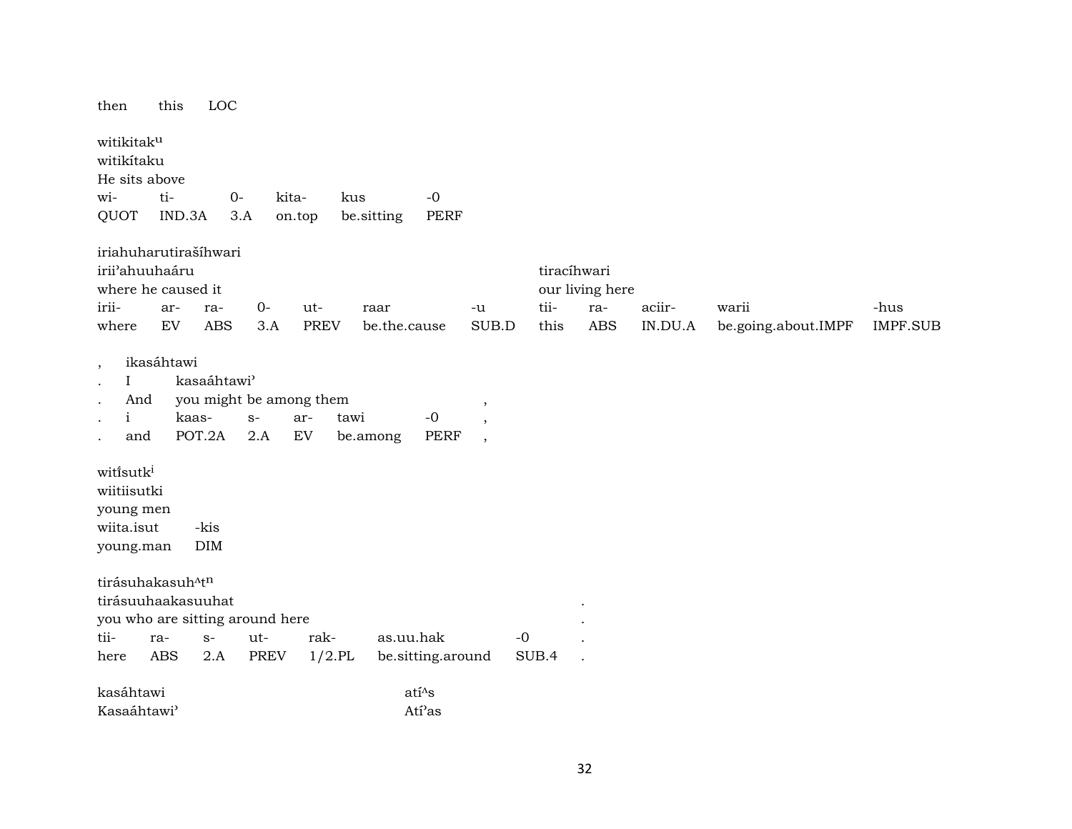| then                                                                   | this       |                                            | LOC        |                       |                                                              |                  |                           |                                                |       |                                |         |                     |                 |
|------------------------------------------------------------------------|------------|--------------------------------------------|------------|-----------------------|--------------------------------------------------------------|------------------|---------------------------|------------------------------------------------|-------|--------------------------------|---------|---------------------|-----------------|
| witikitaku<br>witikítaku<br>He sits above                              |            |                                            |            |                       |                                                              |                  |                           |                                                |       |                                |         |                     |                 |
| wi-                                                                    | ti-        |                                            | $O -$      |                       | kita-                                                        | kus              | $-0$                      |                                                |       |                                |         |                     |                 |
| QUOT                                                                   |            | IND.3A                                     | 3.A        |                       | on.top                                                       |                  | <b>PERF</b><br>be sitting |                                                |       |                                |         |                     |                 |
| iriahuharutirašíhwari<br>irii'ahuuhaáru<br>where he caused it<br>irii- |            |                                            |            |                       |                                                              |                  |                           |                                                | tii-  | tiracíhwari<br>our living here |         |                     |                 |
|                                                                        | ar-<br>EV  | ra-                                        |            | $0-$                  | ut-                                                          |                  | raar                      | -u                                             |       | ra-                            | aciir-  | warii               | -hus            |
| where                                                                  |            |                                            | <b>ABS</b> | 3.A                   | <b>PREV</b>                                                  |                  | be.the.cause              | SUB.D                                          | this  | <b>ABS</b>                     | IN.DU.A | be.going.about.IMPF | <b>IMPF.SUB</b> |
| $\cdot$<br>$\mathbf{I}$<br>And<br>$\mathbf{i}$<br>and                  | ikasáhtawi | kasaáhtawi <sup>3</sup><br>kaas-<br>POT.2A |            | $\mathbf{S}$ –<br>2.A | you might be among them<br>ar-<br>$\mathop{\rm EV}\nolimits$ | tawi<br>be.among | $-0$<br><b>PERF</b>       | $\cdot$<br>$\cdot$<br>$\overline{\phantom{a}}$ |       |                                |         |                     |                 |
| witisutk <sup>i</sup><br>wiitiisutki<br>young men                      |            |                                            |            |                       |                                                              |                  |                           |                                                |       |                                |         |                     |                 |
| wiita.isut                                                             |            | -kis                                       |            |                       |                                                              |                  |                           |                                                |       |                                |         |                     |                 |
| young.man                                                              |            | <b>DIM</b>                                 |            |                       |                                                              |                  |                           |                                                |       |                                |         |                     |                 |
| tirásuhakasuh <sup>^tn</sup>                                           |            |                                            |            |                       |                                                              |                  |                           |                                                |       |                                |         |                     |                 |
| tirásuuhaakasuuhat                                                     |            |                                            |            |                       |                                                              |                  |                           |                                                |       |                                |         |                     |                 |
| you who are sitting around here                                        |            |                                            |            |                       |                                                              |                  |                           |                                                |       |                                |         |                     |                 |
| tii-                                                                   | ra-        | $S-$                                       |            | ut-                   | rak-                                                         |                  | as.uu.hak                 |                                                | $-0$  |                                |         |                     |                 |
| here                                                                   | <b>ABS</b> | 2.A                                        |            | <b>PREV</b>           | $1/2$ .PL                                                    |                  | be.sitting.around         |                                                | SUB.4 |                                |         |                     |                 |
| kasáhtawi                                                              |            |                                            |            |                       |                                                              |                  | $ati^{\Lambda}s$          |                                                |       |                                |         |                     |                 |
| Kasaáhtawi <sup>3</sup>                                                |            |                                            |            |                       |                                                              |                  | Ati'as                    |                                                |       |                                |         |                     |                 |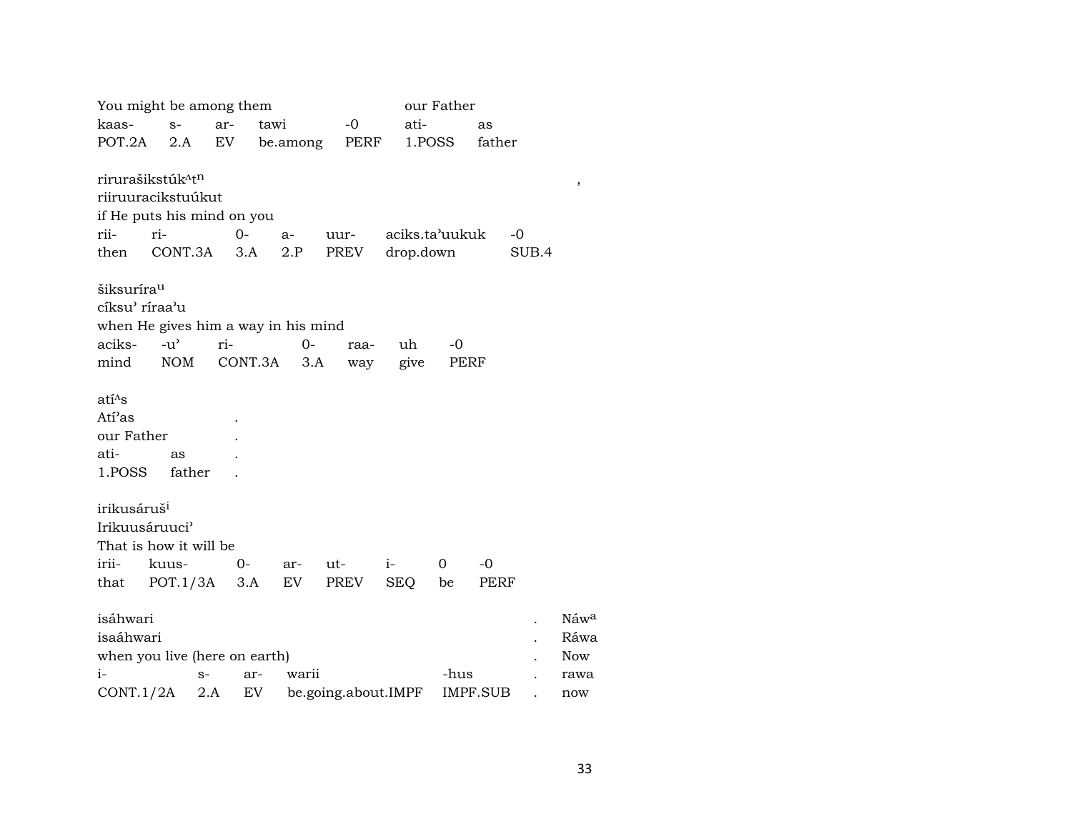|                                                                         | You might be among them                                            |       |         |              |             |      |            | our Father     |        |       |                            |
|-------------------------------------------------------------------------|--------------------------------------------------------------------|-------|---------|--------------|-------------|------|------------|----------------|--------|-------|----------------------------|
| kaas-                                                                   | $S-$                                                               | ar-   | tawi    |              | $-0$        |      | ati-       |                | as     |       |                            |
| POT.2A                                                                  | 2.A                                                                | EV    |         | be.among     | PERF        |      | 1.POSS     |                | father |       |                            |
|                                                                         | rirurašikstúk <sup>^tn</sup><br>riiruuracikstuúkut                 |       |         |              |             |      |            |                |        |       | $\, ,$                     |
|                                                                         | if He puts his mind on you                                         |       |         |              |             |      |            |                |        |       |                            |
| rii-                                                                    | ri-                                                                | $0-$  |         | $a-$         | uur-        |      |            | aciks.ta'uukuk |        | $-0$  |                            |
| then                                                                    | CONT.3A                                                            |       | 3.A     | 2.P          | PREV        |      | drop.down  |                |        | SUB.4 |                            |
| šiksuríra <sup>u</sup><br>cíksu' ríraa'u<br>aciks-<br>mind              | when He gives him a way in his mind<br>$-u^{\prime}$<br><b>NOM</b> | ri-   | CONT.3A | $0 -$<br>3.A | raa-<br>way |      | uh<br>give | $-0$<br>PERF   |        |       |                            |
| $atī^{\Lambda}s$<br>Ati <sup>2</sup> as<br>our Father<br>ati-<br>1.POSS | as<br>father                                                       |       |         |              |             |      |            |                |        |       |                            |
| irikusáruš <sup>i</sup><br>Irikuusáruuci <sup></sup>                    | That is how it will be                                             |       |         |              |             |      |            |                |        |       |                            |
| irii-                                                                   | kuus-                                                              | $O -$ |         | ar-          | ut-         | $i-$ |            | $\overline{0}$ | $-0$   |       |                            |
| that                                                                    | POT.1/3A                                                           |       | 3.A     | EV           | PREV        | SEQ  |            | be             | PERF   |       |                            |
| isáhwari<br>isaáhwari                                                   | when you live (here on earth)                                      |       |         |              |             |      |            |                |        |       | Náwa<br>Ráwa<br><b>Now</b> |

| when you live (here on earth)<br>Now |  |  |                                                     |      |  |        |  |  |  |  |  |
|--------------------------------------|--|--|-----------------------------------------------------|------|--|--------|--|--|--|--|--|
| s- ar- warii<br>$i -$                |  |  |                                                     | -hus |  | . rawa |  |  |  |  |  |
|                                      |  |  | CONT.1/2A 2.A EV be.going.about.IMPF IMPF.SUB . now |      |  |        |  |  |  |  |  |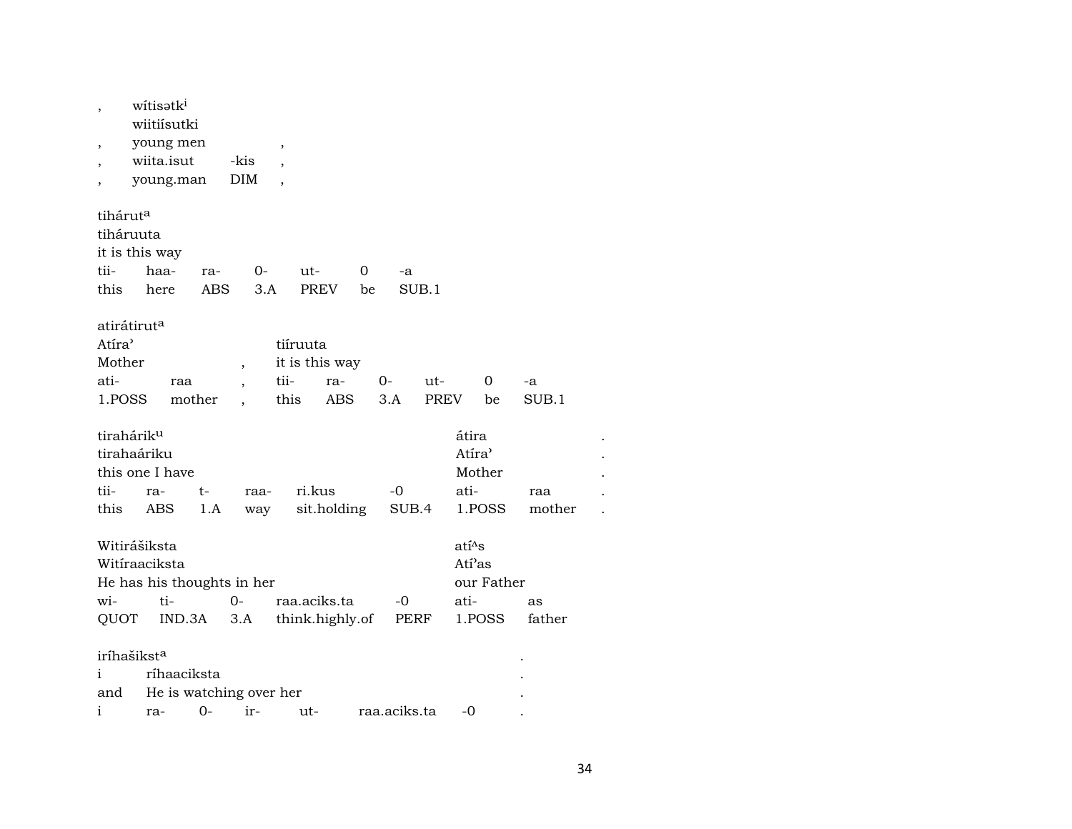| ,<br>,<br>,                                                              | witisatk <sup>i</sup><br>wiitiísutki<br>young men<br>wiita.isut<br>young.man | -kis<br>DIM                        | ,<br>$\overline{\phantom{a}}$ |                                          |         |                    |                                                        |               |  |
|--------------------------------------------------------------------------|------------------------------------------------------------------------------|------------------------------------|-------------------------------|------------------------------------------|---------|--------------------|--------------------------------------------------------|---------------|--|
| tihárut <sup>a</sup><br>tiháruuta<br>it is this way<br>tii-<br>this      | haa-<br>here                                                                 | ra-<br>ABS                         | 0-<br>3.A                     | ut-<br>PREV                              | 0<br>be | -a<br>SUB.1        |                                                        |               |  |
| atirátirut <sup>a</sup><br>Atíra <sup></sup><br>Mother<br>ati-<br>1.POSS | raa                                                                          | $\overline{\phantom{a}}$<br>mother | tii-<br>this                  | tiíruuta<br>it is this way<br>ra-<br>ABS | 0-      | ut-<br>3.A<br>PREV | 0<br>be                                                | -a<br>SUB.1   |  |
| tirahárik <sup>u</sup><br>tirahaáriku<br>tii-<br>this                    | this one I have<br>ra-<br>ABS                                                | t-<br>1.A                          | raa-<br>way                   | ri.kus<br>sit.holding                    |         | -0<br>SUB.4        | átira<br>Atíra <sup></sup><br>Mother<br>ati-<br>1.POSS | raa<br>mother |  |
| Witirášiksta<br>wi-<br>QUOT                                              | Witíraaciksta<br>He has his thoughts in her<br>ti-<br>IND.3A                 | $0-$<br>3.A                        |                               | raa.aciks.ta<br>think.highly.of          |         | -0<br>PERF         | $ati^s$ s<br>Atí'as<br>our Father<br>ati-<br>1.POSS    | as<br>father  |  |
| iríhašikst <sup>a</sup><br>i<br>and<br>i                                 | ríhaaciksta<br>ra-                                                           | He is watching over her<br>$0-$    | ir-                           | ut-                                      |         | raa.aciks.ta       | -0                                                     |               |  |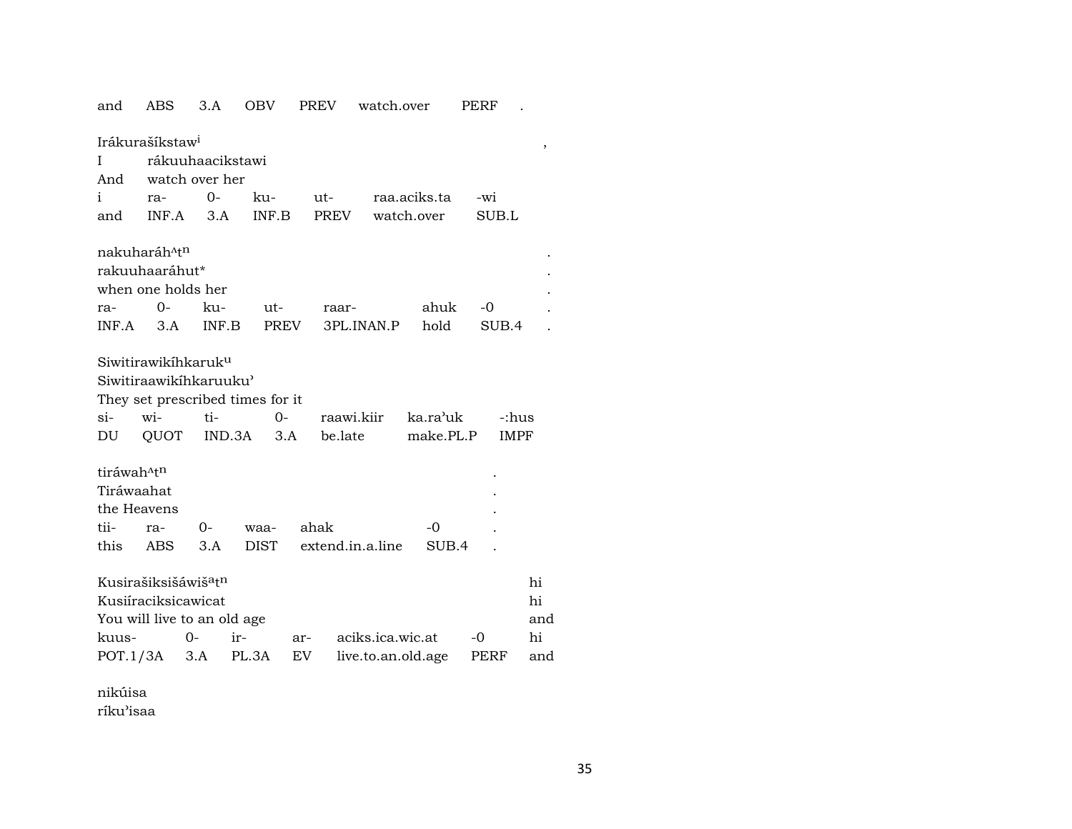| and                        | ABS                                          | 3.A   | OBV           | <b>PREV</b> | watch.over         |              | PERF        |     |  |  |  |  |
|----------------------------|----------------------------------------------|-------|---------------|-------------|--------------------|--------------|-------------|-----|--|--|--|--|
|                            | Irákurašíkstaw <sup>i</sup>                  |       |               |             |                    |              |             |     |  |  |  |  |
| ,<br>rákuuhaacikstawi<br>Ι |                                              |       |               |             |                    |              |             |     |  |  |  |  |
| And                        | watch over her                               |       |               |             |                    |              |             |     |  |  |  |  |
| $\mathbf{i}$               | ra-                                          | $0-$  | ku-           | ut-         |                    | raa.aciks.ta | -wi         |     |  |  |  |  |
| and                        | INF.A                                        | 3.A   | INF.B         |             | PREV               | watch.over   | SUB.L       |     |  |  |  |  |
|                            |                                              |       |               |             |                    |              |             |     |  |  |  |  |
|                            | nakuharáh <sup>^tn</sup>                     |       |               |             |                    |              |             |     |  |  |  |  |
|                            | rakuuhaaráhut*                               |       |               |             |                    |              |             |     |  |  |  |  |
|                            | when one holds her                           |       |               |             |                    |              |             |     |  |  |  |  |
| ra-                        | $0-$                                         | ku-   | ut-           | raar-       |                    | ahuk         | -0          |     |  |  |  |  |
| INF.A                      | 3.A                                          | INF.B |               | PREV        | 3PL.INAN.P         | hold         | SUB.4       |     |  |  |  |  |
|                            |                                              |       |               |             |                    |              |             |     |  |  |  |  |
|                            | Siwitirawikihkaruk <sup>u</sup>              |       |               |             |                    |              |             |     |  |  |  |  |
|                            | Siwitiraawikihkaruuku'                       |       |               |             |                    |              |             |     |  |  |  |  |
|                            | They set prescribed times for it             |       |               |             |                    |              |             |     |  |  |  |  |
| $\sin$                     | wi-                                          | ti-   | $0-$          |             | raawi.kiir         | ka.ra'uk     | -:hus       |     |  |  |  |  |
| DU                         | QUOT                                         |       | IND.3A<br>3.A |             | be.late            | make.PL.P    | <b>IMPF</b> |     |  |  |  |  |
|                            |                                              |       |               |             |                    |              |             |     |  |  |  |  |
| tiráwah <sup>^tn</sup>     |                                              |       |               |             |                    |              |             |     |  |  |  |  |
| Tiráwaahat                 |                                              |       |               |             |                    |              |             |     |  |  |  |  |
| the Heavens                |                                              |       |               |             |                    |              |             |     |  |  |  |  |
| tii-                       | ra-                                          | 0-    | waa-          | ahak        |                    | $-0$         |             |     |  |  |  |  |
| this                       | ABS                                          | 3.A   | <b>DIST</b>   |             | extend.in.a.line   | SUB.4        |             |     |  |  |  |  |
|                            |                                              |       |               |             |                    |              |             |     |  |  |  |  |
|                            | Kusirašiksišáwiš <sup>a</sup> t <sup>n</sup> |       |               |             |                    |              |             | hi  |  |  |  |  |
|                            | Kusiíraciksicawicat                          |       |               |             |                    |              |             | hi  |  |  |  |  |
|                            | You will live to an old age                  |       |               |             |                    |              |             | and |  |  |  |  |
| kuus-                      |                                              | $O -$ | ir-           | ar-         | aciks.ica.wic.at   |              | -0          | hi  |  |  |  |  |
|                            | $POT.1/3A$ 3.A                               |       | PL.3A         | EV          | live.to.an.old.age |              | PERF        | and |  |  |  |  |
|                            |                                              |       |               |             |                    |              |             |     |  |  |  |  |

nikúisa ríku'isaa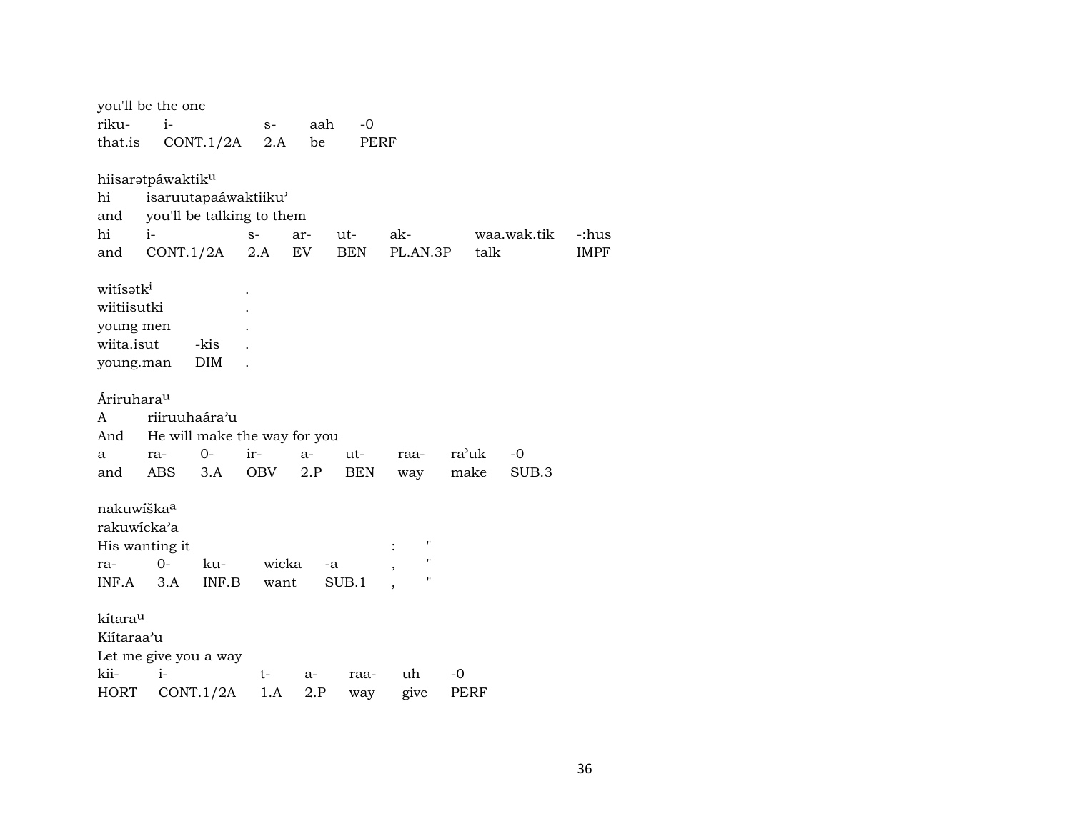|                        | you'll be the one     |               |                              |      |            |                                      |       |             |             |
|------------------------|-----------------------|---------------|------------------------------|------|------------|--------------------------------------|-------|-------------|-------------|
| riku-                  | $\mathbf{i}$          |               | $S-$                         | aah  | $-0$       |                                      |       |             |             |
| that.is                |                       | CONT.1/2A     | 2.A                          | be   | PERF       |                                      |       |             |             |
|                        |                       |               |                              |      |            |                                      |       |             |             |
|                        | hiisaratpáwaktiku     |               |                              |      |            |                                      |       |             |             |
| hi                     |                       |               | isaruutapaáwaktiiku'         |      |            |                                      |       |             |             |
| and                    |                       |               | you'll be talking to them    |      |            |                                      |       |             |             |
| hi                     | $i-$                  |               | $S-$                         | ar-  | ut-        | ak-                                  |       | waa.wak.tik | -:hus       |
| and                    |                       | CONT.1/2A     | 2.A                          | EV.  | BEN        | PL.AN.3P                             | talk  |             | <b>IMPF</b> |
|                        |                       |               |                              |      |            |                                      |       |             |             |
| witisatki              |                       |               |                              |      |            |                                      |       |             |             |
| wiitiisutki            |                       |               |                              |      |            |                                      |       |             |             |
| young men              |                       |               |                              |      |            |                                      |       |             |             |
| wiita.isut             |                       | -kis          |                              |      |            |                                      |       |             |             |
| young.man              |                       | DIM           |                              |      |            |                                      |       |             |             |
|                        |                       |               |                              |      |            |                                      |       |             |             |
| Áriruhara <sup>u</sup> |                       |               |                              |      |            |                                      |       |             |             |
| A                      |                       | riiruuhaára'u |                              |      |            |                                      |       |             |             |
| And                    |                       |               | He will make the way for you |      |            |                                      |       |             |             |
| a                      | ra-                   | $0 -$         | ir-                          | $a-$ | ut-        | raa-                                 | ra'uk | -0          |             |
| and                    | ABS                   | 3.A           | OBV                          | 2.P  | <b>BEN</b> | way                                  | make  | SUB.3       |             |
|                        |                       |               |                              |      |            |                                      |       |             |             |
| nakuwiška <sup>a</sup> |                       |               |                              |      |            |                                      |       |             |             |
| rakuwicka'a            |                       |               |                              |      |            |                                      |       |             |             |
|                        | His wanting it        |               |                              |      |            | $\pmb{\mathsf{H}}$                   |       |             |             |
| ra-                    | $0 -$                 | ku-           | wicka                        |      | -a         | $\pmb{\mathsf{H}}$<br>$\overline{ }$ |       |             |             |
| INF.A                  | 3.A                   | INF.B         | want                         |      | SUB.1      | $\pmb{\mathsf{H}}$                   |       |             |             |
|                        |                       |               |                              |      |            |                                      |       |             |             |
| kítarau                |                       |               |                              |      |            |                                      |       |             |             |
| Kiítaraa'u             |                       |               |                              |      |            |                                      |       |             |             |
|                        | Let me give you a way |               |                              |      |            |                                      |       |             |             |
| kii-                   | $i-$                  |               | t-                           | $a-$ | raa-       | uh                                   | -0    |             |             |
| <b>HORT</b>            |                       | CONT.1/2A     | 1.A                          | 2.P  | way        | give                                 | PERF  |             |             |
|                        |                       |               |                              |      |            |                                      |       |             |             |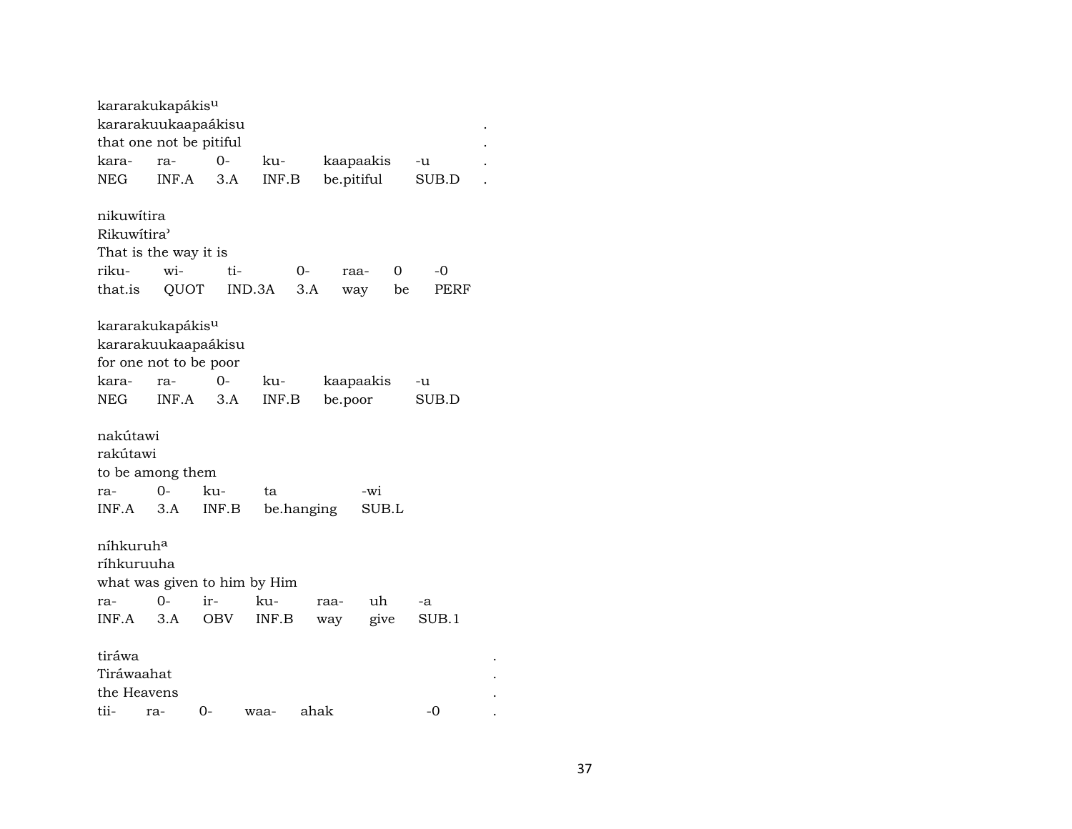|                       | kararakukapákis <sup>u</sup>           |            |        |            |            |       |       |  |  |  |  |  |  |
|-----------------------|----------------------------------------|------------|--------|------------|------------|-------|-------|--|--|--|--|--|--|
|                       | kararakuukaapaákisu                    |            |        |            |            |       |       |  |  |  |  |  |  |
|                       | that one not be pitiful                |            |        |            |            |       |       |  |  |  |  |  |  |
| kara-                 | $O -$<br>ku-<br>kaapaakis<br>ra-<br>-u |            |        |            |            |       |       |  |  |  |  |  |  |
| <b>NEG</b>            | INF.A                                  | 3.A        | INF.B  |            | be.pitiful |       | SUB.D |  |  |  |  |  |  |
| nikuwítira            |                                        |            |        |            |            |       |       |  |  |  |  |  |  |
| Rikuwitira'           |                                        |            |        |            |            |       |       |  |  |  |  |  |  |
| That is the way it is |                                        |            |        |            |            |       |       |  |  |  |  |  |  |
| riku-                 | wi-                                    | ti-        |        | 0-         | raa-       | 0     | -0    |  |  |  |  |  |  |
| that.is               | QUOT                                   |            | IND.3A | 3.A        | way        | be    | PERF  |  |  |  |  |  |  |
|                       | kararakukapákis <sup>u</sup>           |            |        |            |            |       |       |  |  |  |  |  |  |
|                       | kararakuukaapaákisu                    |            |        |            |            |       |       |  |  |  |  |  |  |
|                       | for one not to be poor                 |            |        |            |            |       |       |  |  |  |  |  |  |
| kara-                 | ra-                                    | 0-         | ku-    |            | kaapaakis  |       | -u    |  |  |  |  |  |  |
| <b>NEG</b>            | INF.A                                  | 3.A        | INF.B  |            | be.poor    |       | SUB.D |  |  |  |  |  |  |
| nakútawi<br>rakútawi  |                                        |            |        |            |            |       |       |  |  |  |  |  |  |
|                       | to be among them                       |            |        |            |            |       |       |  |  |  |  |  |  |
| ra-                   | $O -$                                  | ku-        | ta     |            | -wi        |       |       |  |  |  |  |  |  |
| INF.A                 | 3.A                                    | INF.B      |        | be.hanging |            | SUB.L |       |  |  |  |  |  |  |
| níhkuruh <sup>a</sup> |                                        |            |        |            |            |       |       |  |  |  |  |  |  |
| ríhkuruuha            |                                        |            |        |            |            |       |       |  |  |  |  |  |  |
|                       | what was given to him by Him           |            |        |            |            |       |       |  |  |  |  |  |  |
| ra-                   | 0-                                     | ir-        | ku-    |            | uh<br>raa- |       | -a    |  |  |  |  |  |  |
| INF.A                 | 3.A                                    | <b>OBV</b> | INF.B  |            | way        | give  | SUB.1 |  |  |  |  |  |  |
| tiráwa                |                                        |            |        |            |            |       |       |  |  |  |  |  |  |
| Tiráwaahat            |                                        |            |        |            |            |       |       |  |  |  |  |  |  |
| the Heavens           |                                        |            |        |            |            |       |       |  |  |  |  |  |  |
| tii-                  | ra-                                    | 0-         | waa-   | ahak       |            |       | $-0$  |  |  |  |  |  |  |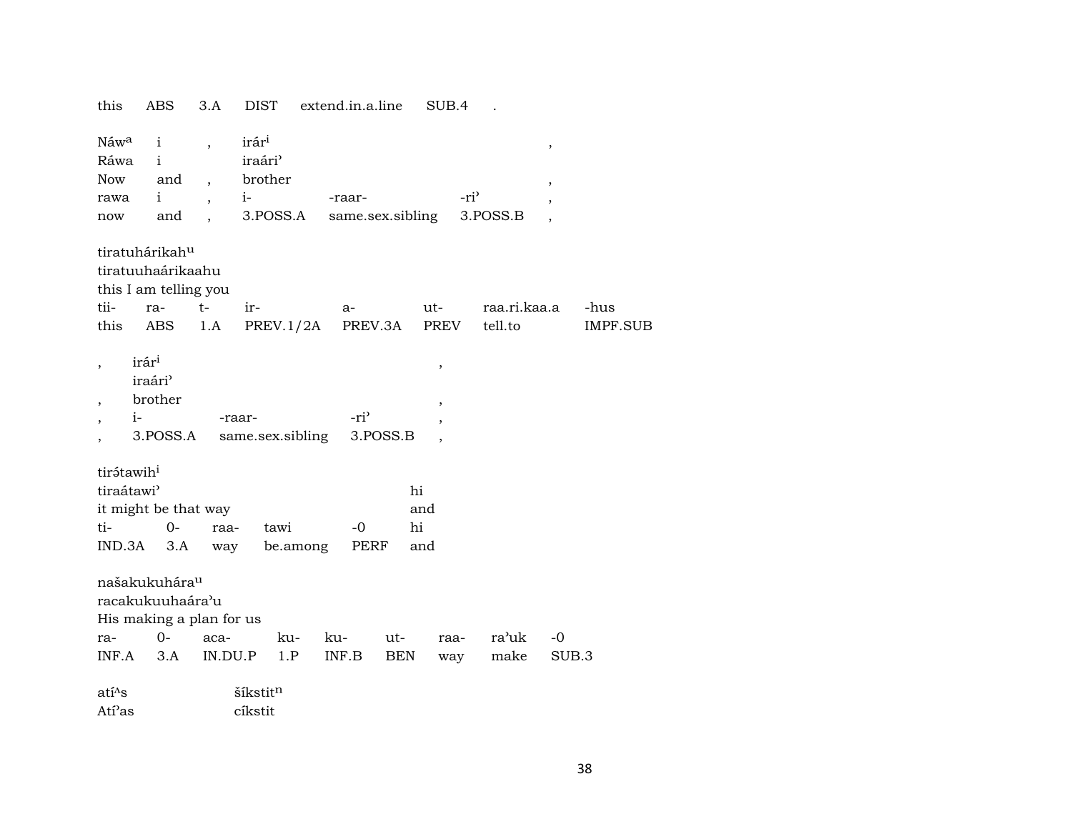| this                                           | ABS                                                                     | 3.A                                                                                      | <b>DIST</b>                                                 | extend.in.a.line  |                  | SUB.4                           |              |                |          |
|------------------------------------------------|-------------------------------------------------------------------------|------------------------------------------------------------------------------------------|-------------------------------------------------------------|-------------------|------------------|---------------------------------|--------------|----------------|----------|
| Náw <sup>a</sup><br>Ráwa<br>Now<br>rawa<br>now | $\mathbf{i}$<br>$\mathbf{i}$<br>and<br>$\mathbf{i}$<br>and              | $\overline{ }$ ,<br>$\overline{ }$ ,<br>$\overline{\phantom{a}}$<br>$\ddot{\phantom{0}}$ | irár <sup>i</sup><br>iraári'<br>brother<br>$i-$<br>3.POSS.A | -raar-            | same.sex.sibling | -ri <sup>3</sup>                | 3.POSS.B     | $\,$<br>$\, ,$ |          |
|                                                | tiratuhárikah <sup>u</sup><br>tiratuuhaárikaahu                         | this I am telling you                                                                    |                                                             |                   |                  |                                 |              |                |          |
| tii-                                           | ra-                                                                     | $t-$                                                                                     | ir-                                                         | a-                |                  | ut-                             | raa.ri.kaa.a |                | -hus     |
| this                                           | ABS                                                                     | 1.A                                                                                      |                                                             | PREV.1/2A PREV.3A |                  | PREV                            | tell.to      |                | IMPF.SUB |
|                                                | irár <sup>i</sup><br>iraári <sup>3</sup><br>brother<br>$i-$<br>3.POSS.A |                                                                                          | -raar-<br>same.sex.sibling                                  | -ri <sup>3</sup>  | 3.POSS.B         | $^\mathrm{^{^\circ}}$<br>$\, ,$ |              |                |          |
| tirátawih <sup>i</sup>                         |                                                                         |                                                                                          |                                                             |                   |                  |                                 |              |                |          |
| tiraátawi <sup>3</sup>                         |                                                                         |                                                                                          |                                                             |                   | hi               |                                 |              |                |          |
|                                                |                                                                         | it might be that way                                                                     |                                                             |                   | and              |                                 |              |                |          |
| ti-                                            | $0-$                                                                    | raa-                                                                                     | tawi                                                        | -0                | hi               |                                 |              |                |          |
| IND.3A                                         | 3.A                                                                     | way                                                                                      |                                                             | be.among          | PERF<br>and      |                                 |              |                |          |
|                                                | našakukuhára <sup>u</sup><br>racakukuuhaára'u                           | His making a plan for us                                                                 |                                                             |                   |                  |                                 |              |                |          |
| ra-                                            | $0-$                                                                    | aca-                                                                                     | ku-                                                         | ku-               | ut-              | raa-                            | ra'uk        | -0             |          |
| INF.A                                          | 3.A                                                                     |                                                                                          | IN.DU.P<br>1.P                                              | INF.B             | BEN              | way                             | make         | SUB.3          |          |
| atí <sup>^</sup> s                             |                                                                         |                                                                                          | šíkstitn                                                    |                   |                  |                                 |              |                |          |
| Atí <sup>2</sup> as                            |                                                                         |                                                                                          | cíkstit                                                     |                   |                  |                                 |              |                |          |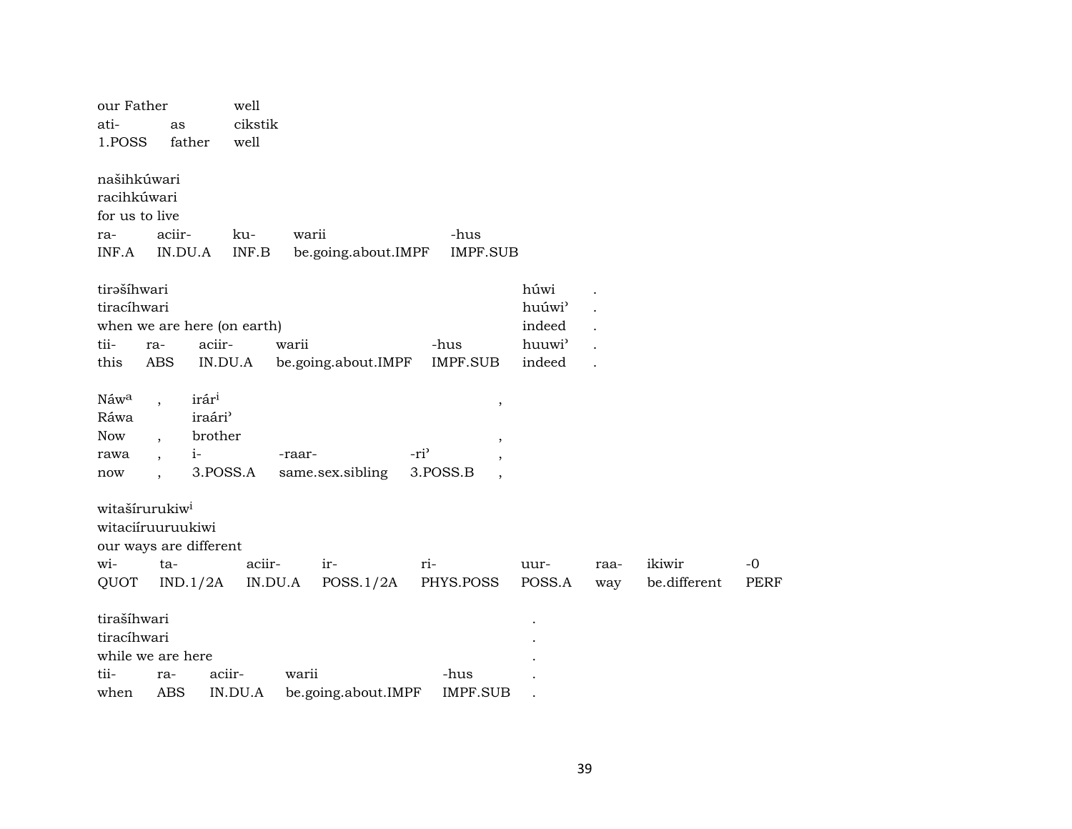| our Father<br>ati-<br>1.POSS                                                             | as<br>father      |                                                                         | well<br>cikstik<br>well          |        |                     |                  |                                  |                                                          |             |                        |              |
|------------------------------------------------------------------------------------------|-------------------|-------------------------------------------------------------------------|----------------------------------|--------|---------------------|------------------|----------------------------------|----------------------------------------------------------|-------------|------------------------|--------------|
| našihkúwari<br>racihkúwari<br>for us to live<br>ra-<br>INF.A                             | aciir-<br>IN.DU.A |                                                                         | ku-<br>$\textsf{INF}.\textsf{B}$ | warii  | be.going.about.IMPF |                  | -hus<br><b>IMPF.SUB</b>          |                                                          |             |                        |              |
| tirašíhwari<br>tiracíhwari<br>when we are here (on earth)<br>tii-<br>this                | ra-<br>ABS        | aciir-<br>IN.DU.A                                                       |                                  | warii  | be.going.about.IMPF |                  | -hus<br><b>IMPF.SUB</b>          | húwi<br>huúwi'<br>indeed<br>huuwi <sup>3</sup><br>indeed |             |                        |              |
| Náwa<br>Ráwa<br>Now<br>rawa<br>now                                                       |                   | irár <sup>i</sup><br>iraári <sup>3</sup><br>brother<br>$1-$<br>3.POSS.A |                                  | -raar- | same.sex.sibling    | -ri <sup>3</sup> | $\,$<br>,<br>3.POSS.B<br>$\cdot$ |                                                          |             |                        |              |
| witašírurukiw <sup>i</sup><br>witaciíruuruukiwi<br>our ways are different<br>wi-<br>QUOT | ta-               | IND.1/2A                                                                | aciir-<br>IN.DU.A                |        | ir-<br>POSS.1/2A    | ri-              | PHYS.POSS                        | uur-<br>POSS.A                                           | raa-<br>way | ikiwir<br>be.different | $-0$<br>PERF |
| tirašíhwari<br>tiracíhwari<br>while we are here<br>tii-<br>when                          | ra-<br>ABS        | aciir-                                                                  | IN.DU.A                          | warii  | be.going.about.IMPF |                  | -hus<br><b>IMPF.SUB</b>          |                                                          |             |                        |              |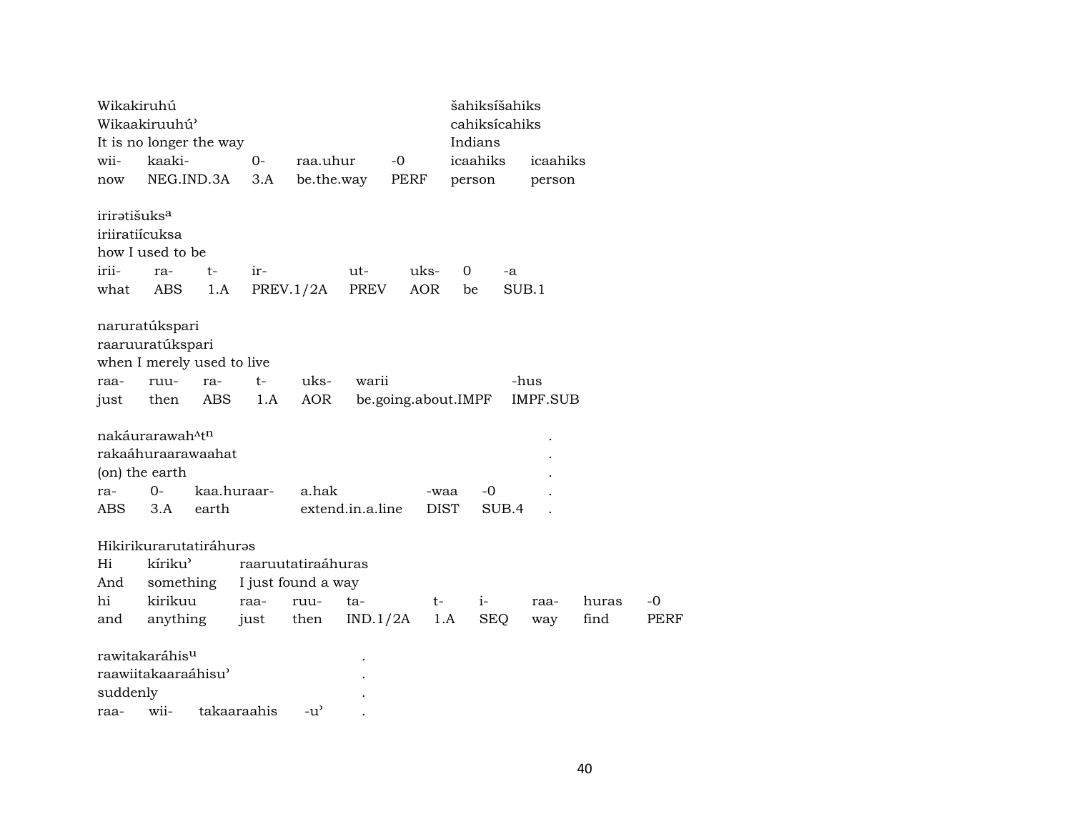| Wikakiruhú               | Wikaakiruuhú'                                              |                                            |      |                    |                  |                     |          | šahiksíšahiks<br>cahiksícahiks |                 |        |      |
|--------------------------|------------------------------------------------------------|--------------------------------------------|------|--------------------|------------------|---------------------|----------|--------------------------------|-----------------|--------|------|
|                          |                                                            | It is no longer the way                    |      |                    |                  |                     | Indians  |                                |                 |        |      |
| wii-                     | kaaki-                                                     |                                            | 0-   | raa.uhur           |                  | $-0$                | icaahiks |                                | icaahiks        |        |      |
| now                      | NEG.IND.3A<br>3.A                                          |                                            |      |                    | be.the.way       | <b>PERF</b>         |          | person                         |                 | person |      |
| iriratišuks <sup>a</sup> | iriiratiícuksa<br>how I used to be                         |                                            |      |                    |                  |                     |          |                                |                 |        |      |
| irii-                    | ra-                                                        | $t-$                                       | ir-  |                    | ut-              | uks-                | 0        | -a                             |                 |        |      |
| what                     | ABS                                                        | 1.A                                        |      | PREV.1/2A          | PREV             | AOR                 | be       |                                | SUB.1           |        |      |
|                          | naruratúkspari<br>raaruuratúkspari                         | when I merely used to live                 |      |                    |                  |                     |          |                                |                 |        |      |
| raa-                     | ruu-                                                       | ra-                                        | $t-$ | uks-               | warii            |                     |          |                                | -hus            |        |      |
| just                     | then                                                       | ABS                                        | 1.A  | <b>AOR</b>         |                  | be.going.about.IMPF |          |                                | <b>IMPF.SUB</b> |        |      |
| ra-<br>ABS               | nakáurarawah <sup>^tn</sup><br>(on) the earth<br>0-<br>3.A | rakaáhuraarawaahat<br>kaa.huraar-<br>earth |      | a.hak              | extend.in.a.line | -waa<br><b>DIST</b> |          | $-0$<br>SUB.4                  |                 |        |      |
|                          |                                                            |                                            |      |                    |                  |                     |          |                                |                 |        |      |
|                          |                                                            | Hikirikurarutatiráhuras                    |      |                    |                  |                     |          |                                |                 |        |      |
| Hi                       | kíriku'                                                    |                                            |      | raaruutatiraáhuras |                  |                     |          |                                |                 |        |      |
| And                      | something                                                  |                                            |      | I just found a way |                  |                     |          |                                |                 |        |      |
| hi                       | kirikuu                                                    |                                            | raa- | ruu-               | ta-              | $t-$                | $i-$     |                                | raa-            | huras  | $-0$ |
| and                      | anything                                                   |                                            | just | then               | IND.1/2A         |                     | 1.A      | <b>SEQ</b>                     | way             | find   | PERF |
| suddenly                 | rawitakaráhis <sup>u</sup><br>raawiitakaaraáhisu'          |                                            |      |                    |                  |                     |          |                                |                 |        |      |
| raa-                     | wii-                                                       | takaaraahis                                |      | $-u^{\prime}$      |                  |                     |          |                                |                 |        |      |